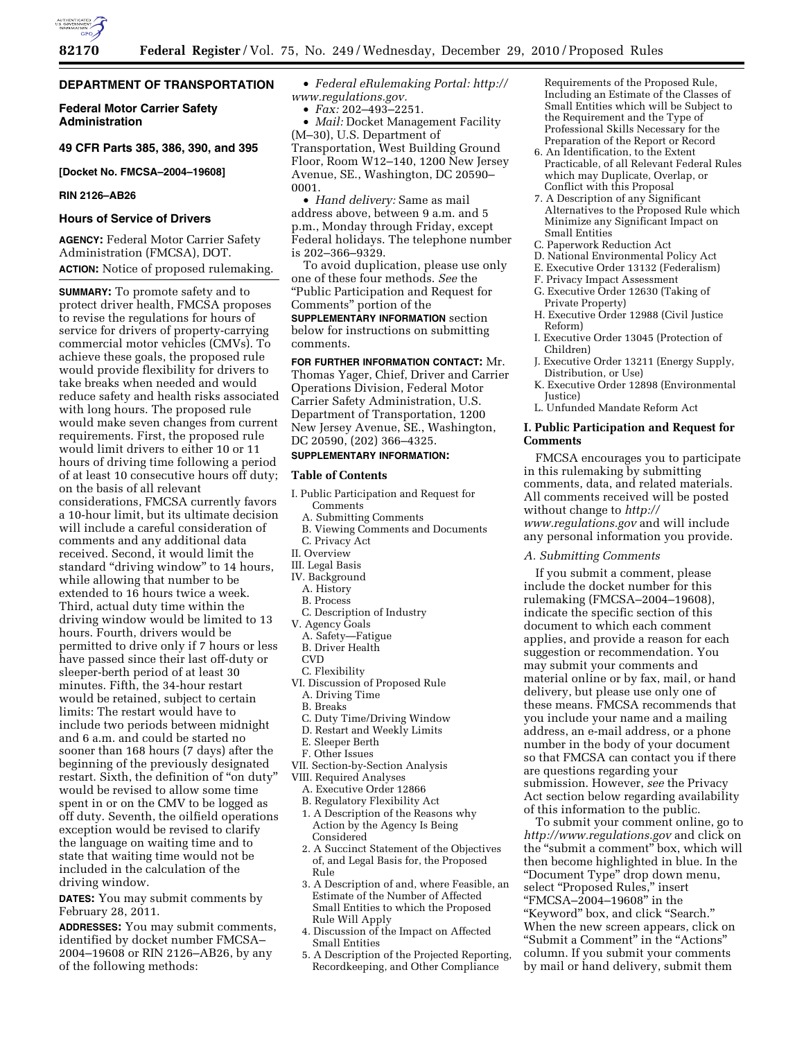

# **DEPARTMENT OF TRANSPORTATION**

**Federal Motor Carrier Safety Administration** 

# **49 CFR Parts 385, 386, 390, and 395**

## **[Docket No. FMCSA–2004–19608]**

## **RIN 2126–AB26**

# **Hours of Service of Drivers**

**AGENCY:** Federal Motor Carrier Safety Administration (FMCSA), DOT. **ACTION:** Notice of proposed rulemaking.

**SUMMARY:** To promote safety and to protect driver health, FMCSA proposes to revise the regulations for hours of service for drivers of property-carrying commercial motor vehicles (CMVs). To achieve these goals, the proposed rule would provide flexibility for drivers to take breaks when needed and would reduce safety and health risks associated with long hours. The proposed rule would make seven changes from current requirements. First, the proposed rule would limit drivers to either 10 or 11 hours of driving time following a period of at least 10 consecutive hours off duty; on the basis of all relevant considerations, FMCSA currently favors a 10-hour limit, but its ultimate decision will include a careful consideration of comments and any additional data received. Second, it would limit the standard ''driving window'' to 14 hours, while allowing that number to be extended to 16 hours twice a week. Third, actual duty time within the driving window would be limited to 13 hours. Fourth, drivers would be permitted to drive only if 7 hours or less have passed since their last off-duty or sleeper-berth period of at least 30 minutes. Fifth, the 34-hour restart would be retained, subject to certain limits: The restart would have to include two periods between midnight and 6 a.m. and could be started no sooner than 168 hours (7 days) after the beginning of the previously designated restart. Sixth, the definition of "on duty" would be revised to allow some time spent in or on the CMV to be logged as off duty. Seventh, the oilfield operations exception would be revised to clarify the language on waiting time and to state that waiting time would not be included in the calculation of the driving window.

**DATES:** You may submit comments by February 28, 2011.

**ADDRESSES:** You may submit comments, identified by docket number FMCSA– 2004–19608 or RIN 2126–AB26, by any of the following methods:

• *Federal eRulemaking Portal: [http://](http://www.regulations.gov)  [www.regulations.gov.](http://www.regulations.gov)* 

• *Fax:* 202–493–2251.

• *Mail:* Docket Management Facility (M–30), U.S. Department of Transportation, West Building Ground Floor, Room W12–140, 1200 New Jersey Avenue, SE., Washington, DC 20590– 0001.

• *Hand delivery:* Same as mail address above, between 9 a.m. and 5 p.m., Monday through Friday, except Federal holidays. The telephone number is 202–366–9329.

To avoid duplication, please use only one of these four methods. *See* the ''Public Participation and Request for Comments'' portion of the

**SUPPLEMENTARY INFORMATION** section below for instructions on submitting comments.

**FOR FURTHER INFORMATION CONTACT:** Mr. Thomas Yager, Chief, Driver and Carrier Operations Division, Federal Motor Carrier Safety Administration, U.S. Department of Transportation, 1200 New Jersey Avenue, SE., Washington, DC 20590, (202) 366-4325.

# **SUPPLEMENTARY INFORMATION:**

## **Table of Contents**

- I. Public Participation and Request for Comments
	- A. Submitting Comments
	- B. Viewing Comments and Documents
- C. Privacy Act
- II. Overview
- III. Legal Basis IV. Background
- A. History
- B. Process
- C. Description of Industry
- V. Agency Goals
- A. Safety—Fatigue
- B. Driver Health
- **CVD**
- C. Flexibility
- VI. Discussion of Proposed Rule
	- A. Driving Time
	- B. Breaks
	- C. Duty Time/Driving Window
	- D. Restart and Weekly Limits
	- E. Sleeper Berth
- F. Other Issues
- VII. Section-by-Section Analysis
- VIII. Required Analyses
- A. Executive Order 12866
- B. Regulatory Flexibility Act
- 1. A Description of the Reasons why Action by the Agency Is Being Considered
- 2. A Succinct Statement of the Objectives of, and Legal Basis for, the Proposed Rule
- 3. A Description of and, where Feasible, an Estimate of the Number of Affected Small Entities to which the Proposed Rule Will Apply
- 4. Discussion of the Impact on Affected Small Entities
- 5. A Description of the Projected Reporting, Recordkeeping, and Other Compliance

Requirements of the Proposed Rule, Including an Estimate of the Classes of Small Entities which will be Subject to the Requirement and the Type of Professional Skills Necessary for the Preparation of the Report or Record

- 6. An Identification, to the Extent Practicable, of all Relevant Federal Rules which may Duplicate, Overlap, or Conflict with this Proposal
- 7. A Description of any Significant Alternatives to the Proposed Rule which Minimize any Significant Impact on Small Entities
- C. Paperwork Reduction Act
- D. National Environmental Policy Act
- E. Executive Order 13132 (Federalism)
- F. Privacy Impact Assessment G. Executive Order 12630 (Taking of
- Private Property)
- H. Executive Order 12988 (Civil Justice Reform)
- I. Executive Order 13045 (Protection of Children)
- J. Executive Order 13211 (Energy Supply, Distribution, or Use)
- K. Executive Order 12898 (Environmental Justice)
- L. Unfunded Mandate Reform Act

# **I. Public Participation and Request for Comments**

FMCSA encourages you to participate in this rulemaking by submitting comments, data, and related materials. All comments received will be posted without change to *[http://](http://www.regulations.gov) [www.regulations.gov](http://www.regulations.gov)* and will include any personal information you provide.

### *A. Submitting Comments*

If you submit a comment, please include the docket number for this rulemaking (FMCSA–2004–19608), indicate the specific section of this document to which each comment applies, and provide a reason for each suggestion or recommendation. You may submit your comments and material online or by fax, mail, or hand delivery, but please use only one of these means. FMCSA recommends that you include your name and a mailing address, an e-mail address, or a phone number in the body of your document so that FMCSA can contact you if there are questions regarding your submission. However, *see* the Privacy Act section below regarding availability of this information to the public.

To submit your comment online, go to *<http://www.regulations.gov>* and click on the ''submit a comment'' box, which will then become highlighted in blue. In the ''Document Type'' drop down menu, select "Proposed Rules," insert ''FMCSA–2004–19608'' in the ''Keyword'' box, and click ''Search.'' When the new screen appears, click on ''Submit a Comment'' in the ''Actions'' column. If you submit your comments by mail or hand delivery, submit them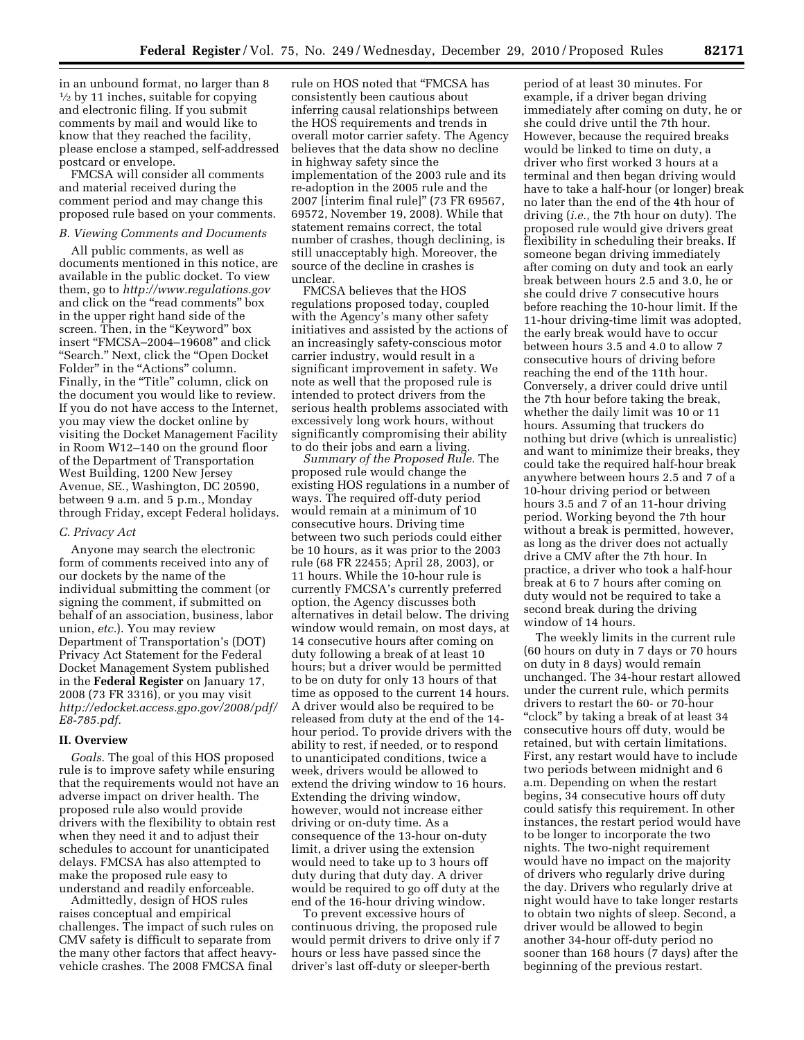in an unbound format, no larger than 8  $\frac{1}{2}$  by 11 inches, suitable for copying and electronic filing. If you submit comments by mail and would like to know that they reached the facility, please enclose a stamped, self-addressed postcard or envelope.

FMCSA will consider all comments and material received during the comment period and may change this proposed rule based on your comments.

#### *B. Viewing Comments and Documents*

All public comments, as well as documents mentioned in this notice, are available in the public docket. To view them, go to *<http://www.regulations.gov>* and click on the "read comments" box in the upper right hand side of the screen. Then, in the "Keyword" box insert ''FMCSA–2004–19608'' and click ''Search.'' Next, click the ''Open Docket Folder" in the "Actions" column. Finally, in the "Title" column, click on the document you would like to review. If you do not have access to the Internet, you may view the docket online by visiting the Docket Management Facility in Room W12–140 on the ground floor of the Department of Transportation West Building, 1200 New Jersey Avenue, SE., Washington, DC 20590, between 9 a.m. and 5 p.m., Monday through Friday, except Federal holidays.

### *C. Privacy Act*

Anyone may search the electronic form of comments received into any of our dockets by the name of the individual submitting the comment (or signing the comment, if submitted on behalf of an association, business, labor union, *etc.*). You may review Department of Transportation's (DOT) Privacy Act Statement for the Federal Docket Management System published in the **Federal Register** on January 17, 2008 (73 FR 3316), or you may visit *[http://edocket.access.gpo.gov/2008/pdf/](http://edocket.access.gpo.gov/2008/pdf/E8-785.pdf) [E8-785.pdf.](http://edocket.access.gpo.gov/2008/pdf/E8-785.pdf)* 

### **II. Overview**

*Goals.* The goal of this HOS proposed rule is to improve safety while ensuring that the requirements would not have an adverse impact on driver health. The proposed rule also would provide drivers with the flexibility to obtain rest when they need it and to adjust their schedules to account for unanticipated delays. FMCSA has also attempted to make the proposed rule easy to understand and readily enforceable.

Admittedly, design of HOS rules raises conceptual and empirical challenges. The impact of such rules on CMV safety is difficult to separate from the many other factors that affect heavyvehicle crashes. The 2008 FMCSA final

rule on HOS noted that ''FMCSA has consistently been cautious about inferring causal relationships between the HOS requirements and trends in overall motor carrier safety. The Agency believes that the data show no decline in highway safety since the implementation of the 2003 rule and its re-adoption in the 2005 rule and the 2007 [interim final rule]'' (73 FR 69567, 69572, November 19, 2008). While that statement remains correct, the total number of crashes, though declining, is still unacceptably high. Moreover, the source of the decline in crashes is unclear.

FMCSA believes that the HOS regulations proposed today, coupled with the Agency's many other safety initiatives and assisted by the actions of an increasingly safety-conscious motor carrier industry, would result in a significant improvement in safety. We note as well that the proposed rule is intended to protect drivers from the serious health problems associated with excessively long work hours, without significantly compromising their ability to do their jobs and earn a living.

*Summary of the Proposed Rule.* The proposed rule would change the existing HOS regulations in a number of ways. The required off-duty period would remain at a minimum of 10 consecutive hours. Driving time between two such periods could either be 10 hours, as it was prior to the 2003 rule (68 FR 22455; April 28, 2003), or 11 hours. While the 10-hour rule is currently FMCSA's currently preferred option, the Agency discusses both alternatives in detail below. The driving window would remain, on most days, at 14 consecutive hours after coming on duty following a break of at least 10 hours; but a driver would be permitted to be on duty for only 13 hours of that time as opposed to the current 14 hours. A driver would also be required to be released from duty at the end of the 14 hour period. To provide drivers with the ability to rest, if needed, or to respond to unanticipated conditions, twice a week, drivers would be allowed to extend the driving window to 16 hours. Extending the driving window, however, would not increase either driving or on-duty time. As a consequence of the 13-hour on-duty limit, a driver using the extension would need to take up to 3 hours off duty during that duty day. A driver would be required to go off duty at the end of the 16-hour driving window.

To prevent excessive hours of continuous driving, the proposed rule would permit drivers to drive only if 7 hours or less have passed since the driver's last off-duty or sleeper-berth

period of at least 30 minutes. For example, if a driver began driving immediately after coming on duty, he or she could drive until the 7th hour. However, because the required breaks would be linked to time on duty, a driver who first worked 3 hours at a terminal and then began driving would have to take a half-hour (or longer) break no later than the end of the 4th hour of driving (*i.e.,* the 7th hour on duty). The proposed rule would give drivers great flexibility in scheduling their breaks. If someone began driving immediately after coming on duty and took an early break between hours 2.5 and 3.0, he or she could drive 7 consecutive hours before reaching the 10-hour limit. If the 11-hour driving-time limit was adopted, the early break would have to occur between hours 3.5 and 4.0 to allow 7 consecutive hours of driving before reaching the end of the 11th hour. Conversely, a driver could drive until the 7th hour before taking the break, whether the daily limit was 10 or 11 hours. Assuming that truckers do nothing but drive (which is unrealistic) and want to minimize their breaks, they could take the required half-hour break anywhere between hours 2.5 and 7 of a 10-hour driving period or between hours 3.5 and 7 of an 11-hour driving period. Working beyond the 7th hour without a break is permitted, however, as long as the driver does not actually drive a CMV after the 7th hour. In practice, a driver who took a half-hour break at 6 to 7 hours after coming on duty would not be required to take a second break during the driving window of 14 hours.

The weekly limits in the current rule (60 hours on duty in 7 days or 70 hours on duty in 8 days) would remain unchanged. The 34-hour restart allowed under the current rule, which permits drivers to restart the 60- or 70-hour ''clock'' by taking a break of at least 34 consecutive hours off duty, would be retained, but with certain limitations. First, any restart would have to include two periods between midnight and 6 a.m. Depending on when the restart begins, 34 consecutive hours off duty could satisfy this requirement. In other instances, the restart period would have to be longer to incorporate the two nights. The two-night requirement would have no impact on the majority of drivers who regularly drive during the day. Drivers who regularly drive at night would have to take longer restarts to obtain two nights of sleep. Second, a driver would be allowed to begin another 34-hour off-duty period no sooner than 168 hours (7 days) after the beginning of the previous restart.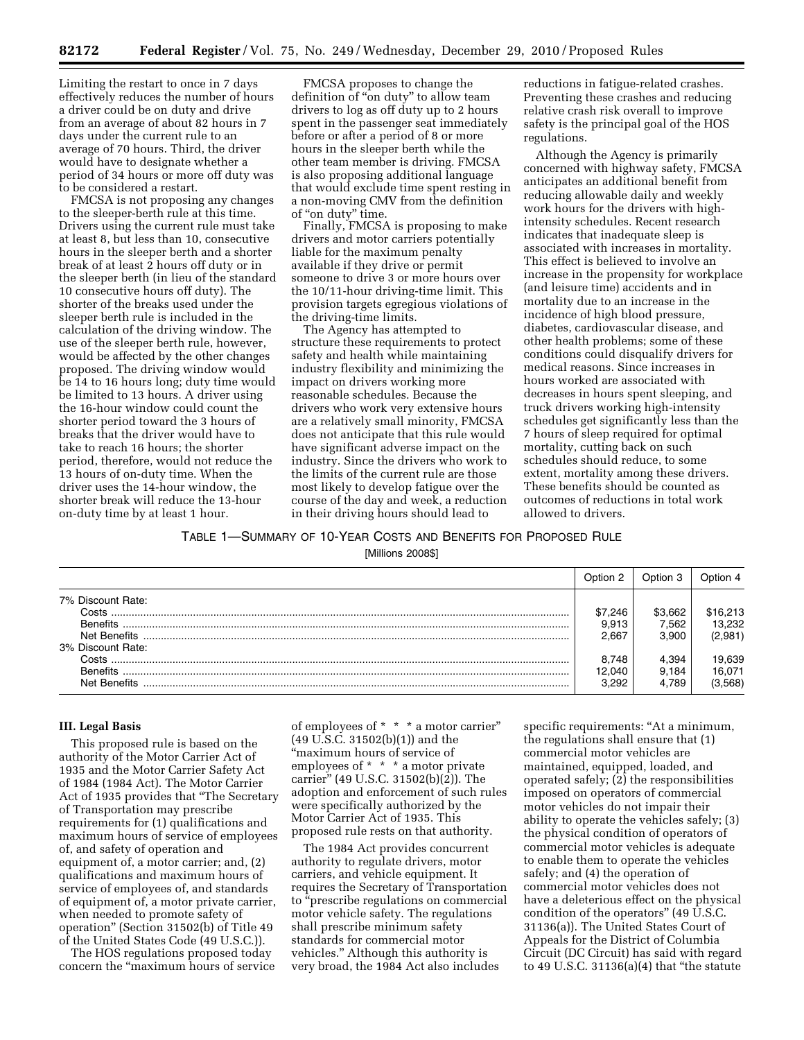Limiting the restart to once in 7 days effectively reduces the number of hours a driver could be on duty and drive from an average of about 82 hours in 7 days under the current rule to an average of 70 hours. Third, the driver would have to designate whether a period of 34 hours or more off duty was to be considered a restart.

FMCSA is not proposing any changes to the sleeper-berth rule at this time. Drivers using the current rule must take at least 8, but less than 10, consecutive hours in the sleeper berth and a shorter break of at least 2 hours off duty or in the sleeper berth (in lieu of the standard 10 consecutive hours off duty). The shorter of the breaks used under the sleeper berth rule is included in the calculation of the driving window. The use of the sleeper berth rule, however, would be affected by the other changes proposed. The driving window would be 14 to 16 hours long; duty time would be limited to 13 hours. A driver using the 16-hour window could count the shorter period toward the 3 hours of breaks that the driver would have to take to reach 16 hours; the shorter period, therefore, would not reduce the 13 hours of on-duty time. When the driver uses the 14-hour window, the shorter break will reduce the 13-hour on-duty time by at least 1 hour.

FMCSA proposes to change the definition of ''on duty'' to allow team drivers to log as off duty up to 2 hours spent in the passenger seat immediately before or after a period of 8 or more hours in the sleeper berth while the other team member is driving. FMCSA is also proposing additional language that would exclude time spent resting in a non-moving CMV from the definition of ''on duty'' time.

Finally, FMCSA is proposing to make drivers and motor carriers potentially liable for the maximum penalty available if they drive or permit someone to drive 3 or more hours over the 10/11-hour driving-time limit. This provision targets egregious violations of the driving-time limits.

The Agency has attempted to structure these requirements to protect safety and health while maintaining industry flexibility and minimizing the impact on drivers working more reasonable schedules. Because the drivers who work very extensive hours are a relatively small minority, FMCSA does not anticipate that this rule would have significant adverse impact on the industry. Since the drivers who work to the limits of the current rule are those most likely to develop fatigue over the course of the day and week, a reduction in their driving hours should lead to

reductions in fatigue-related crashes. Preventing these crashes and reducing relative crash risk overall to improve safety is the principal goal of the HOS regulations.

Although the Agency is primarily concerned with highway safety, FMCSA anticipates an additional benefit from reducing allowable daily and weekly work hours for the drivers with highintensity schedules. Recent research indicates that inadequate sleep is associated with increases in mortality. This effect is believed to involve an increase in the propensity for workplace (and leisure time) accidents and in mortality due to an increase in the incidence of high blood pressure, diabetes, cardiovascular disease, and other health problems; some of these conditions could disqualify drivers for medical reasons. Since increases in hours worked are associated with decreases in hours spent sleeping, and truck drivers working high-intensity schedules get significantly less than the 7 hours of sleep required for optimal mortality, cutting back on such schedules should reduce, to some extent, mortality among these drivers. These benefits should be counted as outcomes of reductions in total work allowed to drivers.

## TABLE 1—SUMMARY OF 10-YEAR COSTS AND BENEFITS FOR PROPOSED RULE

[Millions 2008\$]

|                   | Option 2 | Option 3 | Ontion 4 |
|-------------------|----------|----------|----------|
| 7% Discount Rate: |          |          |          |
| Costs             | \$7.246  | \$3.662  | \$16,213 |
| <b>Benefits</b>   | 9.913    | .562     | 13.232   |
|                   | 2.667    | 3.900    | (2,981)  |
| 3% Discount Rate: |          |          |          |
| Costs.            | 8.748    | 4.394    | 19,639   |
| <b>Benefits</b>   | 12.040   | 9.184    | 16.071   |
| Net Benefits      | 3.292    | 4.789    | (3,568)  |

### **III. Legal Basis**

This proposed rule is based on the authority of the Motor Carrier Act of 1935 and the Motor Carrier Safety Act of 1984 (1984 Act). The Motor Carrier Act of 1935 provides that ''The Secretary of Transportation may prescribe requirements for (1) qualifications and maximum hours of service of employees of, and safety of operation and equipment of, a motor carrier; and, (2) qualifications and maximum hours of service of employees of, and standards of equipment of, a motor private carrier, when needed to promote safety of operation'' (Section 31502(b) of Title 49 of the United States Code (49 U.S.C.)).

The HOS regulations proposed today concern the ''maximum hours of service of employees of \* \* \* a motor carrier'' (49 U.S.C. 31502(b)(1)) and the ''maximum hours of service of employees of \* \* \* a motor private carrier'' (49 U.S.C. 31502(b)(2)). The adoption and enforcement of such rules were specifically authorized by the Motor Carrier Act of 1935. This proposed rule rests on that authority.

The 1984 Act provides concurrent authority to regulate drivers, motor carriers, and vehicle equipment. It requires the Secretary of Transportation to ''prescribe regulations on commercial motor vehicle safety. The regulations shall prescribe minimum safety standards for commercial motor vehicles.'' Although this authority is very broad, the 1984 Act also includes

specific requirements: "At a minimum, the regulations shall ensure that (1) commercial motor vehicles are maintained, equipped, loaded, and operated safely; (2) the responsibilities imposed on operators of commercial motor vehicles do not impair their ability to operate the vehicles safely; (3) the physical condition of operators of commercial motor vehicles is adequate to enable them to operate the vehicles safely; and (4) the operation of commercial motor vehicles does not have a deleterious effect on the physical condition of the operators'' (49 U.S.C. 31136(a)). The United States Court of Appeals for the District of Columbia Circuit (DC Circuit) has said with regard to 49 U.S.C. 31136(a)(4) that ''the statute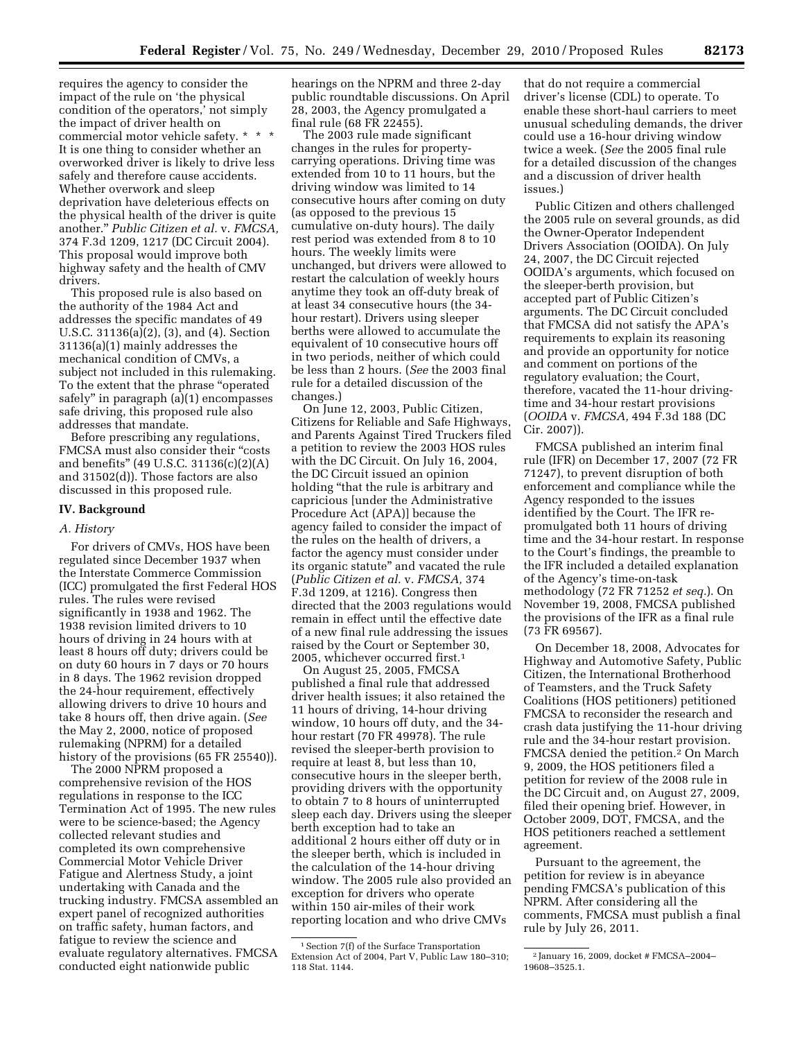requires the agency to consider the impact of the rule on 'the physical condition of the operators,' not simply the impact of driver health on commercial motor vehicle safety. \* \* \* It is one thing to consider whether an overworked driver is likely to drive less safely and therefore cause accidents. Whether overwork and sleep deprivation have deleterious effects on the physical health of the driver is quite another.'' *Public Citizen et al.* v. *FMCSA,*  374 F.3d 1209, 1217 (DC Circuit 2004). This proposal would improve both highway safety and the health of CMV drivers.

This proposed rule is also based on the authority of the 1984 Act and addresses the specific mandates of 49 U.S.C. 31136(a)(2), (3), and (4). Section 31136(a)(1) mainly addresses the mechanical condition of CMVs, a subject not included in this rulemaking. To the extent that the phrase ''operated safely'' in paragraph (a)(1) encompasses safe driving, this proposed rule also addresses that mandate.

Before prescribing any regulations, FMCSA must also consider their "costs and benefits'' (49 U.S.C. 31136(c)(2)(A) and 31502(d)). Those factors are also discussed in this proposed rule.

### **IV. Background**

#### *A. History*

For drivers of CMVs, HOS have been regulated since December 1937 when the Interstate Commerce Commission (ICC) promulgated the first Federal HOS rules. The rules were revised significantly in 1938 and 1962. The 1938 revision limited drivers to 10 hours of driving in 24 hours with at least 8 hours off duty; drivers could be on duty 60 hours in 7 days or 70 hours in 8 days. The 1962 revision dropped the 24-hour requirement, effectively allowing drivers to drive 10 hours and take 8 hours off, then drive again. (*See*  the May 2, 2000, notice of proposed rulemaking (NPRM) for a detailed history of the provisions (65 FR 25540)).

The 2000 NPRM proposed a comprehensive revision of the HOS regulations in response to the ICC Termination Act of 1995. The new rules were to be science-based; the Agency collected relevant studies and completed its own comprehensive Commercial Motor Vehicle Driver Fatigue and Alertness Study, a joint undertaking with Canada and the trucking industry. FMCSA assembled an expert panel of recognized authorities on traffic safety, human factors, and fatigue to review the science and evaluate regulatory alternatives. FMCSA conducted eight nationwide public

hearings on the NPRM and three 2-day public roundtable discussions. On April 28, 2003, the Agency promulgated a final rule (68 FR 22455).

The 2003 rule made significant changes in the rules for propertycarrying operations. Driving time was extended from 10 to 11 hours, but the driving window was limited to 14 consecutive hours after coming on duty (as opposed to the previous 15 cumulative on-duty hours). The daily rest period was extended from 8 to 10 hours. The weekly limits were unchanged, but drivers were allowed to restart the calculation of weekly hours anytime they took an off-duty break of at least 34 consecutive hours (the 34 hour restart). Drivers using sleeper berths were allowed to accumulate the equivalent of 10 consecutive hours off in two periods, neither of which could be less than 2 hours. (*See* the 2003 final rule for a detailed discussion of the changes.)

On June 12, 2003, Public Citizen, Citizens for Reliable and Safe Highways, and Parents Against Tired Truckers filed a petition to review the 2003 HOS rules with the DC Circuit. On July 16, 2004, the DC Circuit issued an opinion holding ''that the rule is arbitrary and capricious [under the Administrative Procedure Act (APA)] because the agency failed to consider the impact of the rules on the health of drivers, a factor the agency must consider under its organic statute'' and vacated the rule (*Public Citizen et al.* v. *FMCSA,* 374 F.3d 1209, at 1216). Congress then directed that the 2003 regulations would remain in effect until the effective date of a new final rule addressing the issues raised by the Court or September 30, 2005, whichever occurred first.1

On August 25, 2005, FMCSA published a final rule that addressed driver health issues; it also retained the 11 hours of driving, 14-hour driving window, 10 hours off duty, and the 34 hour restart (70 FR 49978). The rule revised the sleeper-berth provision to require at least 8, but less than 10, consecutive hours in the sleeper berth, providing drivers with the opportunity to obtain 7 to 8 hours of uninterrupted sleep each day. Drivers using the sleeper berth exception had to take an additional 2 hours either off duty or in the sleeper berth, which is included in the calculation of the 14-hour driving window. The 2005 rule also provided an exception for drivers who operate within 150 air-miles of their work reporting location and who drive CMVs

that do not require a commercial driver's license (CDL) to operate. To enable these short-haul carriers to meet unusual scheduling demands, the driver could use a 16-hour driving window twice a week. (*See* the 2005 final rule for a detailed discussion of the changes and a discussion of driver health issues.)

Public Citizen and others challenged the 2005 rule on several grounds, as did the Owner-Operator Independent Drivers Association (OOIDA). On July 24, 2007, the DC Circuit rejected OOIDA's arguments, which focused on the sleeper-berth provision, but accepted part of Public Citizen's arguments. The DC Circuit concluded that FMCSA did not satisfy the APA's requirements to explain its reasoning and provide an opportunity for notice and comment on portions of the regulatory evaluation; the Court, therefore, vacated the 11-hour drivingtime and 34-hour restart provisions (*OOIDA* v. *FMCSA,* 494 F.3d 188 (DC Cir. 2007)).

FMCSA published an interim final rule (IFR) on December 17, 2007 (72 FR 71247), to prevent disruption of both enforcement and compliance while the Agency responded to the issues identified by the Court. The IFR repromulgated both 11 hours of driving time and the 34-hour restart. In response to the Court's findings, the preamble to the IFR included a detailed explanation of the Agency's time-on-task methodology (72 FR 71252 *et seq.*). On November 19, 2008, FMCSA published the provisions of the IFR as a final rule (73 FR 69567).

On December 18, 2008, Advocates for Highway and Automotive Safety, Public Citizen, the International Brotherhood of Teamsters, and the Truck Safety Coalitions (HOS petitioners) petitioned FMCSA to reconsider the research and crash data justifying the 11-hour driving rule and the 34-hour restart provision. FMCSA denied the petition.2 On March 9, 2009, the HOS petitioners filed a petition for review of the 2008 rule in the DC Circuit and, on August 27, 2009, filed their opening brief. However, in October 2009, DOT, FMCSA, and the HOS petitioners reached a settlement agreement.

Pursuant to the agreement, the petition for review is in abeyance pending FMCSA's publication of this NPRM. After considering all the comments, FMCSA must publish a final rule by July 26, 2011.

<sup>1</sup>Section 7(f) of the Surface Transportation Extension Act of 2004, Part V, Public Law 180–310; 118 Stat. 1144.

<sup>2</sup> January 16, 2009, docket # FMCSA–2004– 19608–3525.1.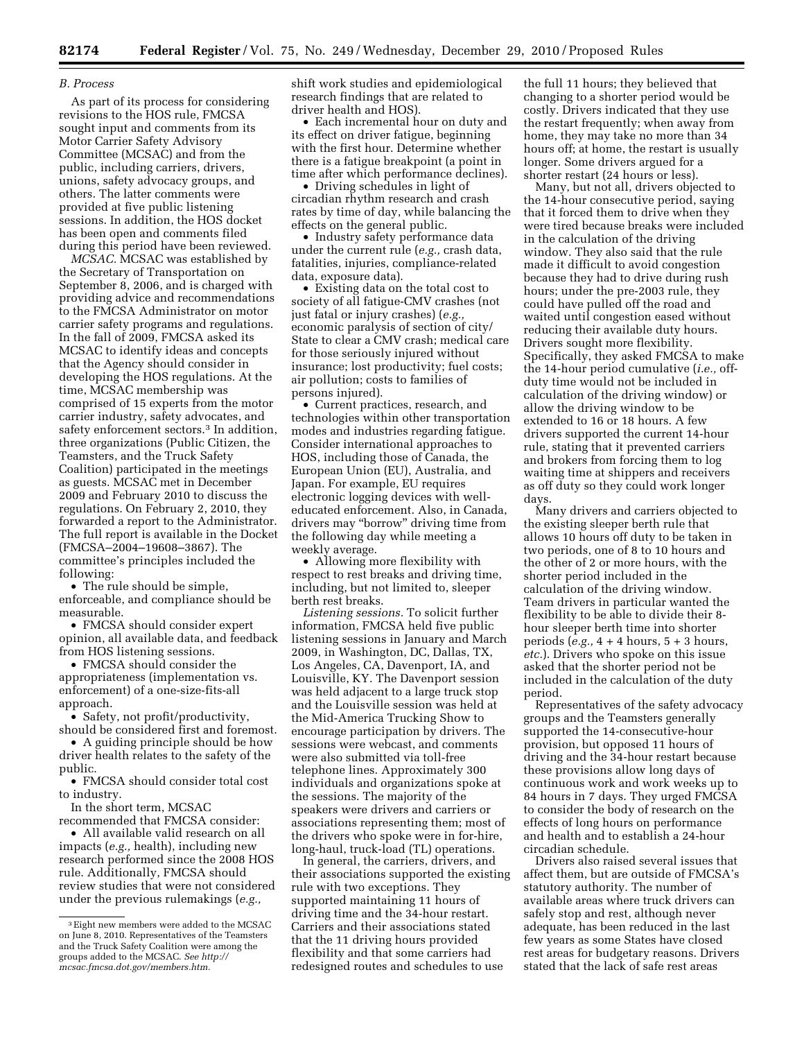### *B. Process*

As part of its process for considering revisions to the HOS rule, FMCSA sought input and comments from its Motor Carrier Safety Advisory Committee (MCSAC) and from the public, including carriers, drivers, unions, safety advocacy groups, and others. The latter comments were provided at five public listening sessions. In addition, the HOS docket has been open and comments filed during this period have been reviewed.

*MCSAC.* MCSAC was established by the Secretary of Transportation on September 8, 2006, and is charged with providing advice and recommendations to the FMCSA Administrator on motor carrier safety programs and regulations. In the fall of 2009, FMCSA asked its MCSAC to identify ideas and concepts that the Agency should consider in developing the HOS regulations. At the time, MCSAC membership was comprised of 15 experts from the motor carrier industry, safety advocates, and safety enforcement sectors.3 In addition, three organizations (Public Citizen, the Teamsters, and the Truck Safety Coalition) participated in the meetings as guests. MCSAC met in December 2009 and February 2010 to discuss the regulations. On February 2, 2010, they forwarded a report to the Administrator. The full report is available in the Docket (FMCSA–2004–19608–3867). The committee's principles included the following:

• The rule should be simple, enforceable, and compliance should be measurable.

• FMCSA should consider expert opinion, all available data, and feedback from HOS listening sessions.

• FMCSA should consider the appropriateness (implementation vs. enforcement) of a one-size-fits-all approach.

• Safety, not profit/productivity, should be considered first and foremost.

• A guiding principle should be how driver health relates to the safety of the public.

• FMCSA should consider total cost to industry.

In the short term, MCSAC

recommended that FMCSA consider: • All available valid research on all impacts (*e.g.,* health), including new research performed since the 2008 HOS rule. Additionally, FMCSA should review studies that were not considered under the previous rulemakings (*e.g.,* 

shift work studies and epidemiological research findings that are related to driver health and HOS).

• Each incremental hour on duty and its effect on driver fatigue, beginning with the first hour. Determine whether there is a fatigue breakpoint (a point in time after which performance declines).

• Driving schedules in light of circadian rhythm research and crash rates by time of day, while balancing the effects on the general public.

• Industry safety performance data under the current rule (*e.g.,* crash data, fatalities, injuries, compliance-related data, exposure data).

• Existing data on the total cost to society of all fatigue-CMV crashes (not just fatal or injury crashes) (*e.g.,*  economic paralysis of section of city/ State to clear a CMV crash; medical care for those seriously injured without insurance; lost productivity; fuel costs; air pollution; costs to families of persons injured).

• Current practices, research, and technologies within other transportation modes and industries regarding fatigue. Consider international approaches to HOS, including those of Canada, the European Union (EU), Australia, and Japan. For example, EU requires electronic logging devices with welleducated enforcement. Also, in Canada, drivers may ''borrow'' driving time from the following day while meeting a weekly average.

• Allowing more flexibility with respect to rest breaks and driving time, including, but not limited to, sleeper berth rest breaks.

*Listening sessions.* To solicit further information, FMCSA held five public listening sessions in January and March 2009, in Washington, DC, Dallas, TX, Los Angeles, CA, Davenport, IA, and Louisville, KY. The Davenport session was held adjacent to a large truck stop and the Louisville session was held at the Mid-America Trucking Show to encourage participation by drivers. The sessions were webcast, and comments were also submitted via toll-free telephone lines. Approximately 300 individuals and organizations spoke at the sessions. The majority of the speakers were drivers and carriers or associations representing them; most of the drivers who spoke were in for-hire, long-haul, truck-load (TL) operations.

In general, the carriers, drivers, and their associations supported the existing rule with two exceptions. They supported maintaining 11 hours of driving time and the 34-hour restart. Carriers and their associations stated that the 11 driving hours provided flexibility and that some carriers had redesigned routes and schedules to use

the full 11 hours; they believed that changing to a shorter period would be costly. Drivers indicated that they use the restart frequently; when away from home, they may take no more than 34 hours off; at home, the restart is usually longer. Some drivers argued for a shorter restart (24 hours or less).

Many, but not all, drivers objected to the 14-hour consecutive period, saying that it forced them to drive when they were tired because breaks were included in the calculation of the driving window. They also said that the rule made it difficult to avoid congestion because they had to drive during rush hours; under the pre-2003 rule, they could have pulled off the road and waited until congestion eased without reducing their available duty hours. Drivers sought more flexibility. Specifically, they asked FMCSA to make the 14-hour period cumulative (*i.e.,* offduty time would not be included in calculation of the driving window) or allow the driving window to be extended to 16 or 18 hours. A few drivers supported the current 14-hour rule, stating that it prevented carriers and brokers from forcing them to log waiting time at shippers and receivers as off duty so they could work longer days.

Many drivers and carriers objected to the existing sleeper berth rule that allows 10 hours off duty to be taken in two periods, one of 8 to 10 hours and the other of 2 or more hours, with the shorter period included in the calculation of the driving window. Team drivers in particular wanted the flexibility to be able to divide their 8 hour sleeper berth time into shorter periods (*e.g.,* 4 + 4 hours, 5 + 3 hours, *etc.*). Drivers who spoke on this issue asked that the shorter period not be included in the calculation of the duty period.

Representatives of the safety advocacy groups and the Teamsters generally supported the 14-consecutive-hour provision, but opposed 11 hours of driving and the 34-hour restart because these provisions allow long days of continuous work and work weeks up to 84 hours in 7 days. They urged FMCSA to consider the body of research on the effects of long hours on performance and health and to establish a 24-hour circadian schedule.

Drivers also raised several issues that affect them, but are outside of FMCSA's statutory authority. The number of available areas where truck drivers can safely stop and rest, although never adequate, has been reduced in the last few years as some States have closed rest areas for budgetary reasons. Drivers stated that the lack of safe rest areas

<sup>3</sup>Eight new members were added to the MCSAC on June 8, 2010. Representatives of the Teamsters and the Truck Safety Coalition were among the groups added to the MCSAC. *See [http://](http://mcsac.fmcsa.dot.gov/members.htm)  [mcsac.fmcsa.dot.gov/members.htm.](http://mcsac.fmcsa.dot.gov/members.htm)*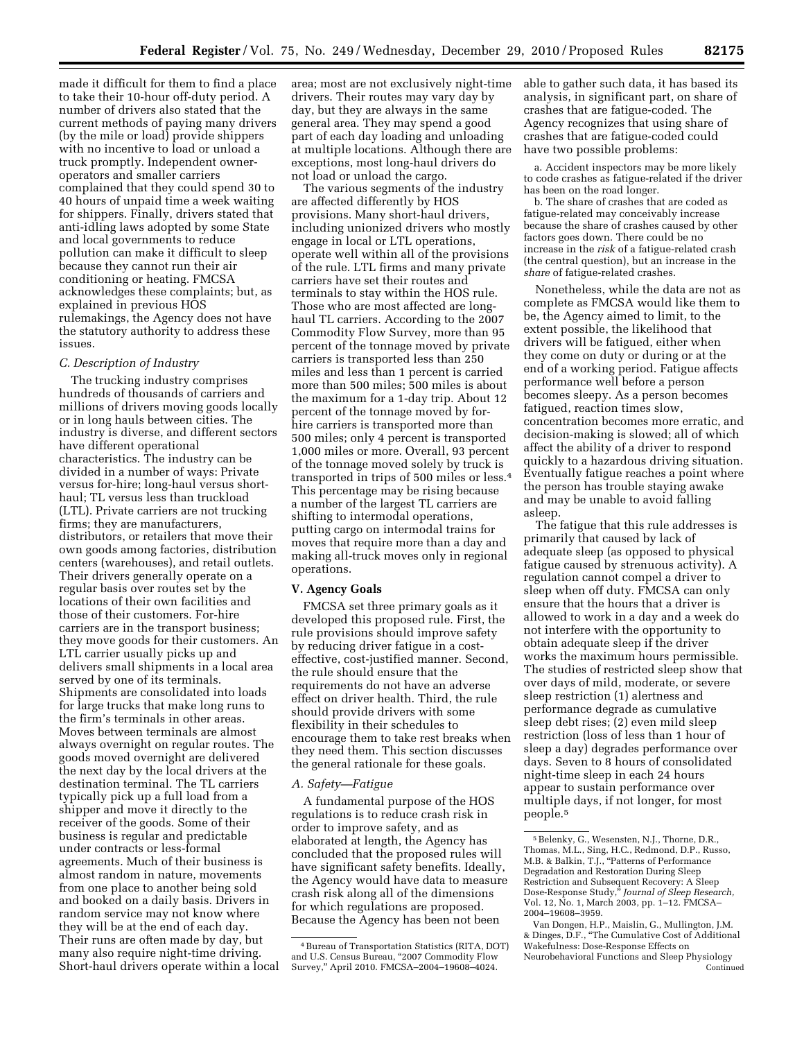made it difficult for them to find a place to take their 10-hour off-duty period. A number of drivers also stated that the current methods of paying many drivers (by the mile or load) provide shippers with no incentive to load or unload a truck promptly. Independent owneroperators and smaller carriers complained that they could spend 30 to 40 hours of unpaid time a week waiting for shippers. Finally, drivers stated that anti-idling laws adopted by some State and local governments to reduce pollution can make it difficult to sleep because they cannot run their air conditioning or heating. FMCSA acknowledges these complaints; but, as explained in previous HOS rulemakings, the Agency does not have the statutory authority to address these issues.

# *C. Description of Industry*

The trucking industry comprises hundreds of thousands of carriers and millions of drivers moving goods locally or in long hauls between cities. The industry is diverse, and different sectors have different operational characteristics. The industry can be divided in a number of ways: Private versus for-hire; long-haul versus shorthaul; TL versus less than truckload (LTL). Private carriers are not trucking firms; they are manufacturers, distributors, or retailers that move their own goods among factories, distribution centers (warehouses), and retail outlets. Their drivers generally operate on a regular basis over routes set by the locations of their own facilities and those of their customers. For-hire carriers are in the transport business; they move goods for their customers. An LTL carrier usually picks up and delivers small shipments in a local area served by one of its terminals. Shipments are consolidated into loads for large trucks that make long runs to the firm's terminals in other areas. Moves between terminals are almost always overnight on regular routes. The goods moved overnight are delivered the next day by the local drivers at the destination terminal. The TL carriers typically pick up a full load from a shipper and move it directly to the receiver of the goods. Some of their business is regular and predictable under contracts or less-formal agreements. Much of their business is almost random in nature, movements from one place to another being sold and booked on a daily basis. Drivers in random service may not know where they will be at the end of each day. Their runs are often made by day, but many also require night-time driving. Short-haul drivers operate within a local area; most are not exclusively night-time drivers. Their routes may vary day by day, but they are always in the same general area. They may spend a good part of each day loading and unloading at multiple locations. Although there are exceptions, most long-haul drivers do not load or unload the cargo.

The various segments of the industry are affected differently by HOS provisions. Many short-haul drivers, including unionized drivers who mostly engage in local or LTL operations, operate well within all of the provisions of the rule. LTL firms and many private carriers have set their routes and terminals to stay within the HOS rule. Those who are most affected are longhaul TL carriers. According to the 2007 Commodity Flow Survey, more than 95 percent of the tonnage moved by private carriers is transported less than 250 miles and less than 1 percent is carried more than 500 miles; 500 miles is about the maximum for a 1-day trip. About 12 percent of the tonnage moved by forhire carriers is transported more than 500 miles; only 4 percent is transported 1,000 miles or more. Overall, 93 percent of the tonnage moved solely by truck is transported in trips of 500 miles or less.4 This percentage may be rising because a number of the largest TL carriers are shifting to intermodal operations, putting cargo on intermodal trains for moves that require more than a day and making all-truck moves only in regional operations.

## **V. Agency Goals**

FMCSA set three primary goals as it developed this proposed rule. First, the rule provisions should improve safety by reducing driver fatigue in a costeffective, cost-justified manner. Second, the rule should ensure that the requirements do not have an adverse effect on driver health. Third, the rule should provide drivers with some flexibility in their schedules to encourage them to take rest breaks when they need them. This section discusses the general rationale for these goals.

## *A. Safety—Fatigue*

A fundamental purpose of the HOS regulations is to reduce crash risk in order to improve safety, and as elaborated at length, the Agency has concluded that the proposed rules will have significant safety benefits. Ideally, the Agency would have data to measure crash risk along all of the dimensions for which regulations are proposed. Because the Agency has been not been

able to gather such data, it has based its analysis, in significant part, on share of crashes that are fatigue-coded. The Agency recognizes that using share of crashes that are fatigue-coded could have two possible problems:

a. Accident inspectors may be more likely to code crashes as fatigue-related if the driver has been on the road longer.

b. The share of crashes that are coded as fatigue-related may conceivably increase because the share of crashes caused by other factors goes down. There could be no increase in the *risk* of a fatigue-related crash (the central question), but an increase in the *share* of fatigue-related crashes.

Nonetheless, while the data are not as complete as FMCSA would like them to be, the Agency aimed to limit, to the extent possible, the likelihood that drivers will be fatigued, either when they come on duty or during or at the end of a working period. Fatigue affects performance well before a person becomes sleepy. As a person becomes fatigued, reaction times slow, concentration becomes more erratic, and decision-making is slowed; all of which affect the ability of a driver to respond quickly to a hazardous driving situation. Eventually fatigue reaches a point where the person has trouble staying awake and may be unable to avoid falling asleep.

The fatigue that this rule addresses is primarily that caused by lack of adequate sleep (as opposed to physical fatigue caused by strenuous activity). A regulation cannot compel a driver to sleep when off duty. FMCSA can only ensure that the hours that a driver is allowed to work in a day and a week do not interfere with the opportunity to obtain adequate sleep if the driver works the maximum hours permissible. The studies of restricted sleep show that over days of mild, moderate, or severe sleep restriction (1) alertness and performance degrade as cumulative sleep debt rises; (2) even mild sleep restriction (loss of less than 1 hour of sleep a day) degrades performance over days. Seven to 8 hours of consolidated night-time sleep in each 24 hours appear to sustain performance over multiple days, if not longer, for most people.5

<sup>4</sup>Bureau of Transportation Statistics (RITA, DOT) and U.S. Census Bureau, ''2007 Commodity Flow Survey,'' April 2010. FMCSA–2004–19608–4024.

<sup>5</sup>Belenky, G., Wesensten, N.J., Thorne, D.R., Thomas, M.L., Sing, H.C., Redmond, D.P., Russo, M.B. & Balkin, T.J., ''Patterns of Performance Degradation and Restoration During Sleep Restriction and Subsequent Recovery: A Sleep Dose-Response Study,'' *Journal of Sleep Research,*  Vol. 12, No. 1, March 2003, pp. 1–12. FMCSA– 2004–19608–3959.

Van Dongen, H.P., Maislin, G., Mullington, J.M. & Dinges, D.F., ''The Cumulative Cost of Additional Wakefulness: Dose-Response Effects on Neurobehavioral Functions and Sleep Physiology Continued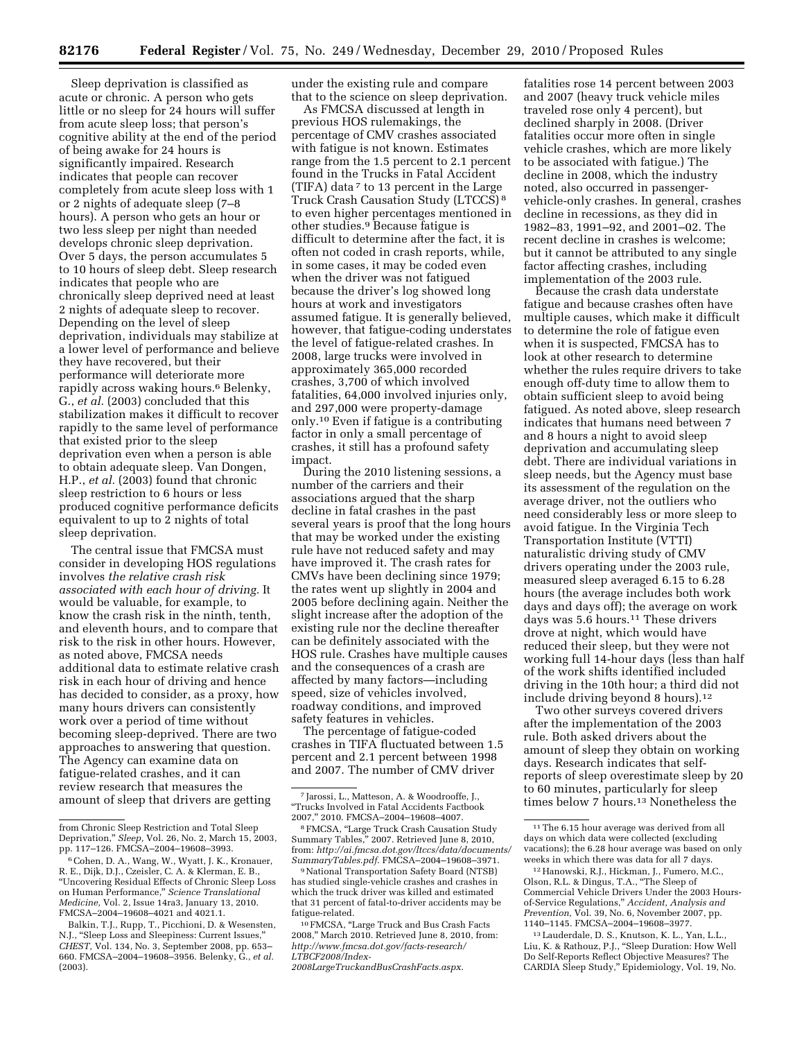Sleep deprivation is classified as acute or chronic. A person who gets little or no sleep for 24 hours will suffer from acute sleep loss; that person's cognitive ability at the end of the period of being awake for 24 hours is significantly impaired. Research indicates that people can recover completely from acute sleep loss with 1 or 2 nights of adequate sleep (7–8 hours). A person who gets an hour or two less sleep per night than needed develops chronic sleep deprivation. Over 5 days, the person accumulates 5 to 10 hours of sleep debt. Sleep research indicates that people who are chronically sleep deprived need at least 2 nights of adequate sleep to recover. Depending on the level of sleep deprivation, individuals may stabilize at a lower level of performance and believe they have recovered, but their performance will deteriorate more rapidly across waking hours.<sup>6</sup> Belenky, G., *et al.* (2003) concluded that this stabilization makes it difficult to recover rapidly to the same level of performance that existed prior to the sleep deprivation even when a person is able to obtain adequate sleep. Van Dongen, H.P., *et al.* (2003) found that chronic sleep restriction to 6 hours or less produced cognitive performance deficits equivalent to up to 2 nights of total sleep deprivation.

The central issue that FMCSA must consider in developing HOS regulations involves *the relative crash risk associated with each hour of driving.* It would be valuable, for example, to know the crash risk in the ninth, tenth, and eleventh hours, and to compare that risk to the risk in other hours. However, as noted above, FMCSA needs additional data to estimate relative crash risk in each hour of driving and hence has decided to consider, as a proxy, how many hours drivers can consistently work over a period of time without becoming sleep-deprived. There are two approaches to answering that question. The Agency can examine data on fatigue-related crashes, and it can review research that measures the amount of sleep that drivers are getting

under the existing rule and compare that to the science on sleep deprivation.

As FMCSA discussed at length in previous HOS rulemakings, the percentage of CMV crashes associated with fatigue is not known. Estimates range from the 1.5 percent to 2.1 percent found in the Trucks in Fatal Accident (TIFA) data 7 to 13 percent in the Large Truck Crash Causation Study (LTCCS) 8 to even higher percentages mentioned in other studies.9 Because fatigue is difficult to determine after the fact, it is often not coded in crash reports, while, in some cases, it may be coded even when the driver was not fatigued because the driver's log showed long hours at work and investigators assumed fatigue. It is generally believed, however, that fatigue-coding understates the level of fatigue-related crashes. In 2008, large trucks were involved in approximately 365,000 recorded crashes, 3,700 of which involved fatalities, 64,000 involved injuries only, and 297,000 were property-damage only.10 Even if fatigue is a contributing factor in only a small percentage of crashes, it still has a profound safety impact.

During the 2010 listening sessions, a number of the carriers and their associations argued that the sharp decline in fatal crashes in the past several years is proof that the long hours that may be worked under the existing rule have not reduced safety and may have improved it. The crash rates for CMVs have been declining since 1979; the rates went up slightly in 2004 and 2005 before declining again. Neither the slight increase after the adoption of the existing rule nor the decline thereafter can be definitely associated with the HOS rule. Crashes have multiple causes and the consequences of a crash are affected by many factors—including speed, size of vehicles involved, roadway conditions, and improved safety features in vehicles.

The percentage of fatigue-coded crashes in TIFA fluctuated between 1.5 percent and 2.1 percent between 1998 and 2007. The number of CMV driver

*[2008LargeTruckandBusCrashFacts.aspx](http://www.fmcsa.dot.gov/facts-research/LTBCF2008/Index-2008LargeTruckandBusCrashFacts.aspx)*.

fatalities rose 14 percent between 2003 and 2007 (heavy truck vehicle miles traveled rose only 4 percent), but declined sharply in 2008. (Driver fatalities occur more often in single vehicle crashes, which are more likely to be associated with fatigue.) The decline in 2008, which the industry noted, also occurred in passengervehicle-only crashes. In general, crashes decline in recessions, as they did in 1982–83, 1991–92, and 2001–02. The recent decline in crashes is welcome; but it cannot be attributed to any single factor affecting crashes, including implementation of the 2003 rule.

Because the crash data understate fatigue and because crashes often have multiple causes, which make it difficult to determine the role of fatigue even when it is suspected, FMCSA has to look at other research to determine whether the rules require drivers to take enough off-duty time to allow them to obtain sufficient sleep to avoid being fatigued. As noted above, sleep research indicates that humans need between 7 and 8 hours a night to avoid sleep deprivation and accumulating sleep debt. There are individual variations in sleep needs, but the Agency must base its assessment of the regulation on the average driver, not the outliers who need considerably less or more sleep to avoid fatigue. In the Virginia Tech Transportation Institute (VTTI) naturalistic driving study of CMV drivers operating under the 2003 rule, measured sleep averaged 6.15 to 6.28 hours (the average includes both work days and days off); the average on work days was 5.6 hours.<sup>11</sup> These drivers drove at night, which would have reduced their sleep, but they were not working full 14-hour days (less than half of the work shifts identified included driving in the 10th hour; a third did not include driving beyond 8 hours).12

Two other surveys covered drivers after the implementation of the 2003 rule. Both asked drivers about the amount of sleep they obtain on working days. Research indicates that selfreports of sleep overestimate sleep by 20 to 60 minutes, particularly for sleep times below 7 hours.13 Nonetheless the

from Chronic Sleep Restriction and Total Sleep Deprivation,'' *Sleep,* Vol. 26, No. 2, March 15, 2003, pp. 117–126. FMCSA–2004–19608–3993.

<sup>6</sup>Cohen, D. A., Wang, W., Wyatt, J. K., Kronauer, R. E., Dijk, D.J., Czeisler, C. A. & Klerman, E. B., ''Uncovering Residual Effects of Chronic Sleep Loss on Human Performance,'' *Science Translational Medicine,* Vol. 2, Issue 14ra3, January 13, 2010. FMCSA–2004–19608–4021 and 4021.1.

Balkin, T.J., Rupp, T., Picchioni, D. & Wesensten, N.J., "Sleep Loss and Sleepiness: Current Issues, *CHEST,* Vol. 134, No. 3, September 2008, pp. 653– 660. FMCSA–2004–19608–3956. Belenky, G., *et al.*  (2003).

<sup>7</sup> Jarossi, L., Matteson, A. & Woodrooffe, J., ''Trucks Involved in Fatal Accidents Factbook 2007,'' 2010. FMCSA–2004–19608–4007.

<sup>8</sup>FMCSA, ''Large Truck Crash Causation Study Summary Tables,'' 2007. Retrieved June 8, 2010, from: *[http://ai.fmcsa.dot.gov/ltccs/data/documents/](http://ai.fmcsa.dot.gov/ltccs/data/documents/SummaryTables.pdf) [SummaryTables.pdf](http://ai.fmcsa.dot.gov/ltccs/data/documents/SummaryTables.pdf)*. FMCSA–2004–19608–3971.

<sup>9</sup>National Transportation Safety Board (NTSB) has studied single-vehicle crashes and crashes in which the truck driver was killed and estimated that 31 percent of fatal-to-driver accidents may be fatigue-related.

<sup>10</sup>FMCSA, ''Large Truck and Bus Crash Facts 2008,'' March 2010. Retrieved June 8, 2010, from: *[http://www.fmcsa.dot.gov/facts-research/](http://www.fmcsa.dot.gov/facts-research/LTBCF2008/Index-2008LargeTruckandBusCrashFacts.aspx) [LTBCF2008/Index-](http://www.fmcsa.dot.gov/facts-research/LTBCF2008/Index-2008LargeTruckandBusCrashFacts.aspx)*

<sup>&</sup>lt;sup>11</sup>The 6.15 hour average was derived from all days on which data were collected (excluding vacations); the 6.28 hour average was based on only weeks in which there was data for all 7 days.

<sup>12</sup>Hanowski, R.J., Hickman, J., Fumero, M.C., Olson, R.L. & Dingus, T.A., ''The Sleep of Commercial Vehicle Drivers Under the 2003 Hoursof-Service Regulations,'' *Accident, Analysis and Prevention,* Vol. 39, No. 6, November 2007, pp. 1140–1145. FMCSA–2004–19608–3977.

<sup>13</sup>Lauderdale, D. S., Knutson, K. L., Yan, L.L., Liu, K. & Rathouz, P.J., "Sleep Duration: How Well Do Self-Reports Reflect Objective Measures? The CARDIA Sleep Study,'' Epidemiology, Vol. 19, No.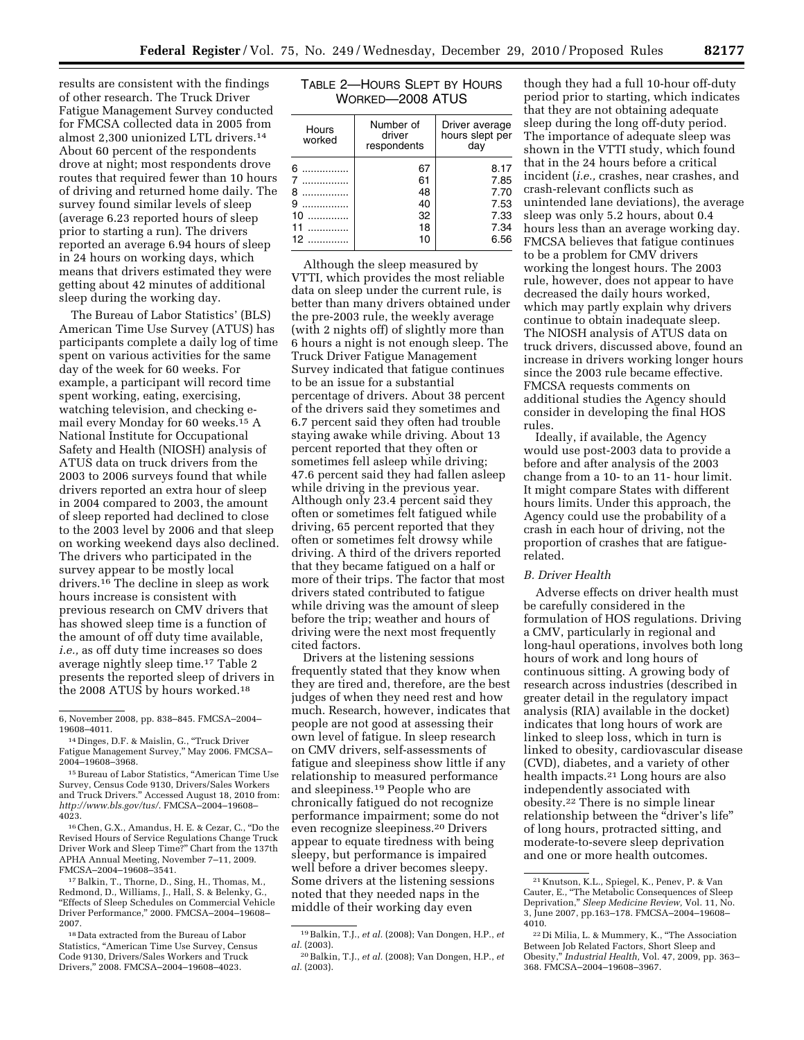results are consistent with the findings of other research. The Truck Driver Fatigue Management Survey conducted for FMCSA collected data in 2005 from almost 2,300 unionized LTL drivers.14 About 60 percent of the respondents drove at night; most respondents drove routes that required fewer than 10 hours of driving and returned home daily. The survey found similar levels of sleep (average 6.23 reported hours of sleep prior to starting a run). The drivers reported an average 6.94 hours of sleep in 24 hours on working days, which means that drivers estimated they were getting about 42 minutes of additional sleep during the working day.

The Bureau of Labor Statistics' (BLS) American Time Use Survey (ATUS) has participants complete a daily log of time spent on various activities for the same day of the week for 60 weeks. For example, a participant will record time spent working, eating, exercising, watching television, and checking email every Monday for 60 weeks.15 A National Institute for Occupational Safety and Health (NIOSH) analysis of ATUS data on truck drivers from the 2003 to 2006 surveys found that while drivers reported an extra hour of sleep in 2004 compared to 2003, the amount of sleep reported had declined to close to the 2003 level by 2006 and that sleep on working weekend days also declined. The drivers who participated in the survey appear to be mostly local drivers.16 The decline in sleep as work hours increase is consistent with previous research on CMV drivers that has showed sleep time is a function of the amount of off duty time available, *i.e.,* as off duty time increases so does average nightly sleep time.17 Table 2 presents the reported sleep of drivers in the 2008 ATUS by hours worked.18

16Chen, G.X., Amandus, H. E. & Cezar, C., ''Do the Revised Hours of Service Regulations Change Truck Driver Work and Sleep Time?'' Chart from the 137th APHA Annual Meeting, November 7–11, 2009. FMCSA–2004–19608–3541.

17Balkin, T., Thorne, D., Sing, H., Thomas, M., Redmond, D., Williams, J., Hall, S. & Belenky, G., ''Effects of Sleep Schedules on Commercial Vehicle Driver Performance,'' 2000. FMCSA–2004–19608– 2007.

| TABLE 2—HOURS SLEPT BY HOURS |
|------------------------------|
| WORKED-2008 ATUS             |

| Hours<br>worked               | Number of<br>driver<br>respondents     | Driver average<br>hours slept per<br>day             |
|-------------------------------|----------------------------------------|------------------------------------------------------|
| 6<br>8<br>9<br>10<br>11<br>12 | 67<br>61<br>48<br>40<br>32<br>18<br>10 | 8.17<br>7.85<br>7.70<br>7.53<br>7.33<br>7.34<br>6.56 |

Although the sleep measured by VTTI, which provides the most reliable data on sleep under the current rule, is better than many drivers obtained under the pre-2003 rule, the weekly average (with 2 nights off) of slightly more than 6 hours a night is not enough sleep. The Truck Driver Fatigue Management Survey indicated that fatigue continues to be an issue for a substantial percentage of drivers. About 38 percent of the drivers said they sometimes and 6.7 percent said they often had trouble staying awake while driving. About 13 percent reported that they often or sometimes fell asleep while driving; 47.6 percent said they had fallen asleep while driving in the previous year. Although only 23.4 percent said they often or sometimes felt fatigued while driving, 65 percent reported that they often or sometimes felt drowsy while driving. A third of the drivers reported that they became fatigued on a half or more of their trips. The factor that most drivers stated contributed to fatigue while driving was the amount of sleep before the trip; weather and hours of driving were the next most frequently cited factors.

Drivers at the listening sessions frequently stated that they know when they are tired and, therefore, are the best judges of when they need rest and how much. Research, however, indicates that people are not good at assessing their own level of fatigue. In sleep research on CMV drivers, self-assessments of fatigue and sleepiness show little if any relationship to measured performance and sleepiness.19 People who are chronically fatigued do not recognize performance impairment; some do not even recognize sleepiness.20 Drivers appear to equate tiredness with being sleepy, but performance is impaired well before a driver becomes sleepy. Some drivers at the listening sessions noted that they needed naps in the middle of their working day even

though they had a full 10-hour off-duty period prior to starting, which indicates that they are not obtaining adequate sleep during the long off-duty period. The importance of adequate sleep was shown in the VTTI study, which found that in the 24 hours before a critical incident (*i.e.,* crashes, near crashes, and crash-relevant conflicts such as unintended lane deviations), the average sleep was only 5.2 hours, about 0.4 hours less than an average working day. FMCSA believes that fatigue continues to be a problem for CMV drivers working the longest hours. The 2003 rule, however, does not appear to have decreased the daily hours worked, which may partly explain why drivers continue to obtain inadequate sleep. The NIOSH analysis of ATUS data on truck drivers, discussed above, found an increase in drivers working longer hours since the 2003 rule became effective. FMCSA requests comments on additional studies the Agency should consider in developing the final HOS rules.

Ideally, if available, the Agency would use post-2003 data to provide a before and after analysis of the 2003 change from a 10- to an 11- hour limit. It might compare States with different hours limits. Under this approach, the Agency could use the probability of a crash in each hour of driving, not the proportion of crashes that are fatiguerelated.

# *B. Driver Health*

Adverse effects on driver health must be carefully considered in the formulation of HOS regulations. Driving a CMV, particularly in regional and long-haul operations, involves both long hours of work and long hours of continuous sitting. A growing body of research across industries (described in greater detail in the regulatory impact analysis (RIA) available in the docket) indicates that long hours of work are linked to sleep loss, which in turn is linked to obesity, cardiovascular disease (CVD), diabetes, and a variety of other health impacts.21 Long hours are also independently associated with obesity.22 There is no simple linear relationship between the "driver's life" of long hours, protracted sitting, and moderate-to-severe sleep deprivation and one or more health outcomes.

<sup>6,</sup> November 2008, pp. 838–845. FMCSA–2004– 19608–4011.

<sup>14</sup> Dinges, D.F. & Maislin, G., ''Truck Driver Fatigue Management Survey,'' May 2006. FMCSA– 2004–19608–3968.

<sup>&</sup>lt;sup>15</sup> Bureau of Labor Statistics, "American Time Use Survey, Census Code 9130, Drivers/Sales Workers and Truck Drivers.'' Accessed August 18, 2010 from: *<http://www.bls.gov/tus/>*. FMCSA–2004–19608– 4023.

<sup>18</sup> Data extracted from the Bureau of Labor Statistics, ''American Time Use Survey, Census Code 9130, Drivers/Sales Workers and Truck Drivers,'' 2008. FMCSA–2004–19608–4023.

<sup>19</sup>Balkin, T.J., *et al.* (2008); Van Dongen, H.P., *et al.* (2003).

<sup>20</sup>Balkin, T.J., *et al.* (2008); Van Dongen, H.P., *et al.* (2003).

<sup>21</sup> Knutson, K.L., Spiegel, K., Penev, P. & Van Cauter, E., ''The Metabolic Consequences of Sleep Deprivation,'' *Sleep Medicine Review,* Vol. 11, No. 3, June 2007, pp.163–178. FMCSA–2004–19608– 4010.

<sup>22</sup> Di Milia, L. & Mummery, K., ''The Association Between Job Related Factors, Short Sleep and Obesity,'' *Industrial Health,* Vol. 47, 2009, pp. 363– 368. FMCSA–2004–19608–3967.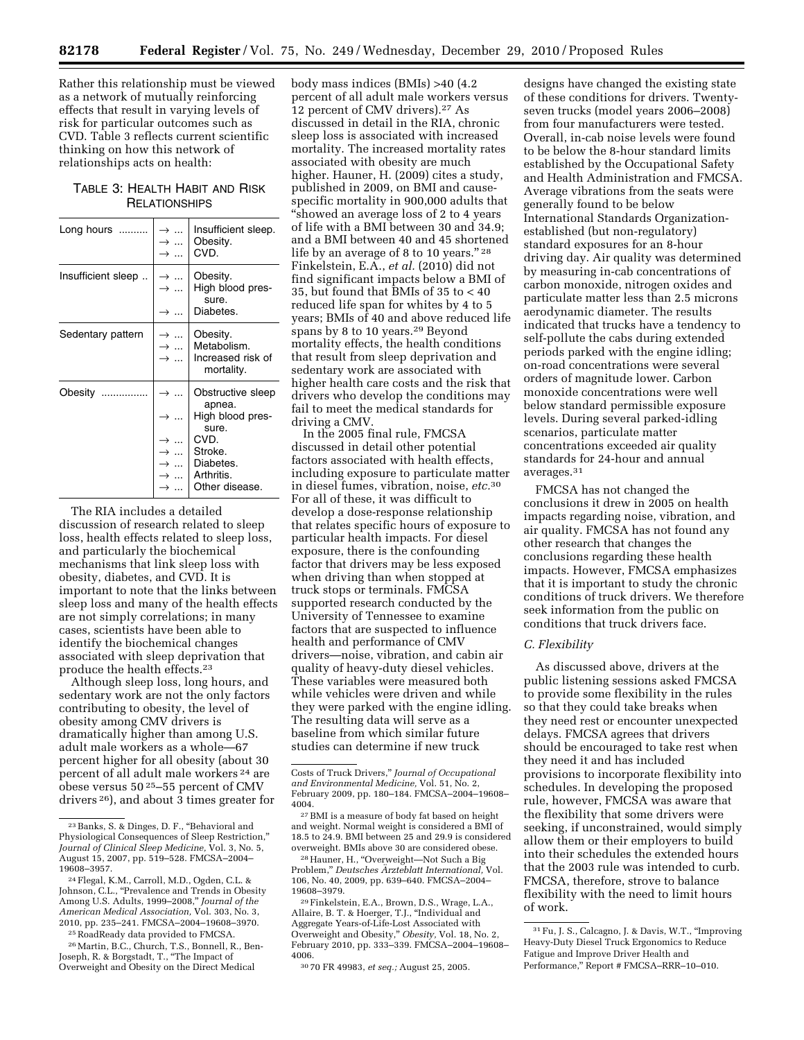Rather this relationship must be viewed as a network of mutually reinforcing effects that result in varying levels of risk for particular outcomes such as CVD. Table 3 reflects current scientific thinking on how this network of relationships acts on health:

TABLE 3: HEALTH HABIT AND RISK **RELATIONSHIPS** 

| Long hours         | $\rightarrow$<br>$\rightarrow$                  | Insufficient sleep.<br>Obesity.<br>CVD.                    |
|--------------------|-------------------------------------------------|------------------------------------------------------------|
| Insufficient sleep | $\rightarrow$<br>$\rightarrow$<br>$\rightarrow$ | Obesity.<br>High blood pres-<br>sure.<br>Diabetes.         |
| Sedentary pattern  | $\rightarrow$<br>$\rightarrow$<br>$\ddotsc$     | Obesity.<br>Metabolism.<br>Increased risk of<br>mortality. |
| Obesity<br>.       |                                                 | Obstructive sleep<br>apnea.                                |
|                    | →                                               | High blood pres-<br>sure.                                  |
|                    |                                                 | CVD.                                                       |
|                    |                                                 | Stroke.                                                    |
|                    |                                                 | Diabetes.                                                  |
|                    |                                                 | Arthritis.                                                 |
|                    |                                                 | Other disease.                                             |

The RIA includes a detailed discussion of research related to sleep loss, health effects related to sleep loss, and particularly the biochemical mechanisms that link sleep loss with obesity, diabetes, and CVD. It is important to note that the links between sleep loss and many of the health effects are not simply correlations; in many cases, scientists have been able to identify the biochemical changes associated with sleep deprivation that produce the health effects.23

Although sleep loss, long hours, and sedentary work are not the only factors contributing to obesity, the level of obesity among CMV drivers is dramatically higher than among U.S. adult male workers as a whole—67 percent higher for all obesity (about 30 percent of all adult male workers 24 are obese versus 50 25–55 percent of CMV drivers 26), and about 3 times greater for

25RoadReady data provided to FMCSA.

body mass indices (BMIs) >40 (4.2 percent of all adult male workers versus 12 percent of CMV drivers).27 As discussed in detail in the RIA, chronic sleep loss is associated with increased mortality. The increased mortality rates associated with obesity are much higher. Hauner, H. (2009) cites a study, published in 2009, on BMI and causespecific mortality in 900,000 adults that ''showed an average loss of 2 to 4 years of life with a BMI between 30 and 34.9; and a BMI between 40 and 45 shortened life by an average of 8 to 10 years."<sup>28</sup> Finkelstein, E.A., *et al.* (2010) did not find significant impacts below a BMI of 35, but found that BMIs of 35 to < 40 reduced life span for whites by 4 to 5 years; BMIs of 40 and above reduced life spans by 8 to 10 years.29 Beyond mortality effects, the health conditions that result from sleep deprivation and sedentary work are associated with higher health care costs and the risk that drivers who develop the conditions may fail to meet the medical standards for driving a CMV.

In the 2005 final rule, FMCSA discussed in detail other potential factors associated with health effects, including exposure to particulate matter in diesel fumes, vibration, noise, *etc.*30 For all of these, it was difficult to develop a dose-response relationship that relates specific hours of exposure to particular health impacts. For diesel exposure, there is the confounding factor that drivers may be less exposed when driving than when stopped at truck stops or terminals. FMCSA supported research conducted by the University of Tennessee to examine factors that are suspected to influence health and performance of CMV drivers—noise, vibration, and cabin air quality of heavy-duty diesel vehicles. These variables were measured both while vehicles were driven and while they were parked with the engine idling. The resulting data will serve as a baseline from which similar future studies can determine if new truck

<sup>28</sup> Hauner, H., "Overweight-Not Such a Big Problem,'' *Deutsches A¨ rzteblatt International,* Vol. 106, No. 40, 2009, pp. 639–640. FMCSA–2004– 19608–3979.

29Finkelstein, E.A., Brown, D.S., Wrage, L.A., Allaire, B. T. & Hoerger, T.J., ''Individual and Aggregate Years-of-Life-Lost Associated with<br>Overweight and Obesity," *Obesity,* Vol. 18, No. 2, February 2010, pp. 333–339. FMCSA–2004–19608– 4006.

30 70 FR 49983, *et seq.;* August 25, 2005.

designs have changed the existing state of these conditions for drivers. Twentyseven trucks (model years 2006–2008) from four manufacturers were tested. Overall, in-cab noise levels were found to be below the 8-hour standard limits established by the Occupational Safety and Health Administration and FMCSA. Average vibrations from the seats were generally found to be below International Standards Organizationestablished (but non-regulatory) standard exposures for an 8-hour driving day. Air quality was determined by measuring in-cab concentrations of carbon monoxide, nitrogen oxides and particulate matter less than 2.5 microns aerodynamic diameter. The results indicated that trucks have a tendency to self-pollute the cabs during extended periods parked with the engine idling; on-road concentrations were several orders of magnitude lower. Carbon monoxide concentrations were well below standard permissible exposure levels. During several parked-idling scenarios, particulate matter concentrations exceeded air quality standards for 24-hour and annual averages.31

FMCSA has not changed the conclusions it drew in 2005 on health impacts regarding noise, vibration, and air quality. FMCSA has not found any other research that changes the conclusions regarding these health impacts. However, FMCSA emphasizes that it is important to study the chronic conditions of truck drivers. We therefore seek information from the public on conditions that truck drivers face.

# *C. Flexibility*

As discussed above, drivers at the public listening sessions asked FMCSA to provide some flexibility in the rules so that they could take breaks when they need rest or encounter unexpected delays. FMCSA agrees that drivers should be encouraged to take rest when they need it and has included provisions to incorporate flexibility into schedules. In developing the proposed rule, however, FMCSA was aware that the flexibility that some drivers were seeking, if unconstrained, would simply allow them or their employers to build into their schedules the extended hours that the 2003 rule was intended to curb. FMCSA, therefore, strove to balance flexibility with the need to limit hours of work.

<sup>23</sup>Banks, S. & Dinges, D. F., ''Behavioral and Physiological Consequences of Sleep Restriction,'' *Journal of Clinical Sleep Medicine,* Vol. 3, No. 5, August 15, 2007, pp. 519–528. FMCSA–2004– 19608–3957.

<sup>24</sup>Flegal, K.M., Carroll, M.D., Ogden, C.L. & Johnson, C.L., "Prevalence and Trends in Obesity Among U.S. Adults, 1999–2008,'' *Journal of the American Medical Association,* Vol. 303, No. 3, 2010, pp. 235–241. FMCSA–2004–19608–3970.

<sup>26</sup>Martin, B.C., Church, T.S., Bonnell, R., Ben-Joseph, R. & Borgstadt, T., ''The Impact of Overweight and Obesity on the Direct Medical

Costs of Truck Drivers,'' *Journal of Occupational and Environmental Medicine,* Vol. 51, No. 2, February 2009, pp. 180–184. FMCSA–2004–19608– 4004.

<sup>27</sup>BMI is a measure of body fat based on height and weight. Normal weight is considered a BMI of 18.5 to 24.9. BMI between 25 and 29.9 is considered overweight. BMIs above 30 are considered obese.

<sup>31</sup>Fu, J. S., Calcagno, J. & Davis, W.T., ''Improving Heavy-Duty Diesel Truck Ergonomics to Reduce Fatigue and Improve Driver Health and Performance,'' Report # FMCSA–RRR–10–010.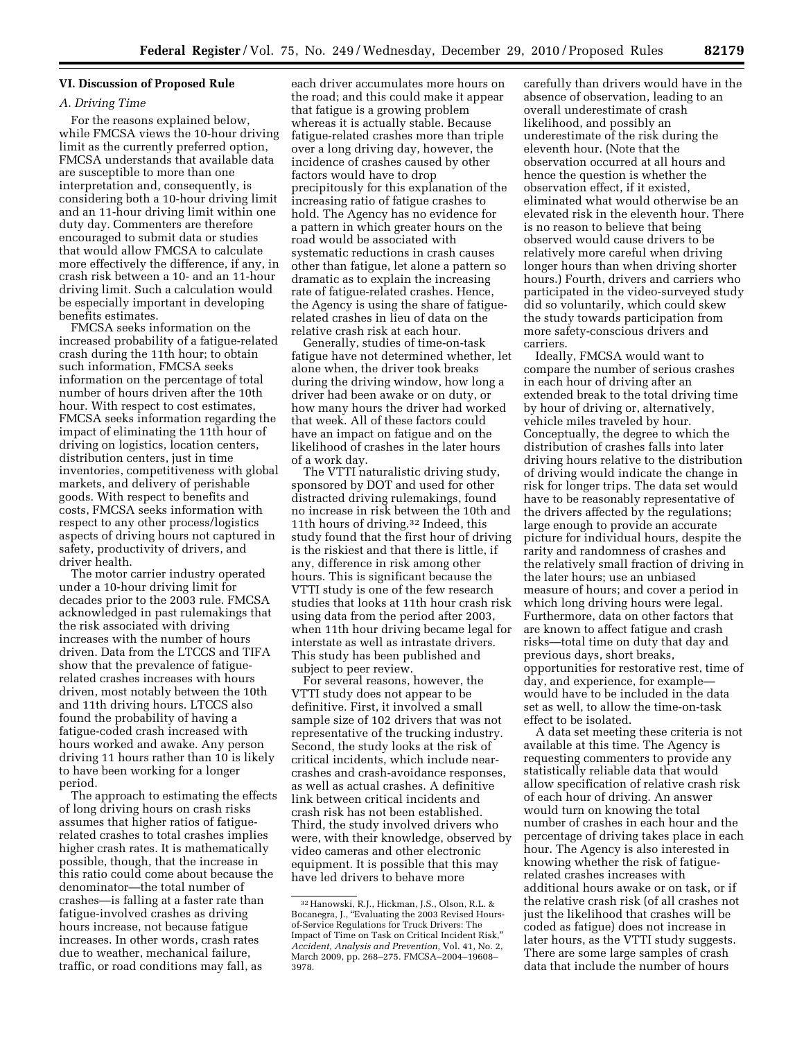# **VI. Discussion of Proposed Rule**

### *A. Driving Time*

For the reasons explained below, while FMCSA views the 10-hour driving limit as the currently preferred option, FMCSA understands that available data are susceptible to more than one interpretation and, consequently, is considering both a 10-hour driving limit and an 11-hour driving limit within one duty day. Commenters are therefore encouraged to submit data or studies that would allow FMCSA to calculate more effectively the difference, if any, in crash risk between a 10- and an 11-hour driving limit. Such a calculation would be especially important in developing benefits estimates.

FMCSA seeks information on the increased probability of a fatigue-related crash during the 11th hour; to obtain such information, FMCSA seeks information on the percentage of total number of hours driven after the 10th hour. With respect to cost estimates, FMCSA seeks information regarding the impact of eliminating the 11th hour of driving on logistics, location centers, distribution centers, just in time inventories, competitiveness with global markets, and delivery of perishable goods. With respect to benefits and costs, FMCSA seeks information with respect to any other process/logistics aspects of driving hours not captured in safety, productivity of drivers, and driver health.

The motor carrier industry operated under a 10-hour driving limit for decades prior to the 2003 rule. FMCSA acknowledged in past rulemakings that the risk associated with driving increases with the number of hours driven. Data from the LTCCS and TIFA show that the prevalence of fatiguerelated crashes increases with hours driven, most notably between the 10th and 11th driving hours. LTCCS also found the probability of having a fatigue-coded crash increased with hours worked and awake. Any person driving 11 hours rather than 10 is likely to have been working for a longer period.

The approach to estimating the effects of long driving hours on crash risks assumes that higher ratios of fatiguerelated crashes to total crashes implies higher crash rates. It is mathematically possible, though, that the increase in this ratio could come about because the denominator—the total number of crashes—is falling at a faster rate than fatigue-involved crashes as driving hours increase, not because fatigue increases. In other words, crash rates due to weather, mechanical failure, traffic, or road conditions may fall, as

each driver accumulates more hours on the road; and this could make it appear that fatigue is a growing problem whereas it is actually stable. Because fatigue-related crashes more than triple over a long driving day, however, the incidence of crashes caused by other factors would have to drop precipitously for this explanation of the increasing ratio of fatigue crashes to hold. The Agency has no evidence for a pattern in which greater hours on the road would be associated with systematic reductions in crash causes other than fatigue, let alone a pattern so dramatic as to explain the increasing rate of fatigue-related crashes. Hence, the Agency is using the share of fatiguerelated crashes in lieu of data on the relative crash risk at each hour.

Generally, studies of time-on-task fatigue have not determined whether, let alone when, the driver took breaks during the driving window, how long a driver had been awake or on duty, or how many hours the driver had worked that week. All of these factors could have an impact on fatigue and on the likelihood of crashes in the later hours of a work day.

The VTTI naturalistic driving study, sponsored by DOT and used for other distracted driving rulemakings, found no increase in risk between the 10th and 11th hours of driving.32 Indeed, this study found that the first hour of driving is the riskiest and that there is little, if any, difference in risk among other hours. This is significant because the VTTI study is one of the few research studies that looks at 11th hour crash risk using data from the period after 2003, when 11th hour driving became legal for interstate as well as intrastate drivers. This study has been published and subject to peer review.

For several reasons, however, the VTTI study does not appear to be definitive. First, it involved a small sample size of 102 drivers that was not representative of the trucking industry. Second, the study looks at the risk of critical incidents, which include nearcrashes and crash-avoidance responses, as well as actual crashes. A definitive link between critical incidents and crash risk has not been established. Third, the study involved drivers who were, with their knowledge, observed by video cameras and other electronic equipment. It is possible that this may have led drivers to behave more

carefully than drivers would have in the absence of observation, leading to an overall underestimate of crash likelihood, and possibly an underestimate of the risk during the eleventh hour. (Note that the observation occurred at all hours and hence the question is whether the observation effect, if it existed, eliminated what would otherwise be an elevated risk in the eleventh hour. There is no reason to believe that being observed would cause drivers to be relatively more careful when driving longer hours than when driving shorter hours.) Fourth, drivers and carriers who participated in the video-surveyed study did so voluntarily, which could skew the study towards participation from more safety-conscious drivers and carriers.

Ideally, FMCSA would want to compare the number of serious crashes in each hour of driving after an extended break to the total driving time by hour of driving or, alternatively, vehicle miles traveled by hour. Conceptually, the degree to which the distribution of crashes falls into later driving hours relative to the distribution of driving would indicate the change in risk for longer trips. The data set would have to be reasonably representative of the drivers affected by the regulations; large enough to provide an accurate picture for individual hours, despite the rarity and randomness of crashes and the relatively small fraction of driving in the later hours; use an unbiased measure of hours; and cover a period in which long driving hours were legal. Furthermore, data on other factors that are known to affect fatigue and crash risks—total time on duty that day and previous days, short breaks, opportunities for restorative rest, time of day, and experience, for example would have to be included in the data set as well, to allow the time-on-task effect to be isolated.

A data set meeting these criteria is not available at this time. The Agency is requesting commenters to provide any statistically reliable data that would allow specification of relative crash risk of each hour of driving. An answer would turn on knowing the total number of crashes in each hour and the percentage of driving takes place in each hour. The Agency is also interested in knowing whether the risk of fatiguerelated crashes increases with additional hours awake or on task, or if the relative crash risk (of all crashes not just the likelihood that crashes will be coded as fatigue) does not increase in later hours, as the VTTI study suggests. There are some large samples of crash data that include the number of hours

<sup>32</sup>Hanowski, R.J., Hickman, J.S., Olson, R.L. & Bocanegra, J., ''Evaluating the 2003 Revised Hoursof-Service Regulations for Truck Drivers: The Impact of Time on Task on Critical Incident Risk,'' *Accident, Analysis and Prevention,* Vol. 41, No. 2, March 2009, pp. 268–275. FMCSA–2004–19608– 3978.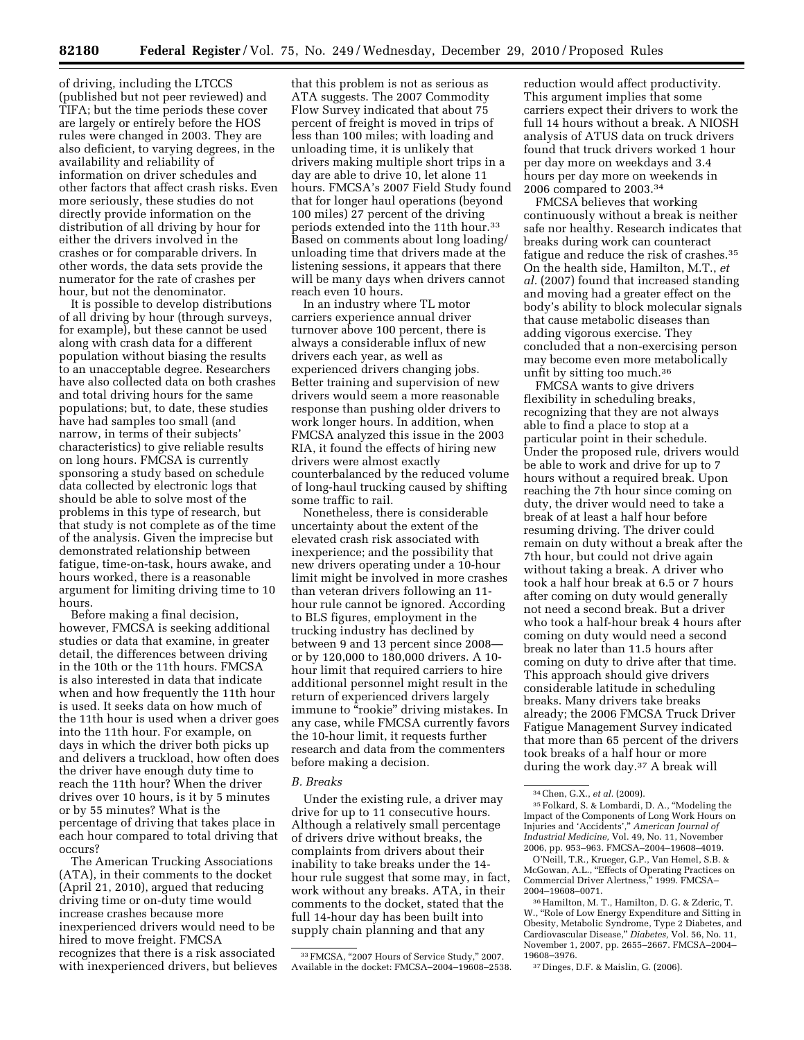of driving, including the LTCCS (published but not peer reviewed) and TIFA; but the time periods these cover are largely or entirely before the HOS rules were changed in 2003. They are also deficient, to varying degrees, in the availability and reliability of information on driver schedules and other factors that affect crash risks. Even more seriously, these studies do not directly provide information on the distribution of all driving by hour for either the drivers involved in the crashes or for comparable drivers. In other words, the data sets provide the numerator for the rate of crashes per hour, but not the denominator.

It is possible to develop distributions of all driving by hour (through surveys, for example), but these cannot be used along with crash data for a different population without biasing the results to an unacceptable degree. Researchers have also collected data on both crashes and total driving hours for the same populations; but, to date, these studies have had samples too small (and narrow, in terms of their subjects' characteristics) to give reliable results on long hours. FMCSA is currently sponsoring a study based on schedule data collected by electronic logs that should be able to solve most of the problems in this type of research, but that study is not complete as of the time of the analysis. Given the imprecise but demonstrated relationship between fatigue, time-on-task, hours awake, and hours worked, there is a reasonable argument for limiting driving time to 10 hours.

Before making a final decision, however, FMCSA is seeking additional studies or data that examine, in greater detail, the differences between driving in the 10th or the 11th hours. FMCSA is also interested in data that indicate when and how frequently the 11th hour is used. It seeks data on how much of the 11th hour is used when a driver goes into the 11th hour. For example, on days in which the driver both picks up and delivers a truckload, how often does the driver have enough duty time to reach the 11th hour? When the driver drives over 10 hours, is it by 5 minutes or by 55 minutes? What is the percentage of driving that takes place in each hour compared to total driving that occurs?

The American Trucking Associations (ATA), in their comments to the docket (April 21, 2010), argued that reducing driving time or on-duty time would increase crashes because more inexperienced drivers would need to be hired to move freight. FMCSA recognizes that there is a risk associated with inexperienced drivers, but believes

that this problem is not as serious as ATA suggests. The 2007 Commodity Flow Survey indicated that about 75 percent of freight is moved in trips of less than 100 miles; with loading and unloading time, it is unlikely that drivers making multiple short trips in a day are able to drive 10, let alone 11 hours. FMCSA's 2007 Field Study found that for longer haul operations (beyond 100 miles) 27 percent of the driving periods extended into the 11th hour.33 Based on comments about long loading/ unloading time that drivers made at the listening sessions, it appears that there will be many days when drivers cannot reach even 10 hours.

In an industry where TL motor carriers experience annual driver turnover above 100 percent, there is always a considerable influx of new drivers each year, as well as experienced drivers changing jobs. Better training and supervision of new drivers would seem a more reasonable response than pushing older drivers to work longer hours. In addition, when FMCSA analyzed this issue in the 2003 RIA, it found the effects of hiring new drivers were almost exactly counterbalanced by the reduced volume of long-haul trucking caused by shifting some traffic to rail.

Nonetheless, there is considerable uncertainty about the extent of the elevated crash risk associated with inexperience; and the possibility that new drivers operating under a 10-hour limit might be involved in more crashes than veteran drivers following an 11 hour rule cannot be ignored. According to BLS figures, employment in the trucking industry has declined by between 9 and 13 percent since 2008 or by 120,000 to 180,000 drivers. A 10 hour limit that required carriers to hire additional personnel might result in the return of experienced drivers largely immune to "rookie" driving mistakes. In any case, while FMCSA currently favors the 10-hour limit, it requests further research and data from the commenters before making a decision.

### *B. Breaks*

Under the existing rule, a driver may drive for up to 11 consecutive hours. Although a relatively small percentage of drivers drive without breaks, the complaints from drivers about their inability to take breaks under the 14 hour rule suggest that some may, in fact, work without any breaks. ATA, in their comments to the docket, stated that the full 14-hour day has been built into supply chain planning and that any

reduction would affect productivity. This argument implies that some carriers expect their drivers to work the full 14 hours without a break. A NIOSH analysis of ATUS data on truck drivers found that truck drivers worked 1 hour per day more on weekdays and 3.4 hours per day more on weekends in 2006 compared to 2003.34

FMCSA believes that working continuously without a break is neither safe nor healthy. Research indicates that breaks during work can counteract fatigue and reduce the risk of crashes.35 On the health side, Hamilton, M.T., *et al.* (2007) found that increased standing and moving had a greater effect on the body's ability to block molecular signals that cause metabolic diseases than adding vigorous exercise. They concluded that a non-exercising person may become even more metabolically unfit by sitting too much.36

FMCSA wants to give drivers flexibility in scheduling breaks, recognizing that they are not always able to find a place to stop at a particular point in their schedule. Under the proposed rule, drivers would be able to work and drive for up to 7 hours without a required break. Upon reaching the 7th hour since coming on duty, the driver would need to take a break of at least a half hour before resuming driving. The driver could remain on duty without a break after the 7th hour, but could not drive again without taking a break. A driver who took a half hour break at 6.5 or 7 hours after coming on duty would generally not need a second break. But a driver who took a half-hour break 4 hours after coming on duty would need a second break no later than 11.5 hours after coming on duty to drive after that time. This approach should give drivers considerable latitude in scheduling breaks. Many drivers take breaks already; the 2006 FMCSA Truck Driver Fatigue Management Survey indicated that more than 65 percent of the drivers took breaks of a half hour or more during the work day.37 A break will

O'Neill, T.R., Krueger, G.P., Van Hemel, S.B. & McGowan, A.L., "Effects of Operating Practices on Commercial Driver Alertness,'' 1999. FMCSA– 2004–19608–0071.

37 Dinges, D.F. & Maislin, G. (2006).

<sup>&</sup>lt;sup>33</sup> FMCSA, "2007 Hours of Service Study," 2007. Available in the docket: FMCSA–2004–19608–2538.

<sup>34</sup>Chen, G.X., *et al.* (2009).

<sup>35</sup>Folkard, S. & Lombardi, D. A., ''Modeling the Impact of the Components of Long Work Hours on Injuries and 'Accidents','' *American Journal of Industrial Medicine,* Vol. 49, No. 11, November 2006, pp. 953–963. FMCSA–2004–19608–4019.

<sup>36</sup>Hamilton, M. T., Hamilton, D. G. & Zderic, T. W., ''Role of Low Energy Expenditure and Sitting in Obesity, Metabolic Syndrome, Type 2 Diabetes, and Cardiovascular Disease,'' *Diabetes,* Vol. 56, No. 11, November 1, 2007, pp. 2655–2667. FMCSA–2004– 19608–3976.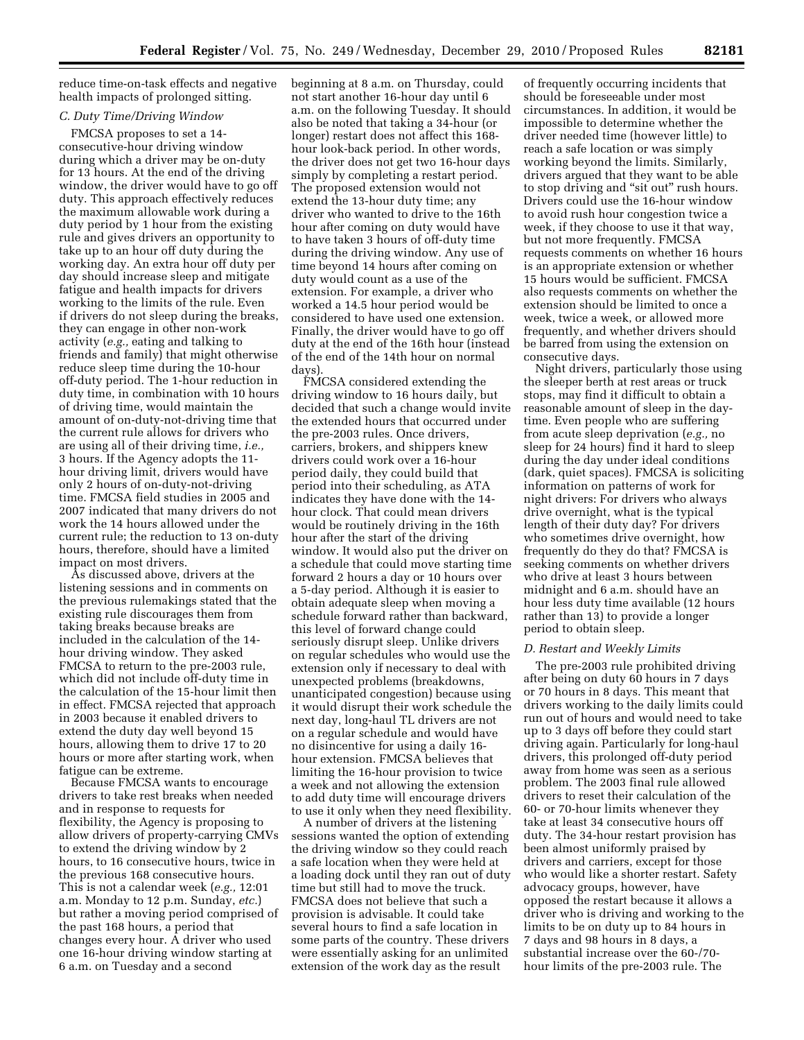reduce time-on-task effects and negative health impacts of prolonged sitting.

# *C. Duty Time/Driving Window*

FMCSA proposes to set a 14 consecutive-hour driving window during which a driver may be on-duty for 13 hours. At the end of the driving window, the driver would have to go off duty. This approach effectively reduces the maximum allowable work during a duty period by 1 hour from the existing rule and gives drivers an opportunity to take up to an hour off duty during the working day. An extra hour off duty per day should increase sleep and mitigate fatigue and health impacts for drivers working to the limits of the rule. Even if drivers do not sleep during the breaks, they can engage in other non-work activity (*e.g.,* eating and talking to friends and family) that might otherwise reduce sleep time during the 10-hour off-duty period. The 1-hour reduction in duty time, in combination with 10 hours of driving time, would maintain the amount of on-duty-not-driving time that the current rule allows for drivers who are using all of their driving time, *i.e.,*  3 hours. If the Agency adopts the 11 hour driving limit, drivers would have only 2 hours of on-duty-not-driving time. FMCSA field studies in 2005 and 2007 indicated that many drivers do not work the 14 hours allowed under the current rule; the reduction to 13 on-duty hours, therefore, should have a limited impact on most drivers.

As discussed above, drivers at the listening sessions and in comments on the previous rulemakings stated that the existing rule discourages them from taking breaks because breaks are included in the calculation of the 14 hour driving window. They asked FMCSA to return to the pre-2003 rule, which did not include off-duty time in the calculation of the 15-hour limit then in effect. FMCSA rejected that approach in 2003 because it enabled drivers to extend the duty day well beyond 15 hours, allowing them to drive 17 to 20 hours or more after starting work, when fatigue can be extreme.

Because FMCSA wants to encourage drivers to take rest breaks when needed and in response to requests for flexibility, the Agency is proposing to allow drivers of property-carrying CMVs to extend the driving window by 2 hours, to 16 consecutive hours, twice in the previous 168 consecutive hours. This is not a calendar week (*e.g.,* 12:01 a.m. Monday to 12 p.m. Sunday, *etc.*) but rather a moving period comprised of the past 168 hours, a period that changes every hour. A driver who used one 16-hour driving window starting at 6 a.m. on Tuesday and a second

beginning at 8 a.m. on Thursday, could not start another 16-hour day until 6 a.m. on the following Tuesday. It should also be noted that taking a 34-hour (or longer) restart does not affect this 168 hour look-back period. In other words, the driver does not get two 16-hour days simply by completing a restart period. The proposed extension would not extend the 13-hour duty time; any driver who wanted to drive to the 16th hour after coming on duty would have to have taken 3 hours of off-duty time during the driving window. Any use of time beyond 14 hours after coming on duty would count as a use of the extension. For example, a driver who worked a 14.5 hour period would be considered to have used one extension. Finally, the driver would have to go off duty at the end of the 16th hour (instead of the end of the 14th hour on normal days).

FMCSA considered extending the driving window to 16 hours daily, but decided that such a change would invite the extended hours that occurred under the pre-2003 rules. Once drivers, carriers, brokers, and shippers knew drivers could work over a 16-hour period daily, they could build that period into their scheduling, as ATA indicates they have done with the 14 hour clock. That could mean drivers would be routinely driving in the 16th hour after the start of the driving window. It would also put the driver on a schedule that could move starting time forward 2 hours a day or 10 hours over a 5-day period. Although it is easier to obtain adequate sleep when moving a schedule forward rather than backward, this level of forward change could seriously disrupt sleep. Unlike drivers on regular schedules who would use the extension only if necessary to deal with unexpected problems (breakdowns, unanticipated congestion) because using it would disrupt their work schedule the next day, long-haul TL drivers are not on a regular schedule and would have no disincentive for using a daily 16 hour extension. FMCSA believes that limiting the 16-hour provision to twice a week and not allowing the extension to add duty time will encourage drivers to use it only when they need flexibility.

A number of drivers at the listening sessions wanted the option of extending the driving window so they could reach a safe location when they were held at a loading dock until they ran out of duty time but still had to move the truck. FMCSA does not believe that such a provision is advisable. It could take several hours to find a safe location in some parts of the country. These drivers were essentially asking for an unlimited extension of the work day as the result

of frequently occurring incidents that should be foreseeable under most circumstances. In addition, it would be impossible to determine whether the driver needed time (however little) to reach a safe location or was simply working beyond the limits. Similarly, drivers argued that they want to be able to stop driving and "sit out" rush hours. Drivers could use the 16-hour window to avoid rush hour congestion twice a week, if they choose to use it that way, but not more frequently. FMCSA requests comments on whether 16 hours is an appropriate extension or whether 15 hours would be sufficient. FMCSA also requests comments on whether the extension should be limited to once a week, twice a week, or allowed more frequently, and whether drivers should be barred from using the extension on consecutive days.

Night drivers, particularly those using the sleeper berth at rest areas or truck stops, may find it difficult to obtain a reasonable amount of sleep in the daytime. Even people who are suffering from acute sleep deprivation (*e.g.,* no sleep for 24 hours) find it hard to sleep during the day under ideal conditions (dark, quiet spaces). FMCSA is soliciting information on patterns of work for night drivers: For drivers who always drive overnight, what is the typical length of their duty day? For drivers who sometimes drive overnight, how frequently do they do that? FMCSA is seeking comments on whether drivers who drive at least 3 hours between midnight and 6 a.m. should have an hour less duty time available (12 hours rather than 13) to provide a longer period to obtain sleep.

### *D. Restart and Weekly Limits*

The pre-2003 rule prohibited driving after being on duty 60 hours in 7 days or 70 hours in 8 days. This meant that drivers working to the daily limits could run out of hours and would need to take up to 3 days off before they could start driving again. Particularly for long-haul drivers, this prolonged off-duty period away from home was seen as a serious problem. The 2003 final rule allowed drivers to reset their calculation of the 60- or 70-hour limits whenever they take at least 34 consecutive hours off duty. The 34-hour restart provision has been almost uniformly praised by drivers and carriers, except for those who would like a shorter restart. Safety advocacy groups, however, have opposed the restart because it allows a driver who is driving and working to the limits to be on duty up to 84 hours in 7 days and 98 hours in 8 days, a substantial increase over the 60-/70 hour limits of the pre-2003 rule. The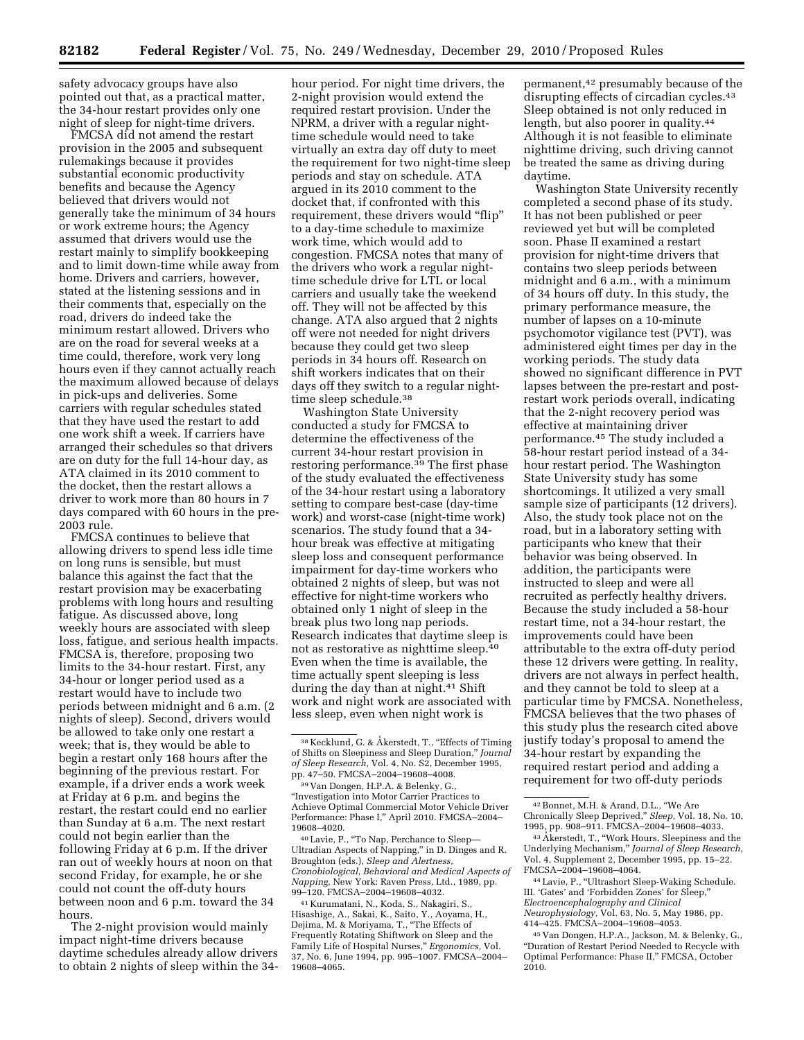safety advocacy groups have also pointed out that, as a practical matter, the 34-hour restart provides only one night of sleep for night-time drivers.

FMCSA did not amend the restart provision in the 2005 and subsequent rulemakings because it provides substantial economic productivity benefits and because the Agency believed that drivers would not generally take the minimum of 34 hours or work extreme hours; the Agency assumed that drivers would use the restart mainly to simplify bookkeeping and to limit down-time while away from home. Drivers and carriers, however, stated at the listening sessions and in their comments that, especially on the road, drivers do indeed take the minimum restart allowed. Drivers who are on the road for several weeks at a time could, therefore, work very long hours even if they cannot actually reach the maximum allowed because of delays in pick-ups and deliveries. Some carriers with regular schedules stated that they have used the restart to add one work shift a week. If carriers have arranged their schedules so that drivers are on duty for the full 14-hour day, as ATA claimed in its 2010 comment to the docket, then the restart allows a driver to work more than 80 hours in 7 days compared with 60 hours in the pre-2003 rule.

FMCSA continues to believe that allowing drivers to spend less idle time on long runs is sensible, but must balance this against the fact that the restart provision may be exacerbating problems with long hours and resulting fatigue. As discussed above, long weekly hours are associated with sleep loss, fatigue, and serious health impacts. FMCSA is, therefore, proposing two limits to the 34-hour restart. First, any 34-hour or longer period used as a restart would have to include two periods between midnight and 6 a.m. (2 nights of sleep). Second, drivers would be allowed to take only one restart a week; that is, they would be able to begin a restart only 168 hours after the beginning of the previous restart. For example, if a driver ends a work week at Friday at 6 p.m. and begins the restart, the restart could end no earlier than Sunday at 6 a.m. The next restart could not begin earlier than the following Friday at 6 p.m. If the driver ran out of weekly hours at noon on that second Friday, for example, he or she could not count the off-duty hours between noon and 6 p.m. toward the 34 hours.

The 2-night provision would mainly impact night-time drivers because daytime schedules already allow drivers to obtain 2 nights of sleep within the 34-

hour period. For night time drivers, the 2-night provision would extend the required restart provision. Under the NPRM, a driver with a regular nighttime schedule would need to take virtually an extra day off duty to meet the requirement for two night-time sleep periods and stay on schedule. ATA argued in its 2010 comment to the docket that, if confronted with this requirement, these drivers would "flip" to a day-time schedule to maximize work time, which would add to congestion. FMCSA notes that many of the drivers who work a regular nighttime schedule drive for LTL or local carriers and usually take the weekend off. They will not be affected by this change. ATA also argued that 2 nights off were not needed for night drivers because they could get two sleep periods in 34 hours off. Research on shift workers indicates that on their days off they switch to a regular nighttime sleep schedule.<sup>38</sup>

Washington State University conducted a study for FMCSA to determine the effectiveness of the current 34-hour restart provision in restoring performance.39 The first phase of the study evaluated the effectiveness of the 34-hour restart using a laboratory setting to compare best-case (day-time work) and worst-case (night-time work) scenarios. The study found that a 34 hour break was effective at mitigating sleep loss and consequent performance impairment for day-time workers who obtained 2 nights of sleep, but was not effective for night-time workers who obtained only 1 night of sleep in the break plus two long nap periods. Research indicates that daytime sleep is not as restorative as nighttime sleep.40 Even when the time is available, the time actually spent sleeping is less during the day than at night.41 Shift work and night work are associated with less sleep, even when night work is

40Lavie, P., ''To Nap, Perchance to Sleep— Ultradian Aspects of Napping,'' in D. Dinges and R. Broughton (eds.), *Sleep and Alertness, Cronobiological, Behavioral and Medical Aspects of Napping,* New York: Raven Press, Ltd., 1989, pp. 99–120. FMCSA–2004–19608–4032.

41 Kurumatani, N., Koda, S., Nakagiri, S., Hisashige, A., Sakai, K., Saito, Y., Aoyama, H., Dejima, M. & Moriyama, T., ''The Effects of Frequently Rotating Shiftwork on Sleep and the Family Life of Hospital Nurses,'' *Ergonomics,* Vol. 37, No. 6, June 1994, pp. 995–1007. FMCSA–2004– 19608–4065.

permanent,42 presumably because of the disrupting effects of circadian cycles.43 Sleep obtained is not only reduced in length, but also poorer in quality.<sup>44</sup> Although it is not feasible to eliminate nighttime driving, such driving cannot be treated the same as driving during daytime.

Washington State University recently completed a second phase of its study. It has not been published or peer reviewed yet but will be completed soon. Phase II examined a restart provision for night-time drivers that contains two sleep periods between midnight and 6 a.m., with a minimum of 34 hours off duty. In this study, the primary performance measure, the number of lapses on a 10-minute psychomotor vigilance test (PVT), was administered eight times per day in the working periods. The study data showed no significant difference in PVT lapses between the pre-restart and postrestart work periods overall, indicating that the 2-night recovery period was effective at maintaining driver performance.45 The study included a 58-hour restart period instead of a 34 hour restart period. The Washington State University study has some shortcomings. It utilized a very small sample size of participants (12 drivers). Also, the study took place not on the road, but in a laboratory setting with participants who knew that their behavior was being observed. In addition, the participants were instructed to sleep and were all recruited as perfectly healthy drivers. Because the study included a 58-hour restart time, not a 34-hour restart, the improvements could have been attributable to the extra off-duty period these 12 drivers were getting. In reality, drivers are not always in perfect health, and they cannot be told to sleep at a particular time by FMCSA. Nonetheless, FMCSA believes that the two phases of this study plus the research cited above justify today's proposal to amend the 34-hour restart by expanding the required restart period and adding a requirement for two off-duty periods

<sup>38</sup> Kecklund, G. & Åkerstedt, T., "Effects of Timing of Shifts on Sleepiness and Sleep Duration,'' *Journal of Sleep Research,* Vol. 4, No. S2, December 1995, pp. 47–50. FMCSA–2004–19608–4008.

<sup>39</sup> Van Dongen, H.P.A. & Belenky, G., ''Investigation into Motor Carrier Practices to Achieve Optimal Commercial Motor Vehicle Driver Performance: Phase I," April 2010. FMCSA-2004 19608–4020.

<sup>42</sup>Bonnet, M.H. & Arand, D.L., ''We Are Chronically Sleep Deprived,'' *Sleep,* Vol. 18, No. 10, 1995, pp. 908–911. FMCSA–2004–19608–4033.

<sup>&</sup>lt;sup>43</sup> Akerstedt, T., "Work Hours, Sleepiness and the Underlying Mechanism,'' *Journal of Sleep Research,*  Vol. 4, Supplement 2, December 1995, pp. 15–22. FMCSA–2004–19608–4064.

<sup>44</sup>Lavie, P., ''Ultrashort Sleep-Waking Schedule. III. 'Gates' and 'Forbidden Zones' for Sleep,'' *Electroencephalography and Clinical Neurophysiology,* Vol. 63, No. 5, May 1986, pp. 414–425. FMCSA–2004–19608–4053.

<sup>45</sup> Van Dongen, H.P.A., Jackson, M. & Belenky, G., ''Duration of Restart Period Needed to Recycle with Optimal Performance: Phase II,'' FMCSA, October 2010.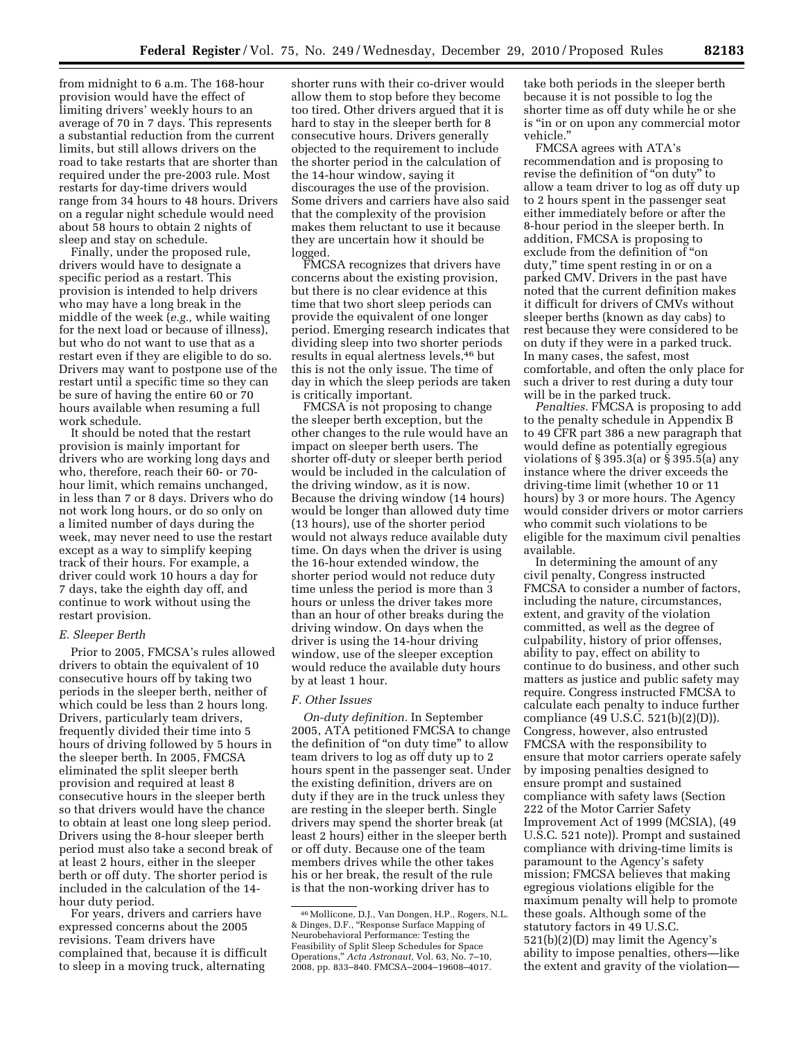from midnight to 6 a.m. The 168-hour provision would have the effect of limiting drivers' weekly hours to an average of 70 in 7 days. This represents a substantial reduction from the current limits, but still allows drivers on the road to take restarts that are shorter than required under the pre-2003 rule. Most restarts for day-time drivers would range from 34 hours to 48 hours. Drivers on a regular night schedule would need about 58 hours to obtain 2 nights of

sleep and stay on schedule. Finally, under the proposed rule, drivers would have to designate a specific period as a restart. This provision is intended to help drivers who may have a long break in the middle of the week (*e.g.,* while waiting for the next load or because of illness), but who do not want to use that as a restart even if they are eligible to do so. Drivers may want to postpone use of the restart until a specific time so they can be sure of having the entire 60 or 70 hours available when resuming a full work schedule.

It should be noted that the restart provision is mainly important for drivers who are working long days and who, therefore, reach their 60- or 70 hour limit, which remains unchanged, in less than 7 or 8 days. Drivers who do not work long hours, or do so only on a limited number of days during the week, may never need to use the restart except as a way to simplify keeping track of their hours. For example, a driver could work 10 hours a day for 7 days, take the eighth day off, and continue to work without using the restart provision.

# *E. Sleeper Berth*

Prior to 2005, FMCSA's rules allowed drivers to obtain the equivalent of 10 consecutive hours off by taking two periods in the sleeper berth, neither of which could be less than 2 hours long. Drivers, particularly team drivers, frequently divided their time into 5 hours of driving followed by 5 hours in the sleeper berth. In 2005, FMCSA eliminated the split sleeper berth provision and required at least 8 consecutive hours in the sleeper berth so that drivers would have the chance to obtain at least one long sleep period. Drivers using the 8-hour sleeper berth period must also take a second break of at least 2 hours, either in the sleeper berth or off duty. The shorter period is included in the calculation of the 14 hour duty period.

For years, drivers and carriers have expressed concerns about the 2005 revisions. Team drivers have complained that, because it is difficult to sleep in a moving truck, alternating

shorter runs with their co-driver would allow them to stop before they become too tired. Other drivers argued that it is hard to stay in the sleeper berth for 8 consecutive hours. Drivers generally objected to the requirement to include the shorter period in the calculation of the 14-hour window, saying it discourages the use of the provision. Some drivers and carriers have also said that the complexity of the provision makes them reluctant to use it because they are uncertain how it should be logged.

FMCSA recognizes that drivers have concerns about the existing provision, but there is no clear evidence at this time that two short sleep periods can provide the equivalent of one longer period. Emerging research indicates that dividing sleep into two shorter periods results in equal alertness levels,46 but this is not the only issue. The time of day in which the sleep periods are taken is critically important.

FMCSA is not proposing to change the sleeper berth exception, but the other changes to the rule would have an impact on sleeper berth users. The shorter off-duty or sleeper berth period would be included in the calculation of the driving window, as it is now. Because the driving window (14 hours) would be longer than allowed duty time (13 hours), use of the shorter period would not always reduce available duty time. On days when the driver is using the 16-hour extended window, the shorter period would not reduce duty time unless the period is more than 3 hours or unless the driver takes more than an hour of other breaks during the driving window. On days when the driver is using the 14-hour driving window, use of the sleeper exception would reduce the available duty hours by at least 1 hour.

### *F. Other Issues*

*On-duty definition.* In September 2005, ATA petitioned FMCSA to change the definition of "on duty time" to allow team drivers to log as off duty up to 2 hours spent in the passenger seat. Under the existing definition, drivers are on duty if they are in the truck unless they are resting in the sleeper berth. Single drivers may spend the shorter break (at least 2 hours) either in the sleeper berth or off duty. Because one of the team members drives while the other takes his or her break, the result of the rule is that the non-working driver has to

take both periods in the sleeper berth because it is not possible to log the shorter time as off duty while he or she is ''in or on upon any commercial motor vehicle.''

FMCSA agrees with ATA's recommendation and is proposing to revise the definition of ''on duty'' to allow a team driver to log as off duty up to 2 hours spent in the passenger seat either immediately before or after the 8-hour period in the sleeper berth. In addition, FMCSA is proposing to exclude from the definition of ''on duty," time spent resting in or on a parked CMV. Drivers in the past have noted that the current definition makes it difficult for drivers of CMVs without sleeper berths (known as day cabs) to rest because they were considered to be on duty if they were in a parked truck. In many cases, the safest, most comfortable, and often the only place for such a driver to rest during a duty tour will be in the parked truck.

*Penalties.* FMCSA is proposing to add to the penalty schedule in Appendix B to 49 CFR part 386 a new paragraph that would define as potentially egregious violations of § 395.3(a) or § 395.5(a) any instance where the driver exceeds the driving-time limit (whether 10 or 11 hours) by 3 or more hours. The Agency would consider drivers or motor carriers who commit such violations to be eligible for the maximum civil penalties available.

In determining the amount of any civil penalty, Congress instructed FMCSA to consider a number of factors, including the nature, circumstances, extent, and gravity of the violation committed, as well as the degree of culpability, history of prior offenses, ability to pay, effect on ability to continue to do business, and other such matters as justice and public safety may require. Congress instructed FMCSA to calculate each penalty to induce further compliance (49 U.S.C. 521(b)(2)(D)). Congress, however, also entrusted FMCSA with the responsibility to ensure that motor carriers operate safely by imposing penalties designed to ensure prompt and sustained compliance with safety laws (Section 222 of the Motor Carrier Safety Improvement Act of 1999 (MCSIA), (49 U.S.C. 521 note)). Prompt and sustained compliance with driving-time limits is paramount to the Agency's safety mission; FMCSA believes that making egregious violations eligible for the maximum penalty will help to promote these goals. Although some of the statutory factors in 49 U.S.C. 521(b)(2)(D) may limit the Agency's ability to impose penalties, others—like the extent and gravity of the violation—

<sup>46</sup>Mollicone, D.J., Van Dongen, H.P., Rogers, N.L. & Dinges, D.F., ''Response Surface Mapping of Neurobehavioral Performance: Testing the Feasibility of Split Sleep Schedules for Space Operations,'' *Acta Astronaut,* Vol. 63, No. 7–10, 2008, pp. 833–840. FMCSA–2004–19608–4017.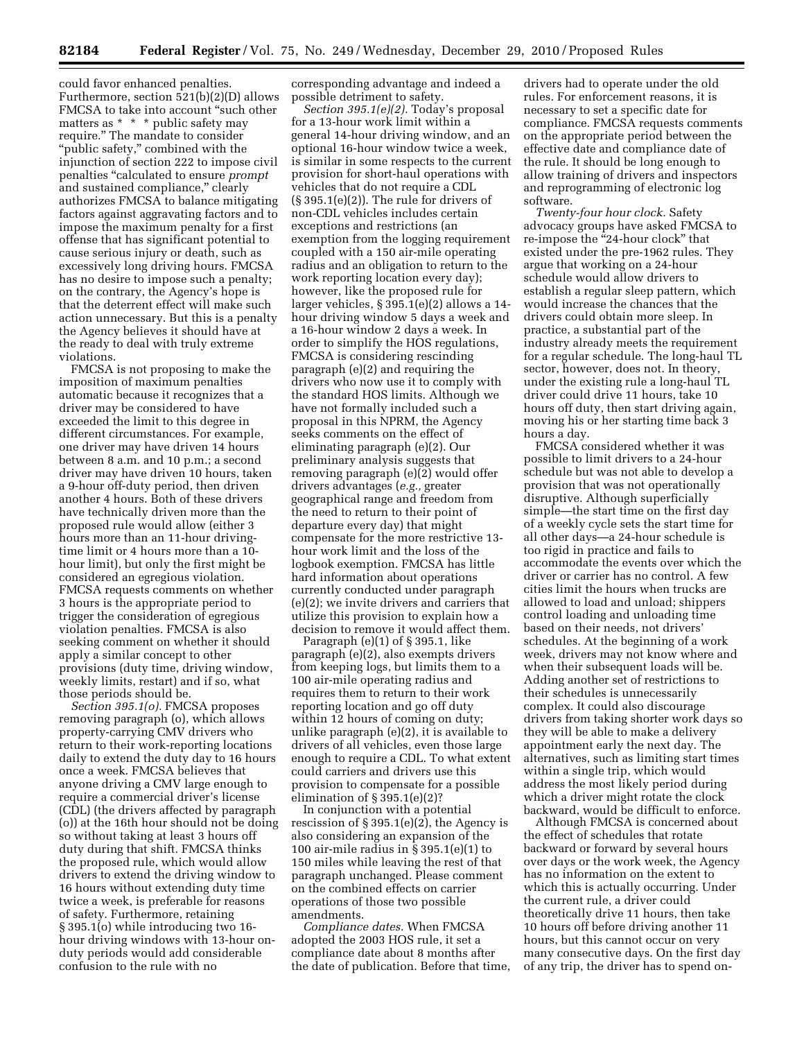could favor enhanced penalties. Furthermore, section 521(b)(2)(D) allows FMCSA to take into account ''such other matters as \* \* \* public safety may require.'' The mandate to consider "public safety," combined with the injunction of section 222 to impose civil penalties ''calculated to ensure *prompt*  and sustained compliance,'' clearly authorizes FMCSA to balance mitigating factors against aggravating factors and to impose the maximum penalty for a first offense that has significant potential to cause serious injury or death, such as excessively long driving hours. FMCSA has no desire to impose such a penalty; on the contrary, the Agency's hope is that the deterrent effect will make such action unnecessary. But this is a penalty the Agency believes it should have at the ready to deal with truly extreme violations.

FMCSA is not proposing to make the imposition of maximum penalties automatic because it recognizes that a driver may be considered to have exceeded the limit to this degree in different circumstances. For example, one driver may have driven 14 hours between 8 a.m. and 10 p.m.; a second driver may have driven 10 hours, taken a 9-hour off-duty period, then driven another 4 hours. Both of these drivers have technically driven more than the proposed rule would allow (either 3 hours more than an 11-hour drivingtime limit or 4 hours more than a 10 hour limit), but only the first might be considered an egregious violation. FMCSA requests comments on whether 3 hours is the appropriate period to trigger the consideration of egregious violation penalties. FMCSA is also seeking comment on whether it should apply a similar concept to other provisions (duty time, driving window, weekly limits, restart) and if so, what those periods should be.

*Section 395.1(o).* FMCSA proposes removing paragraph (o), which allows property-carrying CMV drivers who return to their work-reporting locations daily to extend the duty day to 16 hours once a week. FMCSA believes that anyone driving a CMV large enough to require a commercial driver's license (CDL) (the drivers affected by paragraph (o)) at the 16th hour should not be doing so without taking at least 3 hours off duty during that shift. FMCSA thinks the proposed rule, which would allow drivers to extend the driving window to 16 hours without extending duty time twice a week, is preferable for reasons of safety. Furthermore, retaining § 395.1(o) while introducing two 16 hour driving windows with 13-hour onduty periods would add considerable confusion to the rule with no

corresponding advantage and indeed a possible detriment to safety.

*Section 395.1(e)(2).* Today's proposal for a 13-hour work limit within a general 14-hour driving window, and an optional 16-hour window twice a week, is similar in some respects to the current provision for short-haul operations with vehicles that do not require a CDL  $(\S 395.1(e)(2))$ . The rule for drivers of non-CDL vehicles includes certain exceptions and restrictions (an exemption from the logging requirement coupled with a 150 air-mile operating radius and an obligation to return to the work reporting location every day); however, like the proposed rule for larger vehicles, § 395.1(e)(2) allows a 14 hour driving window 5 days a week and a 16-hour window 2 days a week. In order to simplify the HOS regulations, FMCSA is considering rescinding paragraph (e)(2) and requiring the drivers who now use it to comply with the standard HOS limits. Although we have not formally included such a proposal in this NPRM, the Agency seeks comments on the effect of eliminating paragraph (e)(2). Our preliminary analysis suggests that removing paragraph (e)(2) would offer drivers advantages (*e.g.,* greater geographical range and freedom from the need to return to their point of departure every day) that might compensate for the more restrictive 13 hour work limit and the loss of the logbook exemption. FMCSA has little hard information about operations currently conducted under paragraph (e)(2); we invite drivers and carriers that utilize this provision to explain how a decision to remove it would affect them.

Paragraph (e)(1) of § 395.1, like paragraph (e)(2), also exempts drivers from keeping logs, but limits them to a 100 air-mile operating radius and requires them to return to their work reporting location and go off duty within 12 hours of coming on duty; unlike paragraph (e)(2), it is available to drivers of all vehicles, even those large enough to require a CDL. To what extent could carriers and drivers use this provision to compensate for a possible elimination of § 395.1(e)(2)?

In conjunction with a potential rescission of § 395.1(e)(2), the Agency is also considering an expansion of the 100 air-mile radius in § 395.1(e)(1) to 150 miles while leaving the rest of that paragraph unchanged. Please comment on the combined effects on carrier operations of those two possible amendments.

*Compliance dates.* When FMCSA adopted the 2003 HOS rule, it set a compliance date about 8 months after the date of publication. Before that time,

drivers had to operate under the old rules. For enforcement reasons, it is necessary to set a specific date for compliance. FMCSA requests comments on the appropriate period between the effective date and compliance date of the rule. It should be long enough to allow training of drivers and inspectors and reprogramming of electronic log software.

*Twenty-four hour clock.* Safety advocacy groups have asked FMCSA to re-impose the "24-hour clock" that existed under the pre-1962 rules. They argue that working on a 24-hour schedule would allow drivers to establish a regular sleep pattern, which would increase the chances that the drivers could obtain more sleep. In practice, a substantial part of the industry already meets the requirement for a regular schedule. The long-haul TL sector, however, does not. In theory, under the existing rule a long-haul TL driver could drive 11 hours, take 10 hours off duty, then start driving again, moving his or her starting time back 3 hours a day.

FMCSA considered whether it was possible to limit drivers to a 24-hour schedule but was not able to develop a provision that was not operationally disruptive. Although superficially simple—the start time on the first day of a weekly cycle sets the start time for all other days—a 24-hour schedule is too rigid in practice and fails to accommodate the events over which the driver or carrier has no control. A few cities limit the hours when trucks are allowed to load and unload; shippers control loading and unloading time based on their needs, not drivers' schedules. At the beginning of a work week, drivers may not know where and when their subsequent loads will be. Adding another set of restrictions to their schedules is unnecessarily complex. It could also discourage drivers from taking shorter work days so they will be able to make a delivery appointment early the next day. The alternatives, such as limiting start times within a single trip, which would address the most likely period during which a driver might rotate the clock backward, would be difficult to enforce.

Although FMCSA is concerned about the effect of schedules that rotate backward or forward by several hours over days or the work week, the Agency has no information on the extent to which this is actually occurring. Under the current rule, a driver could theoretically drive 11 hours, then take 10 hours off before driving another 11 hours, but this cannot occur on very many consecutive days. On the first day of any trip, the driver has to spend on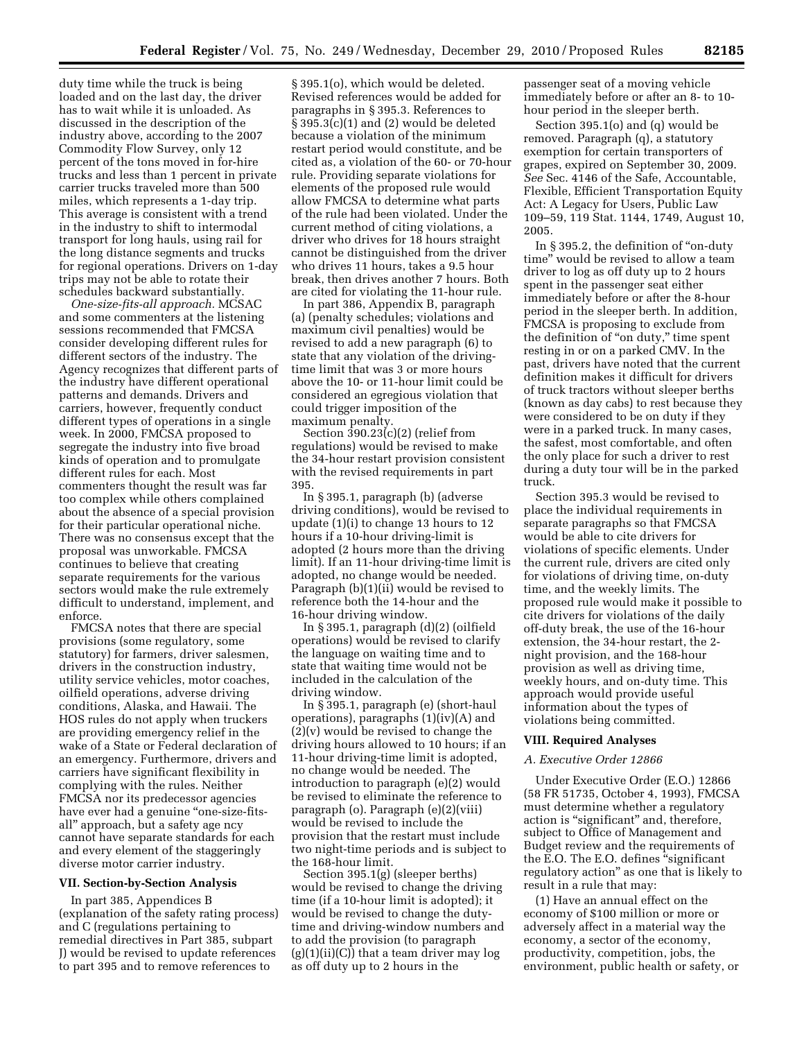duty time while the truck is being loaded and on the last day, the driver has to wait while it is unloaded. As discussed in the description of the industry above, according to the 2007 Commodity Flow Survey, only 12 percent of the tons moved in for-hire trucks and less than 1 percent in private carrier trucks traveled more than 500 miles, which represents a 1-day trip. This average is consistent with a trend in the industry to shift to intermodal transport for long hauls, using rail for the long distance segments and trucks for regional operations. Drivers on 1-day trips may not be able to rotate their schedules backward substantially.

*One-size-fits-all approach.* MCSAC and some commenters at the listening sessions recommended that FMCSA consider developing different rules for different sectors of the industry. The Agency recognizes that different parts of the industry have different operational patterns and demands. Drivers and carriers, however, frequently conduct different types of operations in a single week. In 2000, FMCSA proposed to segregate the industry into five broad kinds of operation and to promulgate different rules for each. Most commenters thought the result was far too complex while others complained about the absence of a special provision for their particular operational niche. There was no consensus except that the proposal was unworkable. FMCSA continues to believe that creating separate requirements for the various sectors would make the rule extremely difficult to understand, implement, and enforce.

FMCSA notes that there are special provisions (some regulatory, some statutory) for farmers, driver salesmen, drivers in the construction industry, utility service vehicles, motor coaches, oilfield operations, adverse driving conditions, Alaska, and Hawaii. The HOS rules do not apply when truckers are providing emergency relief in the wake of a State or Federal declaration of an emergency. Furthermore, drivers and carriers have significant flexibility in complying with the rules. Neither FMCSA nor its predecessor agencies have ever had a genuine "one-size-fitsall'' approach, but a safety age ncy cannot have separate standards for each and every element of the staggeringly diverse motor carrier industry.

## **VII. Section-by-Section Analysis**

In part 385, Appendices B (explanation of the safety rating process) and C (regulations pertaining to remedial directives in Part 385, subpart J) would be revised to update references to part 395 and to remove references to

§ 395.1(o), which would be deleted. Revised references would be added for paragraphs in § 395.3. References to § 395.3(c)(1) and (2) would be deleted because a violation of the minimum restart period would constitute, and be cited as, a violation of the 60- or 70-hour rule. Providing separate violations for elements of the proposed rule would allow FMCSA to determine what parts of the rule had been violated. Under the current method of citing violations, a driver who drives for 18 hours straight cannot be distinguished from the driver who drives 11 hours, takes a 9.5 hour break, then drives another 7 hours. Both are cited for violating the 11-hour rule.

In part 386, Appendix B, paragraph (a) (penalty schedules; violations and maximum civil penalties) would be revised to add a new paragraph (6) to state that any violation of the drivingtime limit that was 3 or more hours above the 10- or 11-hour limit could be considered an egregious violation that could trigger imposition of the maximum penalty.

Section  $390.23(c)(2)$  (relief from regulations) would be revised to make the 34-hour restart provision consistent with the revised requirements in part 395.

In § 395.1, paragraph (b) (adverse driving conditions), would be revised to update (1)(i) to change 13 hours to 12 hours if a 10-hour driving-limit is adopted (2 hours more than the driving limit). If an 11-hour driving-time limit is adopted, no change would be needed. Paragraph (b)(1)(ii) would be revised to reference both the 14-hour and the 16-hour driving window.

In § 395.1, paragraph (d)(2) (oilfield operations) would be revised to clarify the language on waiting time and to state that waiting time would not be included in the calculation of the driving window.

In § 395.1, paragraph (e) (short-haul operations), paragraphs (1)(iv)(A) and (2)(v) would be revised to change the driving hours allowed to 10 hours; if an 11-hour driving-time limit is adopted, no change would be needed. The introduction to paragraph (e)(2) would be revised to eliminate the reference to paragraph (o). Paragraph (e)(2)(viii) would be revised to include the provision that the restart must include two night-time periods and is subject to the 168-hour limit.

Section 395.1(g) (sleeper berths) would be revised to change the driving time (if a 10-hour limit is adopted); it would be revised to change the dutytime and driving-window numbers and to add the provision (to paragraph  $(g)(1)(ii)(C)$  that a team driver may  $log$ as off duty up to 2 hours in the

passenger seat of a moving vehicle immediately before or after an 8- to 10 hour period in the sleeper berth.

Section 395.1(o) and (q) would be removed. Paragraph (q), a statutory exemption for certain transporters of grapes, expired on September 30, 2009. *See* Sec. 4146 of the Safe, Accountable, Flexible, Efficient Transportation Equity Act: A Legacy for Users, Public Law 109–59, 119 Stat. 1144, 1749, August 10, 2005.

In § 395.2, the definition of "on-duty time'' would be revised to allow a team driver to log as off duty up to 2 hours spent in the passenger seat either immediately before or after the 8-hour period in the sleeper berth. In addition, FMCSA is proposing to exclude from the definition of "on duty," time spent resting in or on a parked CMV. In the past, drivers have noted that the current definition makes it difficult for drivers of truck tractors without sleeper berths (known as day cabs) to rest because they were considered to be on duty if they were in a parked truck. In many cases, the safest, most comfortable, and often the only place for such a driver to rest during a duty tour will be in the parked truck.

Section 395.3 would be revised to place the individual requirements in separate paragraphs so that FMCSA would be able to cite drivers for violations of specific elements. Under the current rule, drivers are cited only for violations of driving time, on-duty time, and the weekly limits. The proposed rule would make it possible to cite drivers for violations of the daily off-duty break, the use of the 16-hour extension, the 34-hour restart, the 2 night provision, and the 168-hour provision as well as driving time, weekly hours, and on-duty time. This approach would provide useful information about the types of violations being committed.

### **VIII. Required Analyses**

### *A. Executive Order 12866*

Under Executive Order (E.O.) 12866 (58 FR 51735, October 4, 1993), FMCSA must determine whether a regulatory action is ''significant'' and, therefore, subject to Office of Management and Budget review and the requirements of the E.O. The E.O. defines ''significant regulatory action'' as one that is likely to result in a rule that may:

(1) Have an annual effect on the economy of \$100 million or more or adversely affect in a material way the economy, a sector of the economy, productivity, competition, jobs, the environment, public health or safety, or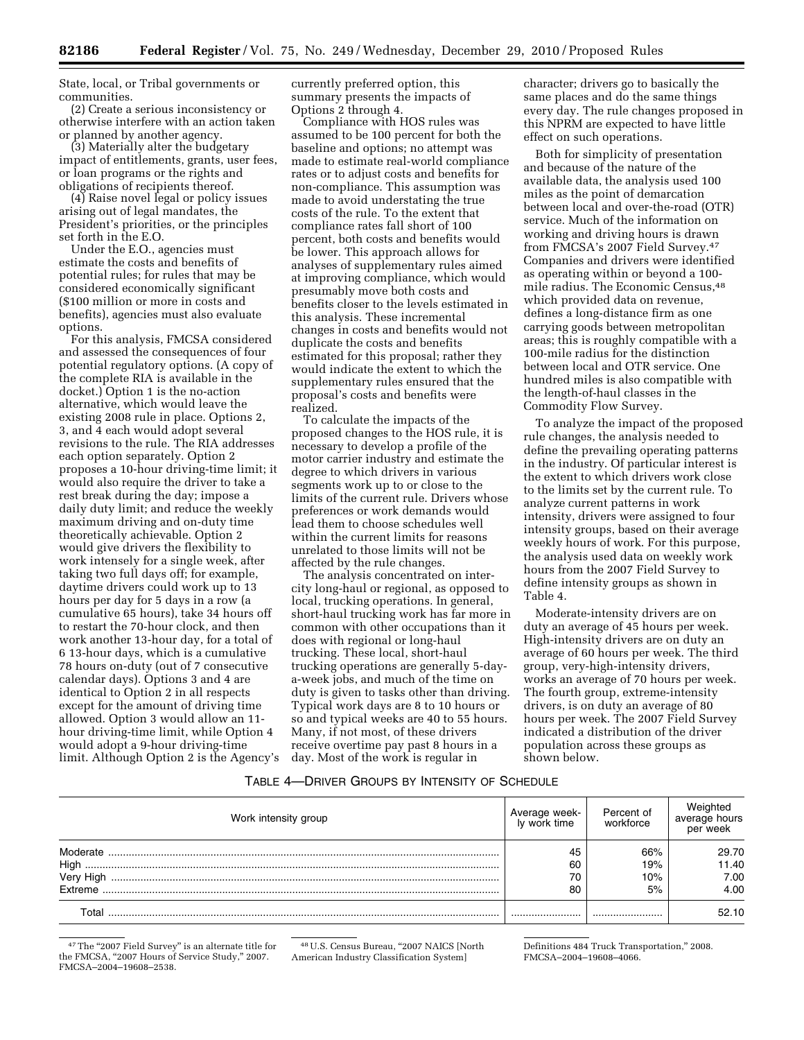State, local, or Tribal governments or communities.

(2) Create a serious inconsistency or otherwise interfere with an action taken or planned by another agency.

(3) Materially alter the budgetary impact of entitlements, grants, user fees, or loan programs or the rights and obligations of recipients thereof.

(4) Raise novel legal or policy issues arising out of legal mandates, the President's priorities, or the principles set forth in the E.O.

Under the E.O., agencies must estimate the costs and benefits of potential rules; for rules that may be considered economically significant (\$100 million or more in costs and benefits), agencies must also evaluate options.

For this analysis, FMCSA considered and assessed the consequences of four potential regulatory options. (A copy of the complete RIA is available in the docket.) Option 1 is the no-action alternative, which would leave the existing 2008 rule in place. Options 2, 3, and 4 each would adopt several revisions to the rule. The RIA addresses each option separately. Option 2 proposes a 10-hour driving-time limit; it would also require the driver to take a rest break during the day; impose a daily duty limit; and reduce the weekly maximum driving and on-duty time theoretically achievable. Option 2 would give drivers the flexibility to work intensely for a single week, after taking two full days off; for example, daytime drivers could work up to 13 hours per day for 5 days in a row (a cumulative 65 hours), take 34 hours off to restart the 70-hour clock, and then work another 13-hour day, for a total of 6 13-hour days, which is a cumulative 78 hours on-duty (out of 7 consecutive calendar days). Options 3 and 4 are identical to Option 2 in all respects except for the amount of driving time allowed. Option 3 would allow an 11 hour driving-time limit, while Option 4 would adopt a 9-hour driving-time limit. Although Option 2 is the Agency's currently preferred option, this summary presents the impacts of Options 2 through 4.

Compliance with HOS rules was assumed to be 100 percent for both the baseline and options; no attempt was made to estimate real-world compliance rates or to adjust costs and benefits for non-compliance. This assumption was made to avoid understating the true costs of the rule. To the extent that compliance rates fall short of 100 percent, both costs and benefits would be lower. This approach allows for analyses of supplementary rules aimed at improving compliance, which would presumably move both costs and benefits closer to the levels estimated in this analysis. These incremental changes in costs and benefits would not duplicate the costs and benefits estimated for this proposal; rather they would indicate the extent to which the supplementary rules ensured that the proposal's costs and benefits were realized.

To calculate the impacts of the proposed changes to the HOS rule, it is necessary to develop a profile of the motor carrier industry and estimate the degree to which drivers in various segments work up to or close to the limits of the current rule. Drivers whose preferences or work demands would lead them to choose schedules well within the current limits for reasons unrelated to those limits will not be affected by the rule changes.

The analysis concentrated on intercity long-haul or regional, as opposed to local, trucking operations. In general, short-haul trucking work has far more in common with other occupations than it does with regional or long-haul trucking. These local, short-haul trucking operations are generally 5-daya-week jobs, and much of the time on duty is given to tasks other than driving. Typical work days are 8 to 10 hours or so and typical weeks are 40 to 55 hours. Many, if not most, of these drivers receive overtime pay past 8 hours in a day. Most of the work is regular in

character; drivers go to basically the same places and do the same things every day. The rule changes proposed in this NPRM are expected to have little effect on such operations.

Both for simplicity of presentation and because of the nature of the available data, the analysis used 100 miles as the point of demarcation between local and over-the-road (OTR) service. Much of the information on working and driving hours is drawn from FMCSA's 2007 Field Survey.47 Companies and drivers were identified as operating within or beyond a 100 mile radius. The Economic Census,48 which provided data on revenue, defines a long-distance firm as one carrying goods between metropolitan areas; this is roughly compatible with a 100-mile radius for the distinction between local and OTR service. One hundred miles is also compatible with the length-of-haul classes in the Commodity Flow Survey.

To analyze the impact of the proposed rule changes, the analysis needed to define the prevailing operating patterns in the industry. Of particular interest is the extent to which drivers work close to the limits set by the current rule. To analyze current patterns in work intensity, drivers were assigned to four intensity groups, based on their average weekly hours of work. For this purpose, the analysis used data on weekly work hours from the 2007 Field Survey to define intensity groups as shown in Table 4.

Moderate-intensity drivers are on duty an average of 45 hours per week. High-intensity drivers are on duty an average of 60 hours per week. The third group, very-high-intensity drivers, works an average of 70 hours per week. The fourth group, extreme-intensity drivers, is on duty an average of 80 hours per week. The 2007 Field Survey indicated a distribution of the driver population across these groups as shown below.

### TABLE 4—DRIVER GROUPS BY INTENSITY OF SCHEDULE

| Work intensity group | Average week-<br>Iv work time | Percent of<br>workforce | Weighted<br>average hours<br>per week |
|----------------------|-------------------------------|-------------------------|---------------------------------------|
| Moderate             | 45                            | 66%                     | 29.70                                 |
| High<br>Very High    | 60<br>70                      | 19%<br>10%              | 11.40<br>7.00                         |
| Extreme              | 80                            | 5%                      | 4.00                                  |
|                      |                               |                         | 52.10                                 |

<sup>47</sup>The "2007 Field Survey" is an alternate title for the FMCSA, "2007 Hours of Service Study," 2007. FMCSA–2004–19608–2538.

 $^{48}$  U.S. Census Bureau, "2007 NAICS [North American Industry Classification System]

Definitions 484 Truck Transportation,'' 2008. FMCSA–2004–19608–4066.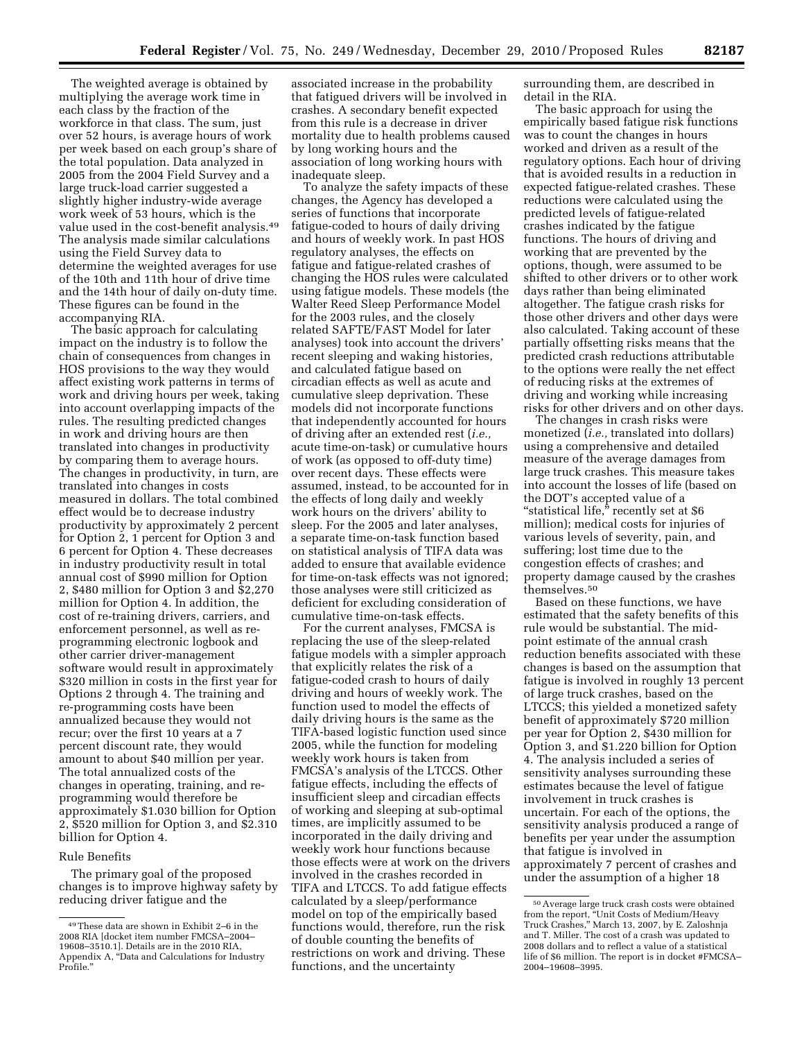The weighted average is obtained by multiplying the average work time in each class by the fraction of the workforce in that class. The sum, just over 52 hours, is average hours of work per week based on each group's share of the total population. Data analyzed in 2005 from the 2004 Field Survey and a large truck-load carrier suggested a slightly higher industry-wide average work week of 53 hours, which is the value used in the cost-benefit analysis.49 The analysis made similar calculations using the Field Survey data to determine the weighted averages for use of the 10th and 11th hour of drive time and the 14th hour of daily on-duty time. These figures can be found in the accompanying RIA.

The basic approach for calculating impact on the industry is to follow the chain of consequences from changes in HOS provisions to the way they would affect existing work patterns in terms of work and driving hours per week, taking into account overlapping impacts of the rules. The resulting predicted changes in work and driving hours are then translated into changes in productivity by comparing them to average hours. The changes in productivity, in turn, are translated into changes in costs measured in dollars. The total combined effect would be to decrease industry productivity by approximately 2 percent for Option 2, 1 percent for Option 3 and 6 percent for Option 4. These decreases in industry productivity result in total annual cost of \$990 million for Option 2, \$480 million for Option 3 and \$2,270 million for Option 4. In addition, the cost of re-training drivers, carriers, and enforcement personnel, as well as reprogramming electronic logbook and other carrier driver-management software would result in approximately \$320 million in costs in the first year for Options 2 through 4. The training and re-programming costs have been annualized because they would not recur; over the first 10 years at a 7 percent discount rate, they would amount to about \$40 million per year. The total annualized costs of the changes in operating, training, and reprogramming would therefore be approximately \$1.030 billion for Option 2, \$520 million for Option 3, and \$2.310 billion for Option 4.

# Rule Benefits

The primary goal of the proposed changes is to improve highway safety by reducing driver fatigue and the

associated increase in the probability that fatigued drivers will be involved in crashes. A secondary benefit expected from this rule is a decrease in driver mortality due to health problems caused by long working hours and the association of long working hours with inadequate sleep.

To analyze the safety impacts of these changes, the Agency has developed a series of functions that incorporate fatigue-coded to hours of daily driving and hours of weekly work. In past HOS regulatory analyses, the effects on fatigue and fatigue-related crashes of changing the HOS rules were calculated using fatigue models. These models (the Walter Reed Sleep Performance Model for the 2003 rules, and the closely related SAFTE/FAST Model for later analyses) took into account the drivers' recent sleeping and waking histories, and calculated fatigue based on circadian effects as well as acute and cumulative sleep deprivation. These models did not incorporate functions that independently accounted for hours of driving after an extended rest (*i.e.,*  acute time-on-task) or cumulative hours of work (as opposed to off-duty time) over recent days. These effects were assumed, instead, to be accounted for in the effects of long daily and weekly work hours on the drivers' ability to sleep. For the 2005 and later analyses, a separate time-on-task function based on statistical analysis of TIFA data was added to ensure that available evidence for time-on-task effects was not ignored; those analyses were still criticized as deficient for excluding consideration of cumulative time-on-task effects.

For the current analyses, FMCSA is replacing the use of the sleep-related fatigue models with a simpler approach that explicitly relates the risk of a fatigue-coded crash to hours of daily driving and hours of weekly work. The function used to model the effects of daily driving hours is the same as the TIFA-based logistic function used since 2005, while the function for modeling weekly work hours is taken from FMCSA's analysis of the LTCCS. Other fatigue effects, including the effects of insufficient sleep and circadian effects of working and sleeping at sub-optimal times, are implicitly assumed to be incorporated in the daily driving and weekly work hour functions because those effects were at work on the drivers involved in the crashes recorded in TIFA and LTCCS. To add fatigue effects calculated by a sleep/performance model on top of the empirically based functions would, therefore, run the risk of double counting the benefits of restrictions on work and driving. These functions, and the uncertainty

surrounding them, are described in detail in the RIA.

The basic approach for using the empirically based fatigue risk functions was to count the changes in hours worked and driven as a result of the regulatory options. Each hour of driving that is avoided results in a reduction in expected fatigue-related crashes. These reductions were calculated using the predicted levels of fatigue-related crashes indicated by the fatigue functions. The hours of driving and working that are prevented by the options, though, were assumed to be shifted to other drivers or to other work days rather than being eliminated altogether. The fatigue crash risks for those other drivers and other days were also calculated. Taking account of these partially offsetting risks means that the predicted crash reductions attributable to the options were really the net effect of reducing risks at the extremes of driving and working while increasing risks for other drivers and on other days.

The changes in crash risks were monetized (*i.e.,* translated into dollars) using a comprehensive and detailed measure of the average damages from large truck crashes. This measure takes into account the losses of life (based on the DOT's accepted value of a "statistical life," recently set at \$6 million); medical costs for injuries of various levels of severity, pain, and suffering; lost time due to the congestion effects of crashes; and property damage caused by the crashes themselves.50

Based on these functions, we have estimated that the safety benefits of this rule would be substantial. The midpoint estimate of the annual crash reduction benefits associated with these changes is based on the assumption that fatigue is involved in roughly 13 percent of large truck crashes, based on the LTCCS; this yielded a monetized safety benefit of approximately \$720 million per year for Option 2, \$430 million for Option 3, and \$1.220 billion for Option 4. The analysis included a series of sensitivity analyses surrounding these estimates because the level of fatigue involvement in truck crashes is uncertain. For each of the options, the sensitivity analysis produced a range of benefits per year under the assumption that fatigue is involved in approximately 7 percent of crashes and under the assumption of a higher 18

<sup>49</sup>These data are shown in Exhibit 2–6 in the 2008 RIA [docket item number FMCSA–2004– 19608–3510.1]. Details are in the 2010 RIA, Appendix A, ''Data and Calculations for Industry Profile.''

<sup>50</sup>Average large truck crash costs were obtained from the report, ''Unit Costs of Medium/Heavy Truck Crashes,'' March 13, 2007, by E. Zaloshnja and T. Miller. The cost of a crash was updated to 2008 dollars and to reflect a value of a statistical life of \$6 million. The report is in docket #FMCSA– 2004–19608–3995.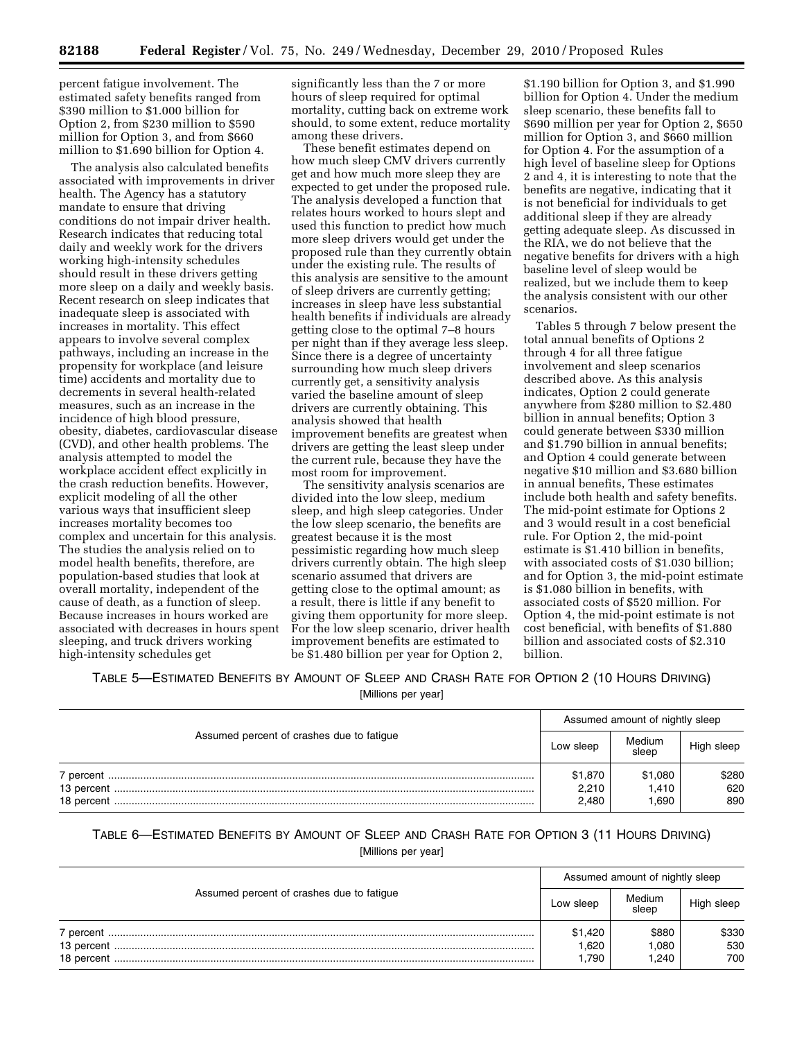percent fatigue involvement. The estimated safety benefits ranged from \$390 million to \$1.000 billion for Option 2, from \$230 million to \$590 million for Option 3, and from \$660 million to \$1.690 billion for Option 4.

The analysis also calculated benefits associated with improvements in driver health. The Agency has a statutory mandate to ensure that driving conditions do not impair driver health. Research indicates that reducing total daily and weekly work for the drivers working high-intensity schedules should result in these drivers getting more sleep on a daily and weekly basis. Recent research on sleep indicates that inadequate sleep is associated with increases in mortality. This effect appears to involve several complex pathways, including an increase in the propensity for workplace (and leisure time) accidents and mortality due to decrements in several health-related measures, such as an increase in the incidence of high blood pressure, obesity, diabetes, cardiovascular disease (CVD), and other health problems. The analysis attempted to model the workplace accident effect explicitly in the crash reduction benefits. However, explicit modeling of all the other various ways that insufficient sleep increases mortality becomes too complex and uncertain for this analysis. The studies the analysis relied on to model health benefits, therefore, are population-based studies that look at overall mortality, independent of the cause of death, as a function of sleep. Because increases in hours worked are associated with decreases in hours spent sleeping, and truck drivers working high-intensity schedules get

significantly less than the 7 or more hours of sleep required for optimal mortality, cutting back on extreme work should, to some extent, reduce mortality among these drivers.

These benefit estimates depend on how much sleep CMV drivers currently get and how much more sleep they are expected to get under the proposed rule. The analysis developed a function that relates hours worked to hours slept and used this function to predict how much more sleep drivers would get under the proposed rule than they currently obtain under the existing rule. The results of this analysis are sensitive to the amount of sleep drivers are currently getting; increases in sleep have less substantial health benefits if individuals are already getting close to the optimal 7–8 hours per night than if they average less sleep. Since there is a degree of uncertainty surrounding how much sleep drivers currently get, a sensitivity analysis varied the baseline amount of sleep drivers are currently obtaining. This analysis showed that health improvement benefits are greatest when drivers are getting the least sleep under the current rule, because they have the most room for improvement.

The sensitivity analysis scenarios are divided into the low sleep, medium sleep, and high sleep categories. Under the low sleep scenario, the benefits are greatest because it is the most pessimistic regarding how much sleep drivers currently obtain. The high sleep scenario assumed that drivers are getting close to the optimal amount; as a result, there is little if any benefit to giving them opportunity for more sleep. For the low sleep scenario, driver health improvement benefits are estimated to be \$1.480 billion per year for Option 2,

\$1.190 billion for Option 3, and \$1.990 billion for Option 4. Under the medium sleep scenario, these benefits fall to \$690 million per year for Option 2, \$650 million for Option 3, and \$660 million for Option 4. For the assumption of a high level of baseline sleep for Options 2 and 4, it is interesting to note that the benefits are negative, indicating that it is not beneficial for individuals to get additional sleep if they are already getting adequate sleep. As discussed in the RIA, we do not believe that the negative benefits for drivers with a high baseline level of sleep would be realized, but we include them to keep the analysis consistent with our other scenarios.

Tables 5 through 7 below present the total annual benefits of Options 2 through 4 for all three fatigue involvement and sleep scenarios described above. As this analysis indicates, Option 2 could generate anywhere from \$280 million to \$2.480 billion in annual benefits; Option 3 could generate between \$330 million and \$1.790 billion in annual benefits; and Option 4 could generate between negative \$10 million and \$3.680 billion in annual benefits, These estimates include both health and safety benefits. The mid-point estimate for Options 2 and 3 would result in a cost beneficial rule. For Option 2, the mid-point estimate is \$1.410 billion in benefits, with associated costs of \$1.030 billion; and for Option 3, the mid-point estimate is \$1.080 billion in benefits, with associated costs of \$520 million. For Option 4, the mid-point estimate is not cost beneficial, with benefits of \$1.880 billion and associated costs of \$2.310 billion.

# TABLE 5—ESTIMATED BENEFITS BY AMOUNT OF SLEEP AND CRASH RATE FOR OPTION 2 (10 HOURS DRIVING)

[Millions per year]

|                                           | Assumed amount of nightly sleep |                          |                     |  |
|-------------------------------------------|---------------------------------|--------------------------|---------------------|--|
| Assumed percent of crashes due to fatigue |                                 | Medium<br>sleep          | High sleep          |  |
|                                           | \$1,870<br>2,210<br>2,480       | \$1,080<br>1.410<br>.690 | \$280<br>620<br>890 |  |

# TABLE 6—ESTIMATED BENEFITS BY AMOUNT OF SLEEP AND CRASH RATE FOR OPTION 3 (11 HOURS DRIVING) [Millions per year]

|                                           | Assumed amount of nightly sleep |                 |            |  |
|-------------------------------------------|---------------------------------|-----------------|------------|--|
| Assumed percent of crashes due to fatigue |                                 | Medium<br>sleep | High sleep |  |
|                                           | \$1,420                         | \$880           | \$330      |  |
|                                           | 1,620                           | 080,            | 530        |  |
|                                           | 1.790                           | 1.240           | 700        |  |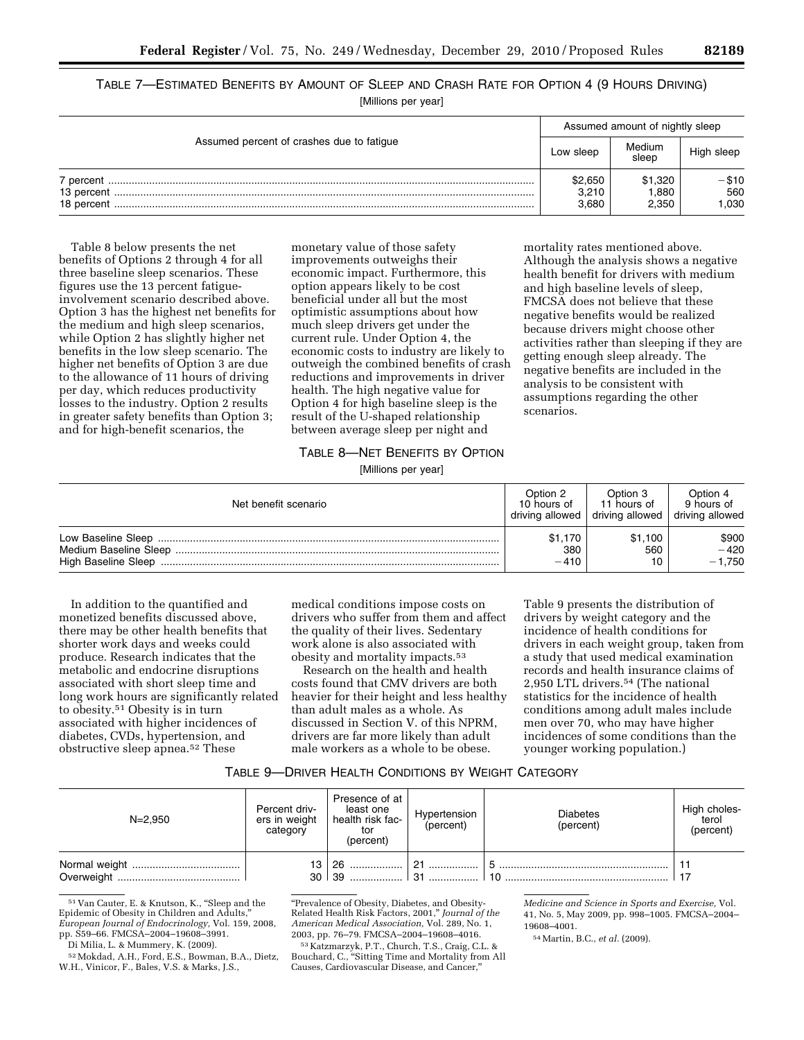TABLE 7—ESTIMATED BENEFITS BY AMOUNT OF SLEEP AND CRASH RATE FOR OPTION 4 (9 HOURS DRIVING) [Millions per year]

|                                           | Assumed amount of nightly sleep |                 |            |  |
|-------------------------------------------|---------------------------------|-----------------|------------|--|
| Assumed percent of crashes due to fatigue |                                 | Medium<br>sleep | High sleep |  |
|                                           | \$2,650                         | \$1,320         | -\$10      |  |
|                                           | 3,210                           | 1.880           | 560        |  |
|                                           | 3,680                           | 2.350           | .030       |  |

Table 8 below presents the net benefits of Options 2 through 4 for all three baseline sleep scenarios. These figures use the 13 percent fatigueinvolvement scenario described above. Option 3 has the highest net benefits for the medium and high sleep scenarios, while Option 2 has slightly higher net benefits in the low sleep scenario. The higher net benefits of Option 3 are due to the allowance of 11 hours of driving per day, which reduces productivity losses to the industry. Option 2 results in greater safety benefits than Option 3; and for high-benefit scenarios, the

monetary value of those safety improvements outweighs their economic impact. Furthermore, this option appears likely to be cost beneficial under all but the most optimistic assumptions about how much sleep drivers get under the current rule. Under Option 4, the economic costs to industry are likely to outweigh the combined benefits of crash reductions and improvements in driver health. The high negative value for Option 4 for high baseline sleep is the result of the U-shaped relationship between average sleep per night and

# mortality rates mentioned above. Although the analysis shows a negative health benefit for drivers with medium and high baseline levels of sleep, FMCSA does not believe that these negative benefits would be realized because drivers might choose other activities rather than sleeping if they are getting enough sleep already. The negative benefits are included in the analysis to be consistent with assumptions regarding the other scenarios.

# TABLE 8—NET BENEFITS BY OPTION [Millions per year]

| Net benefit scenario                         | Option 2<br>10 hours of<br>driving allowed   driving allowed | Option 3<br>11 hours of | Option 4<br>9 hours of<br>driving allowed |
|----------------------------------------------|--------------------------------------------------------------|-------------------------|-------------------------------------------|
| Medium Baseline Sleep<br>High Baseline Sleep | \$1.170<br>380<br>$-410$                                     | \$1.100<br>560          | \$900<br>$-420$<br>$-1.750$               |

In addition to the quantified and monetized benefits discussed above, there may be other health benefits that shorter work days and weeks could produce. Research indicates that the metabolic and endocrine disruptions associated with short sleep time and long work hours are significantly related to obesity.51 Obesity is in turn associated with higher incidences of diabetes, CVDs, hypertension, and obstructive sleep apnea.52 These

medical conditions impose costs on drivers who suffer from them and affect the quality of their lives. Sedentary work alone is also associated with obesity and mortality impacts.53

Research on the health and health costs found that CMV drivers are both heavier for their height and less healthy than adult males as a whole. As discussed in Section V. of this NPRM, drivers are far more likely than adult male workers as a whole to be obese.

Table 9 presents the distribution of drivers by weight category and the incidence of health conditions for drivers in each weight group, taken from a study that used medical examination records and health insurance claims of 2,950 LTL drivers.54 (The national statistics for the incidence of health conditions among adult males include men over 70, who may have higher incidences of some conditions than the younger working population.)

# TABLE 9—DRIVER HEALTH CONDITIONS BY WEIGHT CATEGORY

| $N = 2.950$ | Percent driv-<br>ers in weight<br>category | Presence of at<br>least one<br>health risk fac-<br>tor<br>(percent)   | Hypertension<br>  (percent) | <b>Diabetes</b><br>(percent) | High choles-<br>terol<br>(percent) |
|-------------|--------------------------------------------|-----------------------------------------------------------------------|-----------------------------|------------------------------|------------------------------------|
|             |                                            | $13 \mid 26 \dots \dots \dots \dots$<br>$30 \mid 39 \dots$ $31 \dots$ | $\sqrt{21}$                 | 10                           |                                    |

<sup>51</sup> Van Cauter, E. & Knutson, K., ''Sleep and the Epidemic of Obesity in Children and Adults,'' *European Journal of Endocrinology,* Vol. 159, 2008, pp. S59–66. FMCSA–2004–19608–3991.

Di Milia, L. & Mummery, K. (2009).

53 Katzmarzyk, P.T., Church, T.S., Craig, C.L. & Bouchard, C., ''Sitting Time and Mortality from All Causes, Cardiovascular Disease, and Cancer,''

*Medicine and Science in Sports and Exercise,* Vol. 41, No. 5, May 2009, pp. 998–1005. FMCSA–2004– 19608–4001.

<sup>52</sup>Mokdad, A.H., Ford, E.S., Bowman, B.A., Dietz, W.H., Vinicor, F., Bales, V.S. & Marks, J.S.,

<sup>&#</sup>x27;'Prevalence of Obesity, Diabetes, and Obesity-Related Health Risk Factors, 2001,'' *Journal of the American Medical Association,* Vol. 289, No. 1, 2003, pp. 76–79. FMCSA–2004–19608–4016.

<sup>54</sup>Martin, B.C., *et al.* (2009).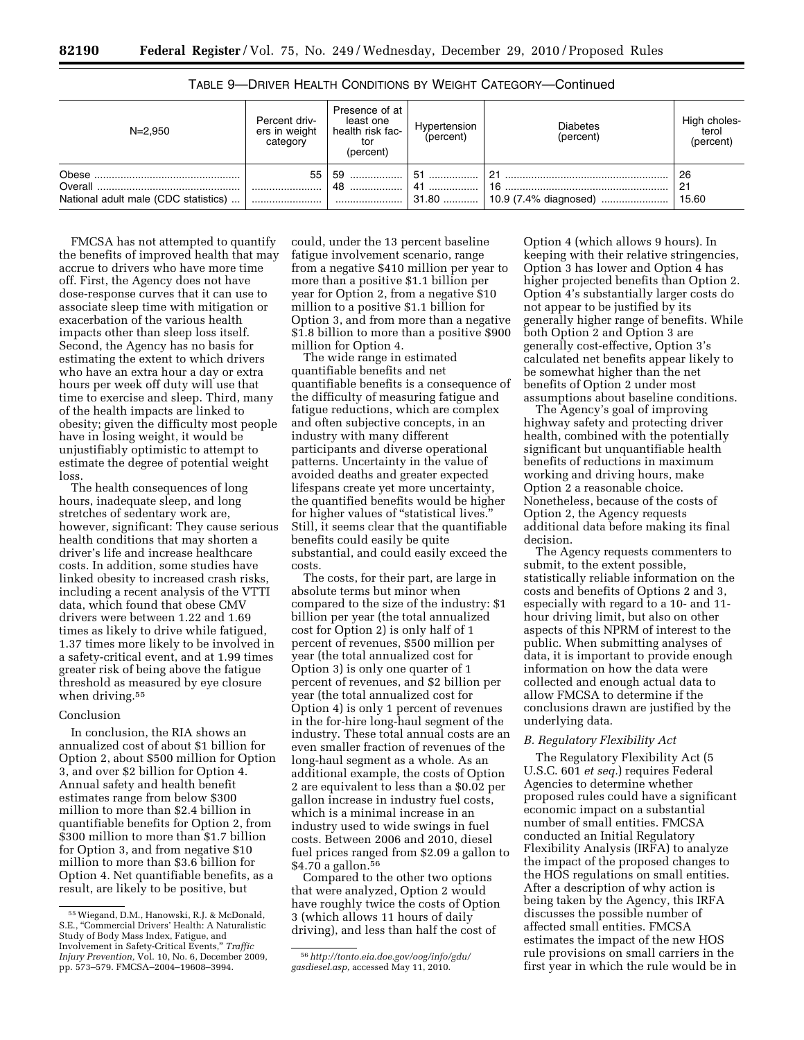| $N = 2.950$                                     | Percent driv-<br>ers in weight<br>category | Presence of at<br>least one<br>health risk fac-<br>tor<br>(percent) | Hypertension<br>(percent) | <b>Diabetes</b><br>(percent)         | High choles-<br>terol<br>(percent) |
|-------------------------------------------------|--------------------------------------------|---------------------------------------------------------------------|---------------------------|--------------------------------------|------------------------------------|
| Overall<br>National adult male (CDC statistics) |                                            | 55   59<br>48                                                       | │ 51 ……………… │ 21          | 16<br>31.80    10.9 (7.4% diagnosed) | -26<br>21<br>15.60                 |

TABLE 9—DRIVER HEALTH CONDITIONS BY WEIGHT CATEGORY—Continued

FMCSA has not attempted to quantify the benefits of improved health that may accrue to drivers who have more time off. First, the Agency does not have dose-response curves that it can use to associate sleep time with mitigation or exacerbation of the various health impacts other than sleep loss itself. Second, the Agency has no basis for estimating the extent to which drivers who have an extra hour a day or extra hours per week off duty will use that time to exercise and sleep. Third, many of the health impacts are linked to obesity; given the difficulty most people have in losing weight, it would be unjustifiably optimistic to attempt to estimate the degree of potential weight loss.

The health consequences of long hours, inadequate sleep, and long stretches of sedentary work are, however, significant: They cause serious health conditions that may shorten a driver's life and increase healthcare costs. In addition, some studies have linked obesity to increased crash risks, including a recent analysis of the VTTI data, which found that obese CMV drivers were between 1.22 and 1.69 times as likely to drive while fatigued, 1.37 times more likely to be involved in a safety-critical event, and at 1.99 times greater risk of being above the fatigue threshold as measured by eye closure when driving.<sup>55</sup>

# Conclusion

In conclusion, the RIA shows an annualized cost of about \$1 billion for Option 2, about \$500 million for Option 3, and over \$2 billion for Option 4. Annual safety and health benefit estimates range from below \$300 million to more than \$2.4 billion in quantifiable benefits for Option 2, from \$300 million to more than \$1.7 billion for Option 3, and from negative \$10 million to more than \$3.6 billion for Option 4. Net quantifiable benefits, as a result, are likely to be positive, but

could, under the 13 percent baseline fatigue involvement scenario, range from a negative \$410 million per year to more than a positive \$1.1 billion per year for Option 2, from a negative \$10 million to a positive \$1.1 billion for Option 3, and from more than a negative \$1.8 billion to more than a positive \$900 million for Option 4.

The wide range in estimated quantifiable benefits and net quantifiable benefits is a consequence of the difficulty of measuring fatigue and fatigue reductions, which are complex and often subjective concepts, in an industry with many different participants and diverse operational patterns. Uncertainty in the value of avoided deaths and greater expected lifespans create yet more uncertainty, the quantified benefits would be higher for higher values of "statistical lives." Still, it seems clear that the quantifiable benefits could easily be quite substantial, and could easily exceed the costs.

The costs, for their part, are large in absolute terms but minor when compared to the size of the industry: \$1 billion per year (the total annualized cost for Option 2) is only half of 1 percent of revenues, \$500 million per year (the total annualized cost for Option 3) is only one quarter of 1 percent of revenues, and \$2 billion per year (the total annualized cost for Option 4) is only 1 percent of revenues in the for-hire long-haul segment of the industry. These total annual costs are an even smaller fraction of revenues of the long-haul segment as a whole. As an additional example, the costs of Option 2 are equivalent to less than a \$0.02 per gallon increase in industry fuel costs, which is a minimal increase in an industry used to wide swings in fuel costs. Between 2006 and 2010, diesel fuel prices ranged from \$2.09 a gallon to \$4.70 a gallon.56

Compared to the other two options that were analyzed, Option 2 would have roughly twice the costs of Option 3 (which allows 11 hours of daily driving), and less than half the cost of

Option 4 (which allows 9 hours). In keeping with their relative stringencies, Option 3 has lower and Option 4 has higher projected benefits than Option 2. Option 4's substantially larger costs do not appear to be justified by its generally higher range of benefits. While both Option 2 and Option 3 are generally cost-effective, Option 3's calculated net benefits appear likely to be somewhat higher than the net benefits of Option 2 under most assumptions about baseline conditions.

The Agency's goal of improving highway safety and protecting driver health, combined with the potentially significant but unquantifiable health benefits of reductions in maximum working and driving hours, make Option 2 a reasonable choice. Nonetheless, because of the costs of Option 2, the Agency requests additional data before making its final decision.

The Agency requests commenters to submit, to the extent possible, statistically reliable information on the costs and benefits of Options 2 and 3, especially with regard to a 10- and 11 hour driving limit, but also on other aspects of this NPRM of interest to the public. When submitting analyses of data, it is important to provide enough information on how the data were collected and enough actual data to allow FMCSA to determine if the conclusions drawn are justified by the underlying data.

### *B. Regulatory Flexibility Act*

The Regulatory Flexibility Act (5 U.S.C. 601 *et seq.*) requires Federal Agencies to determine whether proposed rules could have a significant economic impact on a substantial number of small entities. FMCSA conducted an Initial Regulatory Flexibility Analysis (IRFA) to analyze the impact of the proposed changes to the HOS regulations on small entities. After a description of why action is being taken by the Agency, this IRFA discusses the possible number of affected small entities. FMCSA estimates the impact of the new HOS rule provisions on small carriers in the first year in which the rule would be in

<sup>55</sup>Wiegand, D.M., Hanowski, R.J. & McDonald, S.E., ''Commercial Drivers' Health: A Naturalistic Study of Body Mass Index, Fatigue, and Involvement in Safety-Critical Events,'' *Traffic Injury Prevention,* Vol. 10, No. 6, December 2009, pp. 573–579. FMCSA–2004–19608–3994.

<sup>56</sup>*[http://tonto.eia.doe.gov/oog/info/gdu/](http://tonto.eia.doe.gov/oog/info/gdu/gasdiesel.asp)  [gasdiesel.asp,](http://tonto.eia.doe.gov/oog/info/gdu/gasdiesel.asp)* accessed May 11, 2010.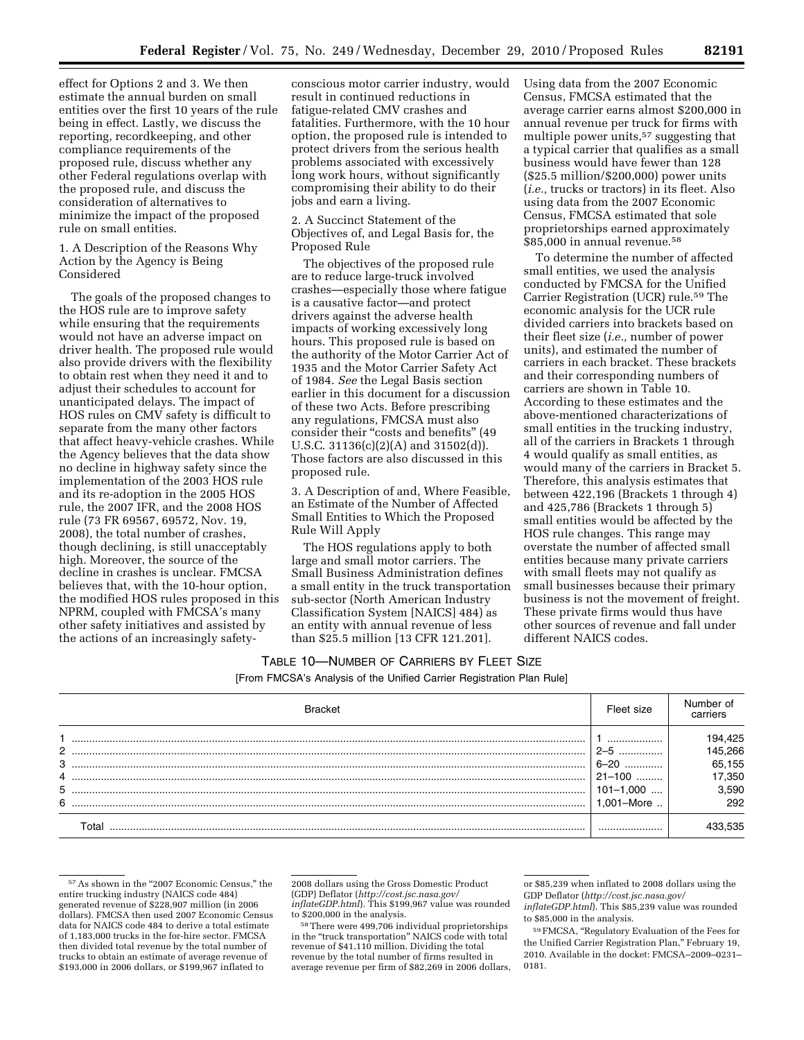effect for Options 2 and 3. We then estimate the annual burden on small entities over the first 10 years of the rule being in effect. Lastly, we discuss the reporting, recordkeeping, and other compliance requirements of the proposed rule, discuss whether any other Federal regulations overlap with the proposed rule, and discuss the consideration of alternatives to minimize the impact of the proposed rule on small entities.

# 1. A Description of the Reasons Why Action by the Agency is Being Considered

The goals of the proposed changes to the HOS rule are to improve safety while ensuring that the requirements would not have an adverse impact on driver health. The proposed rule would also provide drivers with the flexibility to obtain rest when they need it and to adjust their schedules to account for unanticipated delays. The impact of HOS rules on CMV safety is difficult to separate from the many other factors that affect heavy-vehicle crashes. While the Agency believes that the data show no decline in highway safety since the implementation of the 2003 HOS rule and its re-adoption in the 2005 HOS rule, the 2007 IFR, and the 2008 HOS rule (73 FR 69567, 69572, Nov. 19, 2008), the total number of crashes, though declining, is still unacceptably high. Moreover, the source of the decline in crashes is unclear. FMCSA believes that, with the 10-hour option, the modified HOS rules proposed in this NPRM, coupled with FMCSA's many other safety initiatives and assisted by the actions of an increasingly safetyconscious motor carrier industry, would result in continued reductions in fatigue-related CMV crashes and fatalities. Furthermore, with the 10 hour option, the proposed rule is intended to protect drivers from the serious health problems associated with excessively long work hours, without significantly compromising their ability to do their jobs and earn a living.

2. A Succinct Statement of the Objectives of, and Legal Basis for, the Proposed Rule

The objectives of the proposed rule are to reduce large-truck involved crashes—especially those where fatigue is a causative factor—and protect drivers against the adverse health impacts of working excessively long hours. This proposed rule is based on the authority of the Motor Carrier Act of 1935 and the Motor Carrier Safety Act of 1984. *See* the Legal Basis section earlier in this document for a discussion of these two Acts. Before prescribing any regulations, FMCSA must also consider their "costs and benefits" (49 U.S.C. 31136(c)(2)(A) and 31502(d)). Those factors are also discussed in this proposed rule.

3. A Description of and, Where Feasible, an Estimate of the Number of Affected Small Entities to Which the Proposed Rule Will Apply

The HOS regulations apply to both large and small motor carriers. The Small Business Administration defines a small entity in the truck transportation sub-sector (North American Industry Classification System [NAICS] 484) as an entity with annual revenue of less than \$25.5 million [13 CFR 121.201].

Using data from the 2007 Economic Census, FMCSA estimated that the average carrier earns almost \$200,000 in annual revenue per truck for firms with multiple power units,57 suggesting that a typical carrier that qualifies as a small business would have fewer than 128 (\$25.5 million/\$200,000) power units (*i.e.,* trucks or tractors) in its fleet. Also using data from the 2007 Economic Census, FMCSA estimated that sole proprietorships earned approximately \$85,000 in annual revenue.<sup>58</sup>

To determine the number of affected small entities, we used the analysis conducted by FMCSA for the Unified Carrier Registration (UCR) rule.59 The economic analysis for the UCR rule divided carriers into brackets based on their fleet size (*i.e.,* number of power units), and estimated the number of carriers in each bracket. These brackets and their corresponding numbers of carriers are shown in Table 10. According to these estimates and the above-mentioned characterizations of small entities in the trucking industry, all of the carriers in Brackets 1 through 4 would qualify as small entities, as would many of the carriers in Bracket 5. Therefore, this analysis estimates that between 422,196 (Brackets 1 through 4) and 425,786 (Brackets 1 through 5) small entities would be affected by the HOS rule changes. This range may overstate the number of affected small entities because many private carriers with small fleets may not qualify as small businesses because their primary business is not the movement of freight. These private firms would thus have other sources of revenue and fall under different NAICS codes.

# TABLE 10—NUMBER OF CARRIERS BY FLEET SIZE [From FMCSA's Analysis of the Unified Carrier Registration Plan Rule]

|        | <b>Bracket</b> | Fleet size              | Number of<br>carriers |
|--------|----------------|-------------------------|-----------------------|
| 2      |                | <br>$2 - 5$             | 194,425<br>145,266    |
| 3      |                | $6 - 20$<br>            | 65,155                |
| 4<br>5 |                | 21-100<br>$101 - 1,000$ | 17,350<br>3.590       |
| 6      |                | 001-More                | 292                   |
|        | Гоtal          |                         |                       |

<sup>57</sup> As shown in the "2007 Economic Census," the entire trucking industry (NAICS code 484) generated revenue of \$228,907 million (in 2006 dollars). FMCSA then used 2007 Economic Census data for NAICS code 484 to derive a total estimate of 1,183,000 trucks in the for-hire sector. FMCSA then divided total revenue by the total number of trucks to obtain an estimate of average revenue of \$193,000 in 2006 dollars, or \$199,967 inflated to

<sup>58</sup> There were 499,706 individual proprietorships in the "truck transportation" NAICS code with total revenue of \$41,110 million. Dividing the total revenue by the total number of firms resulted in average revenue per firm of \$82,269 in 2006 dollars,

<sup>2008</sup> dollars using the Gross Domestic Product (GDP) Deflator (*[http://cost.jsc.nasa.gov/](http://cost.jsc.nasa.gov/inflateGDP.html)  [inflateGDP.html](http://cost.jsc.nasa.gov/inflateGDP.html)*). This \$199,967 value was rounded to \$200,000 in the analysis.

or \$85,239 when inflated to 2008 dollars using the GDP Deflator (*[http://cost.jsc.nasa.gov/](http://cost.jsc.nasa.gov/inflateGDP.html)* 

*[inflateGDP.html](http://cost.jsc.nasa.gov/inflateGDP.html)*). This \$85,239 value was rounded to \$85,000 in the analysis.

<sup>59</sup>FMCSA, ''Regulatory Evaluation of the Fees for the Unified Carrier Registration Plan,'' February 19, 2010. Available in the docket: FMCSA–2009–0231– 0181.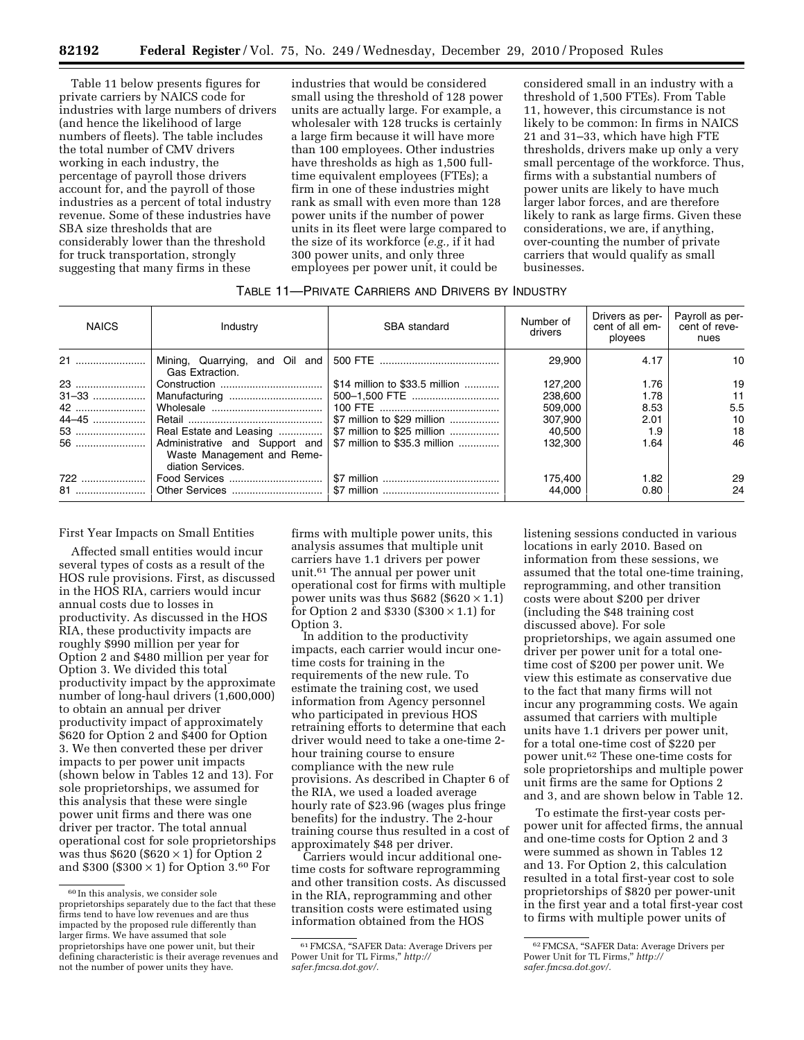Table 11 below presents figures for private carriers by NAICS code for industries with large numbers of drivers (and hence the likelihood of large numbers of fleets). The table includes the total number of CMV drivers working in each industry, the percentage of payroll those drivers account for, and the payroll of those industries as a percent of total industry revenue. Some of these industries have SBA size thresholds that are considerably lower than the threshold for truck transportation, strongly suggesting that many firms in these

industries that would be considered small using the threshold of 128 power units are actually large. For example, a wholesaler with 128 trucks is certainly a large firm because it will have more than 100 employees. Other industries have thresholds as high as 1,500 fulltime equivalent employees (FTEs); a firm in one of these industries might rank as small with even more than 128 power units if the number of power units in its fleet were large compared to the size of its workforce (*e.g.,* if it had 300 power units, and only three employees per power unit, it could be

considered small in an industry with a threshold of 1,500 FTEs). From Table 11, however, this circumstance is not likely to be common: In firms in NAICS 21 and 31–33, which have high FTE thresholds, drivers make up only a very small percentage of the workforce. Thus, firms with a substantial numbers of power units are likely to have much larger labor forces, and are therefore likely to rank as large firms. Given these considerations, we are, if anything, over-counting the number of private carriers that would qualify as small businesses.

## TABLE 11—PRIVATE CARRIERS AND DRIVERS BY INDUSTRY

| <b>NAICS</b> | Industry                                                                          | SBA standard                   | Number of<br>drivers | Drivers as per-<br>cent of all em-<br>ployees | Payroll as per-<br>cent of reve-<br>nues |
|--------------|-----------------------------------------------------------------------------------|--------------------------------|----------------------|-----------------------------------------------|------------------------------------------|
|              | Mining, Quarrying, and Oil and<br>Gas Extraction.                                 |                                | 29.900               | 4.17                                          | 10                                       |
| 23           |                                                                                   | \$14 million to \$33.5 million | 127.200              | 1.76                                          | 19                                       |
|              | Manufacturing                                                                     |                                | 238.600              | 1.78                                          | 11                                       |
| 42           |                                                                                   |                                | 509.000              | 8.53                                          | 5.5                                      |
| 44–45        |                                                                                   | \$7 million to \$29 million    | 307.900              | 2.01                                          | 10                                       |
| 53           | Real Estate and Leasing                                                           |                                | 40.500               | 1.9                                           | 18                                       |
|              | Administrative and Support and<br>Waste Management and Reme-<br>diation Services. | \$7 million to \$35.3 million  | 132,300              | 1.64                                          | 46                                       |
| 722          |                                                                                   |                                | 175.400              | 1.82                                          | 29                                       |
| 81           |                                                                                   |                                | 44.000               | 0.80                                          | 24                                       |

First Year Impacts on Small Entities

Affected small entities would incur several types of costs as a result of the HOS rule provisions. First, as discussed in the HOS RIA, carriers would incur annual costs due to losses in productivity. As discussed in the HOS RIA, these productivity impacts are roughly \$990 million per year for Option 2 and \$480 million per year for Option 3. We divided this total productivity impact by the approximate number of long-haul drivers (1,600,000) to obtain an annual per driver productivity impact of approximately \$620 for Option 2 and \$400 for Option 3. We then converted these per driver impacts to per power unit impacts (shown below in Tables 12 and 13). For sole proprietorships, we assumed for this analysis that these were single power unit firms and there was one driver per tractor. The total annual operational cost for sole proprietorships was thus  $$620 ($620 \times 1)$  for Option 2 and \$300 (\$300  $\times$  1) for Option 3.<sup>60</sup> For

firms with multiple power units, this analysis assumes that multiple unit carriers have 1.1 drivers per power unit.61 The annual per power unit operational cost for firms with multiple power units was thus  $$682 ($620 \times 1.1)$ for Option 2 and  $$330 (\$300 \times 1.1)$  for Option 3.

In addition to the productivity impacts, each carrier would incur onetime costs for training in the requirements of the new rule. To estimate the training cost, we used information from Agency personnel who participated in previous HOS retraining efforts to determine that each driver would need to take a one-time 2 hour training course to ensure compliance with the new rule provisions. As described in Chapter 6 of the RIA, we used a loaded average hourly rate of \$23.96 (wages plus fringe benefits) for the industry. The 2-hour training course thus resulted in a cost of approximately \$48 per driver.

Carriers would incur additional onetime costs for software reprogramming and other transition costs. As discussed in the RIA, reprogramming and other transition costs were estimated using information obtained from the HOS

listening sessions conducted in various locations in early 2010. Based on information from these sessions, we assumed that the total one-time training, reprogramming, and other transition costs were about \$200 per driver (including the \$48 training cost discussed above). For sole proprietorships, we again assumed one driver per power unit for a total onetime cost of \$200 per power unit. We view this estimate as conservative due to the fact that many firms will not incur any programming costs. We again assumed that carriers with multiple units have 1.1 drivers per power unit, for a total one-time cost of \$220 per power unit.62 These one-time costs for sole proprietorships and multiple power unit firms are the same for Options 2 and 3, and are shown below in Table 12.

To estimate the first-year costs perpower unit for affected firms, the annual and one-time costs for Option 2 and 3 were summed as shown in Tables 12 and 13. For Option 2, this calculation resulted in a total first-year cost to sole proprietorships of \$820 per power-unit in the first year and a total first-year cost to firms with multiple power units of

<sup>60</sup> In this analysis, we consider sole proprietorships separately due to the fact that these firms tend to have low revenues and are thus impacted by the proposed rule differently than larger firms. We have assumed that sole proprietorships have one power unit, but their defining characteristic is their average revenues and not the number of power units they have.

<sup>61</sup>FMCSA, ''SAFER Data: Average Drivers per Power Unit for TL Firms,'' *[http://](http://safer.fmcsa.dot.gov/) [safer.fmcsa.dot.gov/.](http://safer.fmcsa.dot.gov/)* 

<sup>62</sup>FMCSA, ''SAFER Data: Average Drivers per Power Unit for TL Firms,'' *[http://](http://safer.fmcsa.dot.gov/) [safer.fmcsa.dot.gov/.](http://safer.fmcsa.dot.gov/)*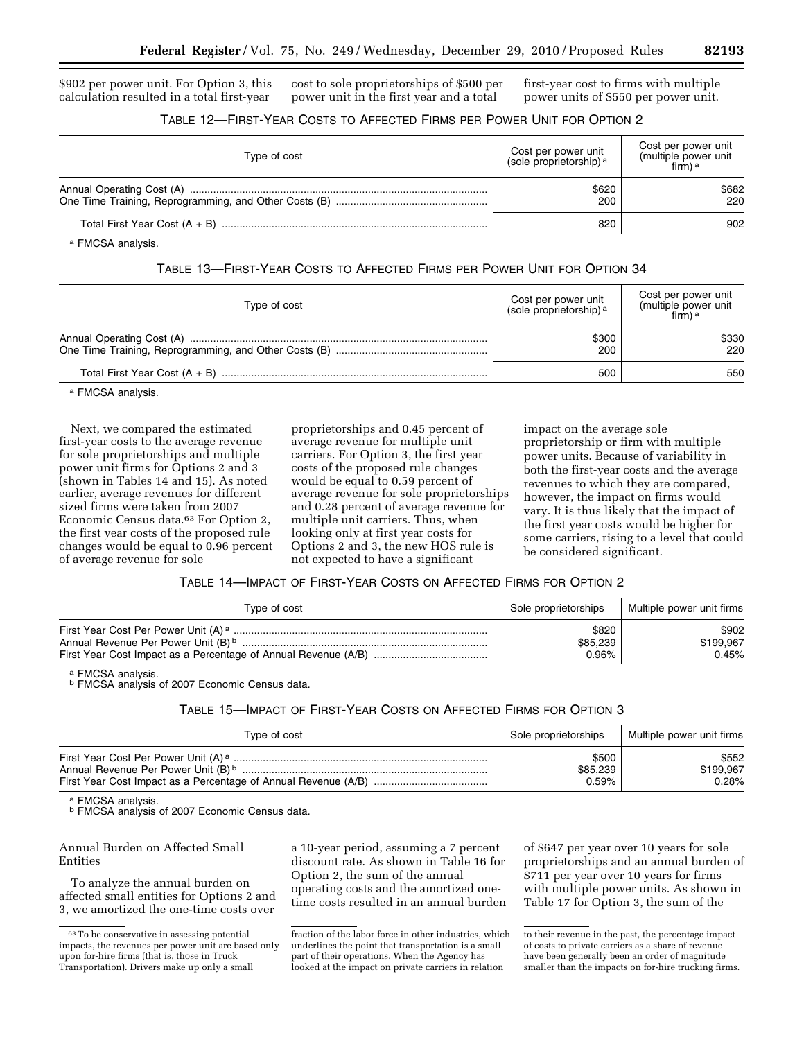\$902 per power unit. For Option 3, this calculation resulted in a total first-year

cost to sole proprietorships of \$500 per power unit in the first year and a total

first-year cost to firms with multiple power units of \$550 per power unit.

# TABLE 12—FIRST-YEAR COSTS TO AFFECTED FIRMS PER POWER UNIT FOR OPTION 2

| Type of cost | Cost per power unit<br>(sole proprietorship) <sup>a</sup> | Cost per power unit<br>(multiple power unit<br>$\lim_{n \to \infty}$ ) <sup>a</sup> |
|--------------|-----------------------------------------------------------|-------------------------------------------------------------------------------------|
|              | \$620<br>200                                              | \$682<br>220                                                                        |
|              | 820                                                       | 902                                                                                 |

a FMCSA analysis.

# TABLE 13—FIRST-YEAR COSTS TO AFFECTED FIRMS PER POWER UNIT FOR OPTION 34

| Type of cost | Cost per power unit<br>(sole proprietorship) <sup>a</sup> | Cost per power unit<br>(multiple power unit<br>firm) a |
|--------------|-----------------------------------------------------------|--------------------------------------------------------|
|              | \$300<br>200                                              | \$330<br>220                                           |
|              | 500                                                       | 550                                                    |

a FMCSA analysis.

Next, we compared the estimated first-year costs to the average revenue for sole proprietorships and multiple power unit firms for Options 2 and 3 (shown in Tables 14 and 15). As noted earlier, average revenues for different sized firms were taken from 2007 Economic Census data.63 For Option 2, the first year costs of the proposed rule changes would be equal to 0.96 percent of average revenue for sole

proprietorships and 0.45 percent of average revenue for multiple unit carriers. For Option 3, the first year costs of the proposed rule changes would be equal to 0.59 percent of average revenue for sole proprietorships and 0.28 percent of average revenue for multiple unit carriers. Thus, when looking only at first year costs for Options 2 and 3, the new HOS rule is not expected to have a significant

impact on the average sole proprietorship or firm with multiple power units. Because of variability in both the first-year costs and the average revenues to which they are compared, however, the impact on firms would vary. It is thus likely that the impact of the first year costs would be higher for some carriers, rising to a level that could be considered significant.

# TABLE 14—IMPACT OF FIRST-YEAR COSTS ON AFFECTED FIRMS FOR OPTION 2

| Type of cost | Sole proprietorships | Multiple power unit firms |
|--------------|----------------------|---------------------------|
|              | \$820                | \$902                     |
|              | \$85,239             | \$199,967                 |
|              | 0.96%                | 0.45%                     |

<sup>a</sup> FMCSA analysis.<br><sup>b</sup> FMCSA analysis of 2007 Economic Census data.

# TABLE 15—IMPACT OF FIRST-YEAR COSTS ON AFFECTED FIRMS FOR OPTION 3

| Type of cost | Sole proprietorships | Multiple power unit firms |
|--------------|----------------------|---------------------------|
|              | \$500                | \$552                     |
|              | \$85,239             | \$199,967                 |
|              | $0.59\%$             | 0.28%                     |

a FMCSA analysis.<br><sup>b</sup> FMCSA analysis of 2007 Economic Census data.

## Annual Burden on Affected Small Entities

To analyze the annual burden on affected small entities for Options 2 and 3, we amortized the one-time costs over a 10-year period, assuming a 7 percent discount rate. As shown in Table 16 for Option 2, the sum of the annual operating costs and the amortized onetime costs resulted in an annual burden

of \$647 per year over 10 years for sole proprietorships and an annual burden of \$711 per year over 10 years for firms with multiple power units. As shown in Table 17 for Option 3, the sum of the

<sup>63</sup>To be conservative in assessing potential impacts, the revenues per power unit are based only upon for-hire firms (that is, those in Truck Transportation). Drivers make up only a small

fraction of the labor force in other industries, which underlines the point that transportation is a small part of their operations. When the Agency has looked at the impact on private carriers in relation

to their revenue in the past, the percentage impact of costs to private carriers as a share of revenue have been generally been an order of magnitude smaller than the impacts on for-hire trucking firms.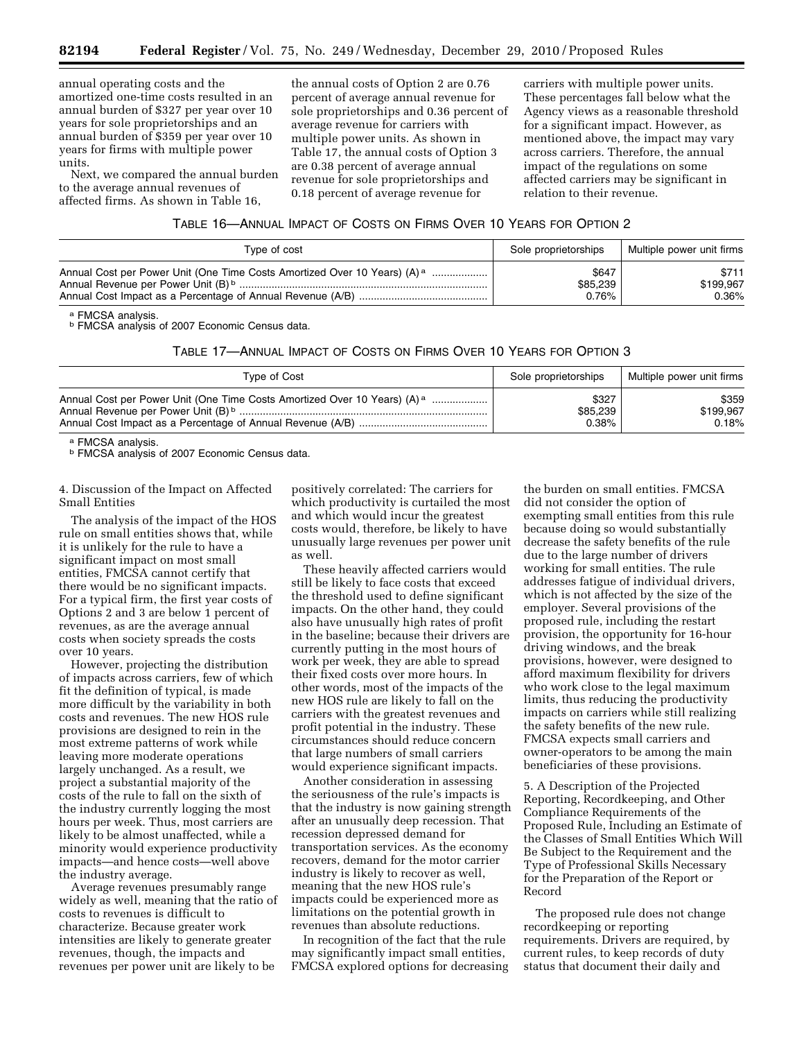annual operating costs and the amortized one-time costs resulted in an annual burden of \$327 per year over 10 years for sole proprietorships and an annual burden of \$359 per year over 10 years for firms with multiple power units.

Next, we compared the annual burden to the average annual revenues of affected firms. As shown in Table 16,

the annual costs of Option 2 are 0.76 percent of average annual revenue for sole proprietorships and 0.36 percent of average revenue for carriers with multiple power units. As shown in Table 17, the annual costs of Option 3 are 0.38 percent of average annual revenue for sole proprietorships and 0.18 percent of average revenue for

carriers with multiple power units. These percentages fall below what the Agency views as a reasonable threshold for a significant impact. However, as mentioned above, the impact may vary across carriers. Therefore, the annual impact of the regulations on some affected carriers may be significant in relation to their revenue.

|  |  | TABLE 16-ANNUAL IMPACT OF COSTS ON FIRMS OVER 10 YEARS FOR OPTION 2 |
|--|--|---------------------------------------------------------------------|
|--|--|---------------------------------------------------------------------|

| Type of cost                                                                         | Sole proprietorships | Multiple power unit firms |
|--------------------------------------------------------------------------------------|----------------------|---------------------------|
| Annual Cost per Power Unit (One Time Costs Amortized Over 10 Years) (A) <sup>a</sup> | \$647                | \$711                     |
|                                                                                      | \$85,239             | \$199.967                 |
|                                                                                      | 0.76%                | $0.36\%$                  |

a FMCSA analysis.<br><sup>b</sup> FMCSA analysis of 2007 Economic Census data.

## TABLE 17—ANNUAL IMPACT OF COSTS ON FIRMS OVER 10 YEARS FOR OPTION 3

| Type of Cost                                                                         | Sole proprietorships | Multiple power unit firms |
|--------------------------------------------------------------------------------------|----------------------|---------------------------|
| Annual Cost per Power Unit (One Time Costs Amortized Over 10 Years) (A) <sup>a</sup> | \$327                | \$359                     |
|                                                                                      | \$85,239             | \$199.967                 |
|                                                                                      | 0.38%                | 0.18%                     |

a FMCSA analysis.<br>**b FMCSA analysis of 2007 Economic Census data.** 

4. Discussion of the Impact on Affected Small Entities

The analysis of the impact of the HOS rule on small entities shows that, while it is unlikely for the rule to have a significant impact on most small entities, FMCSA cannot certify that there would be no significant impacts. For a typical firm, the first year costs of Options 2 and 3 are below 1 percent of revenues, as are the average annual costs when society spreads the costs over 10 years.

However, projecting the distribution of impacts across carriers, few of which fit the definition of typical, is made more difficult by the variability in both costs and revenues. The new HOS rule provisions are designed to rein in the most extreme patterns of work while leaving more moderate operations largely unchanged. As a result, we project a substantial majority of the costs of the rule to fall on the sixth of the industry currently logging the most hours per week. Thus, most carriers are likely to be almost unaffected, while a minority would experience productivity impacts—and hence costs—well above the industry average.

Average revenues presumably range widely as well, meaning that the ratio of costs to revenues is difficult to characterize. Because greater work intensities are likely to generate greater revenues, though, the impacts and revenues per power unit are likely to be

positively correlated: The carriers for which productivity is curtailed the most and which would incur the greatest costs would, therefore, be likely to have unusually large revenues per power unit as well.

These heavily affected carriers would still be likely to face costs that exceed the threshold used to define significant impacts. On the other hand, they could also have unusually high rates of profit in the baseline; because their drivers are currently putting in the most hours of work per week, they are able to spread their fixed costs over more hours. In other words, most of the impacts of the new HOS rule are likely to fall on the carriers with the greatest revenues and profit potential in the industry. These circumstances should reduce concern that large numbers of small carriers would experience significant impacts.

Another consideration in assessing the seriousness of the rule's impacts is that the industry is now gaining strength after an unusually deep recession. That recession depressed demand for transportation services. As the economy recovers, demand for the motor carrier industry is likely to recover as well, meaning that the new HOS rule's impacts could be experienced more as limitations on the potential growth in revenues than absolute reductions.

In recognition of the fact that the rule may significantly impact small entities, FMCSA explored options for decreasing

the burden on small entities. FMCSA did not consider the option of exempting small entities from this rule because doing so would substantially decrease the safety benefits of the rule due to the large number of drivers working for small entities. The rule addresses fatigue of individual drivers, which is not affected by the size of the employer. Several provisions of the proposed rule, including the restart provision, the opportunity for 16-hour driving windows, and the break provisions, however, were designed to afford maximum flexibility for drivers who work close to the legal maximum limits, thus reducing the productivity impacts on carriers while still realizing the safety benefits of the new rule. FMCSA expects small carriers and owner-operators to be among the main beneficiaries of these provisions.

5. A Description of the Projected Reporting, Recordkeeping, and Other Compliance Requirements of the Proposed Rule, Including an Estimate of the Classes of Small Entities Which Will Be Subject to the Requirement and the Type of Professional Skills Necessary for the Preparation of the Report or Record

The proposed rule does not change recordkeeping or reporting requirements. Drivers are required, by current rules, to keep records of duty status that document their daily and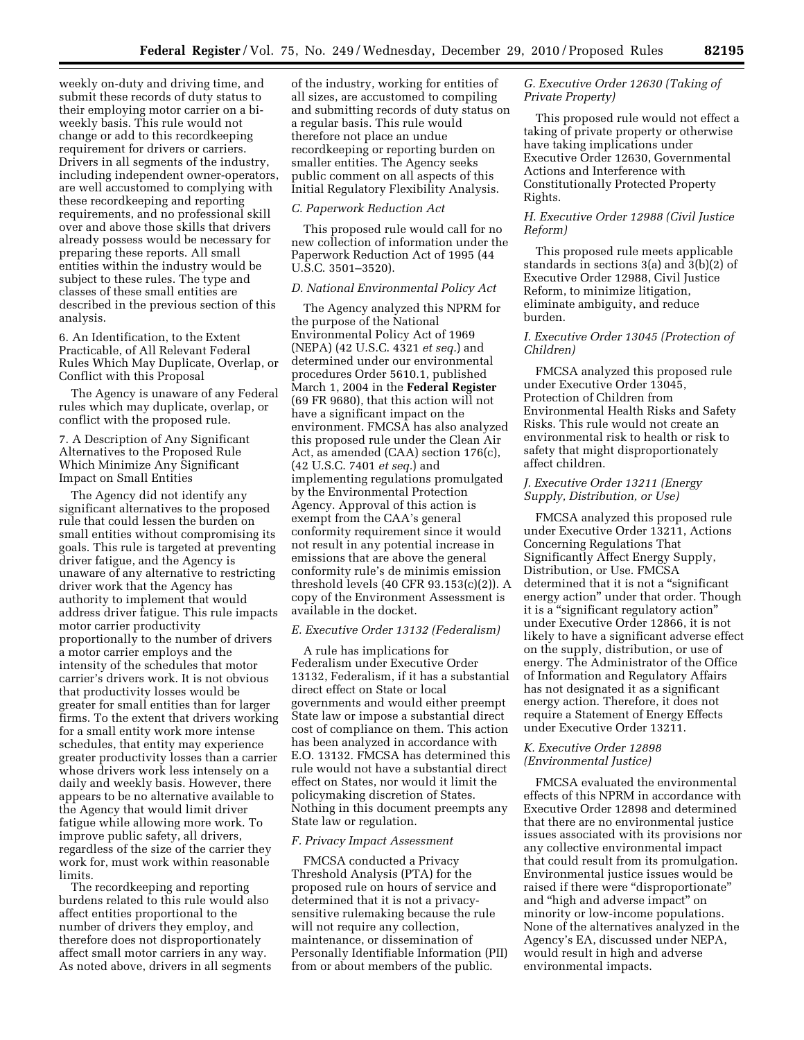weekly on-duty and driving time, and submit these records of duty status to their employing motor carrier on a biweekly basis. This rule would not change or add to this recordkeeping requirement for drivers or carriers. Drivers in all segments of the industry, including independent owner-operators, are well accustomed to complying with these recordkeeping and reporting requirements, and no professional skill over and above those skills that drivers already possess would be necessary for preparing these reports. All small entities within the industry would be subject to these rules. The type and classes of these small entities are described in the previous section of this analysis.

6. An Identification, to the Extent Practicable, of All Relevant Federal Rules Which May Duplicate, Overlap, or Conflict with this Proposal

The Agency is unaware of any Federal rules which may duplicate, overlap, or conflict with the proposed rule.

7. A Description of Any Significant Alternatives to the Proposed Rule Which Minimize Any Significant Impact on Small Entities

The Agency did not identify any significant alternatives to the proposed rule that could lessen the burden on small entities without compromising its goals. This rule is targeted at preventing driver fatigue, and the Agency is unaware of any alternative to restricting driver work that the Agency has authority to implement that would address driver fatigue. This rule impacts motor carrier productivity proportionally to the number of drivers a motor carrier employs and the intensity of the schedules that motor carrier's drivers work. It is not obvious that productivity losses would be greater for small entities than for larger firms. To the extent that drivers working for a small entity work more intense schedules, that entity may experience greater productivity losses than a carrier whose drivers work less intensely on a daily and weekly basis. However, there appears to be no alternative available to the Agency that would limit driver fatigue while allowing more work. To improve public safety, all drivers, regardless of the size of the carrier they work for, must work within reasonable limits.

The recordkeeping and reporting burdens related to this rule would also affect entities proportional to the number of drivers they employ, and therefore does not disproportionately affect small motor carriers in any way. As noted above, drivers in all segments of the industry, working for entities of all sizes, are accustomed to compiling and submitting records of duty status on a regular basis. This rule would therefore not place an undue recordkeeping or reporting burden on smaller entities. The Agency seeks public comment on all aspects of this Initial Regulatory Flexibility Analysis.

## *C. Paperwork Reduction Act*

This proposed rule would call for no new collection of information under the Paperwork Reduction Act of 1995 (44 U.S.C. 3501–3520).

## *D. National Environmental Policy Act*

The Agency analyzed this NPRM for the purpose of the National Environmental Policy Act of 1969 (NEPA) (42 U.S.C. 4321 *et seq.*) and determined under our environmental procedures Order 5610.1, published March 1, 2004 in the **Federal Register**  (69 FR 9680), that this action will not have a significant impact on the environment. FMCSA has also analyzed this proposed rule under the Clean Air Act, as amended (CAA) section 176(c), (42 U.S.C. 7401 *et seq.*) and implementing regulations promulgated by the Environmental Protection Agency. Approval of this action is exempt from the CAA's general conformity requirement since it would not result in any potential increase in emissions that are above the general conformity rule's de minimis emission threshold levels (40 CFR 93.153(c)(2)). A copy of the Environment Assessment is available in the docket.

## *E. Executive Order 13132 (Federalism)*

A rule has implications for Federalism under Executive Order 13132, Federalism, if it has a substantial direct effect on State or local governments and would either preempt State law or impose a substantial direct cost of compliance on them. This action has been analyzed in accordance with E.O. 13132. FMCSA has determined this rule would not have a substantial direct effect on States, nor would it limit the policymaking discretion of States. Nothing in this document preempts any State law or regulation.

### *F. Privacy Impact Assessment*

FMCSA conducted a Privacy Threshold Analysis (PTA) for the proposed rule on hours of service and determined that it is not a privacysensitive rulemaking because the rule will not require any collection, maintenance, or dissemination of Personally Identifiable Information (PII) from or about members of the public.

# *G. Executive Order 12630 (Taking of Private Property)*

This proposed rule would not effect a taking of private property or otherwise have taking implications under Executive Order 12630, Governmental Actions and Interference with Constitutionally Protected Property Rights.

# *H. Executive Order 12988 (Civil Justice Reform)*

This proposed rule meets applicable standards in sections 3(a) and 3(b)(2) of Executive Order 12988, Civil Justice Reform, to minimize litigation, eliminate ambiguity, and reduce burden.

# *I. Executive Order 13045 (Protection of Children)*

FMCSA analyzed this proposed rule under Executive Order 13045, Protection of Children from Environmental Health Risks and Safety Risks. This rule would not create an environmental risk to health or risk to safety that might disproportionately affect children.

# *J. Executive Order 13211 (Energy Supply, Distribution, or Use)*

FMCSA analyzed this proposed rule under Executive Order 13211, Actions Concerning Regulations That Significantly Affect Energy Supply, Distribution, or Use. FMCSA determined that it is not a "significant" energy action'' under that order. Though it is a ''significant regulatory action'' under Executive Order 12866, it is not likely to have a significant adverse effect on the supply, distribution, or use of energy. The Administrator of the Office of Information and Regulatory Affairs has not designated it as a significant energy action. Therefore, it does not require a Statement of Energy Effects under Executive Order 13211.

## *K. Executive Order 12898 (Environmental Justice)*

FMCSA evaluated the environmental effects of this NPRM in accordance with Executive Order 12898 and determined that there are no environmental justice issues associated with its provisions nor any collective environmental impact that could result from its promulgation. Environmental justice issues would be raised if there were "disproportionate" and ''high and adverse impact'' on minority or low-income populations. None of the alternatives analyzed in the Agency's EA, discussed under NEPA, would result in high and adverse environmental impacts.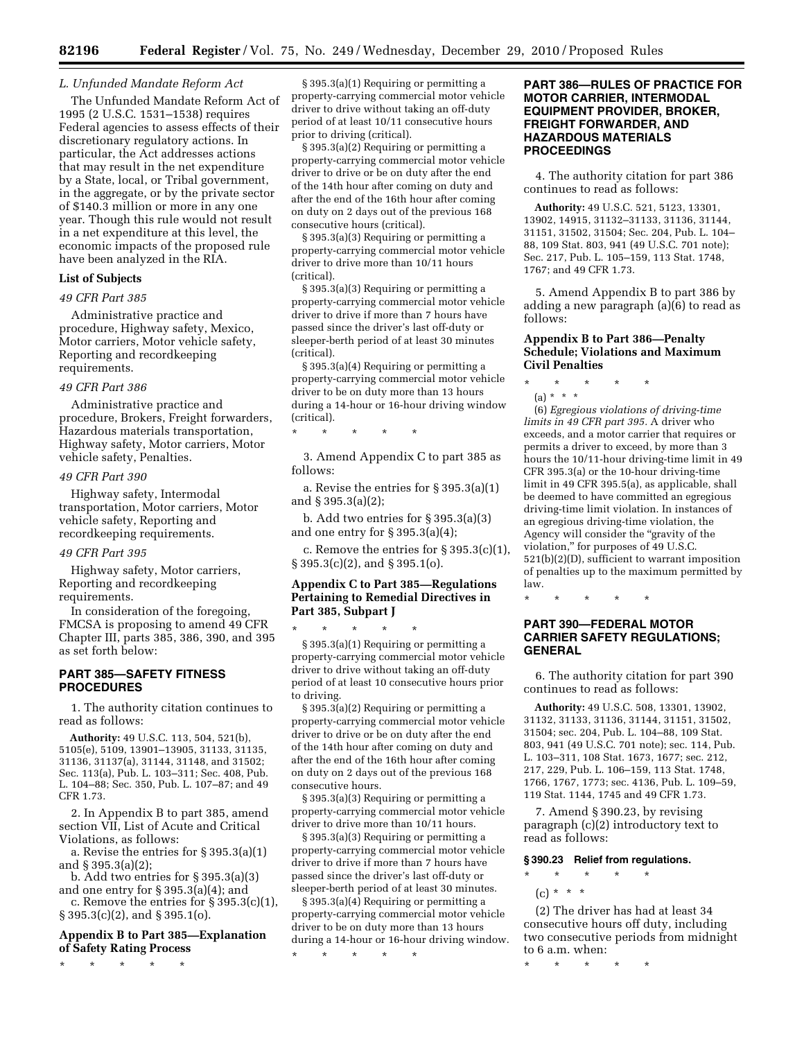### *L. Unfunded Mandate Reform Act*

The Unfunded Mandate Reform Act of 1995 (2 U.S.C. 1531–1538) requires Federal agencies to assess effects of their discretionary regulatory actions. In particular, the Act addresses actions that may result in the net expenditure by a State, local, or Tribal government, in the aggregate, or by the private sector of \$140.3 million or more in any one year. Though this rule would not result in a net expenditure at this level, the economic impacts of the proposed rule have been analyzed in the RIA.

## **List of Subjects**

# *49 CFR Part 385*

Administrative practice and procedure, Highway safety, Mexico, Motor carriers, Motor vehicle safety, Reporting and recordkeeping requirements.

#### *49 CFR Part 386*

Administrative practice and procedure, Brokers, Freight forwarders, Hazardous materials transportation, Highway safety, Motor carriers, Motor vehicle safety, Penalties.

## *49 CFR Part 390*

Highway safety, Intermodal transportation, Motor carriers, Motor vehicle safety, Reporting and recordkeeping requirements.

## *49 CFR Part 395*

Highway safety, Motor carriers, Reporting and recordkeeping requirements.

In consideration of the foregoing, FMCSA is proposing to amend 49 CFR Chapter III, parts 385, 386, 390, and 395 as set forth below:

# **PART 385—SAFETY FITNESS PROCEDURES**

1. The authority citation continues to read as follows:

**Authority:** 49 U.S.C. 113, 504, 521(b), 5105(e), 5109, 13901–13905, 31133, 31135, 31136, 31137(a), 31144, 31148, and 31502; Sec. 113(a), Pub. L. 103–311; Sec. 408, Pub. L. 104–88; Sec. 350, Pub. L. 107–87; and 49 CFR 1.73.

2. In Appendix B to part 385, amend section VII, List of Acute and Critical Violations, as follows:

a. Revise the entries for § 395.3(a)(1) and § 395.3(a)(2);

b. Add two entries for § 395.3(a)(3) and one entry for § 395.3(a)(4); and

c. Remove the entries for § 395.3(c)(1), § 395.3(c)(2), and § 395.1(o).

# **Appendix B to Part 385—Explanation of Safety Rating Process**

\* \* \* \* \*

§ 395.3(a)(1) Requiring or permitting a property-carrying commercial motor vehicle driver to drive without taking an off-duty period of at least 10/11 consecutive hours prior to driving (critical).

§ 395.3(a)(2) Requiring or permitting a property-carrying commercial motor vehicle driver to drive or be on duty after the end of the 14th hour after coming on duty and after the end of the 16th hour after coming on duty on 2 days out of the previous 168 consecutive hours (critical).

§ 395.3(a)(3) Requiring or permitting a property-carrying commercial motor vehicle driver to drive more than 10/11 hours (critical).

§ 395.3(a)(3) Requiring or permitting a property-carrying commercial motor vehicle driver to drive if more than 7 hours have passed since the driver's last off-duty or sleeper-berth period of at least 30 minutes (critical).

§ 395.3(a)(4) Requiring or permitting a property-carrying commercial motor vehicle driver to be on duty more than 13 hours during a 14-hour or 16-hour driving window (critical).

3. Amend Appendix C to part 385 as follows:

\* \* \* \* \*

a. Revise the entries for § 395.3(a)(1) and § 395.3(a)(2);

b. Add two entries for § 395.3(a)(3) and one entry for § 395.3(a)(4);

c. Remove the entries for  $\S 395.3(c)(1)$ , § 395.3(c)(2), and § 395.1(o).

# **Appendix C to Part 385—Regulations Pertaining to Remedial Directives in Part 385, Subpart J**

\* \* \* \* \* § 395.3(a)(1) Requiring or permitting a property-carrying commercial motor vehicle driver to drive without taking an off-duty period of at least 10 consecutive hours prior to driving.

§ 395.3(a)(2) Requiring or permitting a property-carrying commercial motor vehicle driver to drive or be on duty after the end of the 14th hour after coming on duty and after the end of the 16th hour after coming on duty on 2 days out of the previous 168 consecutive hours.

§ 395.3(a)(3) Requiring or permitting a property-carrying commercial motor vehicle driver to drive more than 10/11 hours.

§ 395.3(a)(3) Requiring or permitting a property-carrying commercial motor vehicle driver to drive if more than 7 hours have passed since the driver's last off-duty or sleeper-berth period of at least 30 minutes.

§ 395.3(a)(4) Requiring or permitting a property-carrying commercial motor vehicle driver to be on duty more than 13 hours during a 14-hour or 16-hour driving window.

\* \* \* \* \*

# **PART 386—RULES OF PRACTICE FOR MOTOR CARRIER, INTERMODAL EQUIPMENT PROVIDER, BROKER, FREIGHT FORWARDER, AND HAZARDOUS MATERIALS PROCEEDINGS**

4. The authority citation for part 386 continues to read as follows:

**Authority:** 49 U.S.C. 521, 5123, 13301, 13902, 14915, 31132–31133, 31136, 31144, 31151, 31502, 31504; Sec. 204, Pub. L. 104– 88, 109 Stat. 803, 941 (49 U.S.C. 701 note); Sec. 217, Pub. L. 105–159, 113 Stat. 1748, 1767; and 49 CFR 1.73.

5. Amend Appendix B to part 386 by adding a new paragraph (a)(6) to read as follows:

# **Appendix B to Part 386—Penalty Schedule; Violations and Maximum Civil Penalties**

\* \* \* \* \* (a) \* \* \*

(6) *Egregious violations of driving-time* 

*limits in 49 CFR part 395.* A driver who exceeds, and a motor carrier that requires or permits a driver to exceed, by more than 3 hours the 10/11-hour driving-time limit in 49 CFR 395.3(a) or the 10-hour driving-time limit in 49 CFR 395.5(a), as applicable, shall be deemed to have committed an egregious driving-time limit violation. In instances of an egregious driving-time violation, the Agency will consider the "gravity of the violation,'' for purposes of 49 U.S.C. 521(b)(2)(D), sufficient to warrant imposition of penalties up to the maximum permitted by law.

\* \* \* \* \*

# **PART 390—FEDERAL MOTOR CARRIER SAFETY REGULATIONS; GENERAL**

6. The authority citation for part 390 continues to read as follows:

**Authority:** 49 U.S.C. 508, 13301, 13902, 31132, 31133, 31136, 31144, 31151, 31502, 31504; sec. 204, Pub. L. 104–88, 109 Stat. 803, 941 (49 U.S.C. 701 note); sec. 114, Pub. L. 103–311, 108 Stat. 1673, 1677; sec. 212, 217, 229, Pub. L. 106–159, 113 Stat. 1748, 1766, 1767, 1773; sec. 4136, Pub. L. 109–59, 119 Stat. 1144, 1745 and 49 CFR 1.73.

7. Amend § 390.23, by revising paragraph (c)(2) introductory text to read as follows:

### **§ 390.23 Relief from regulations.**

- \* \* \* \* \*
	- $(c) * * * *$

(2) The driver has had at least 34 consecutive hours off duty, including two consecutive periods from midnight to 6 a.m. when:

\* \* \* \* \*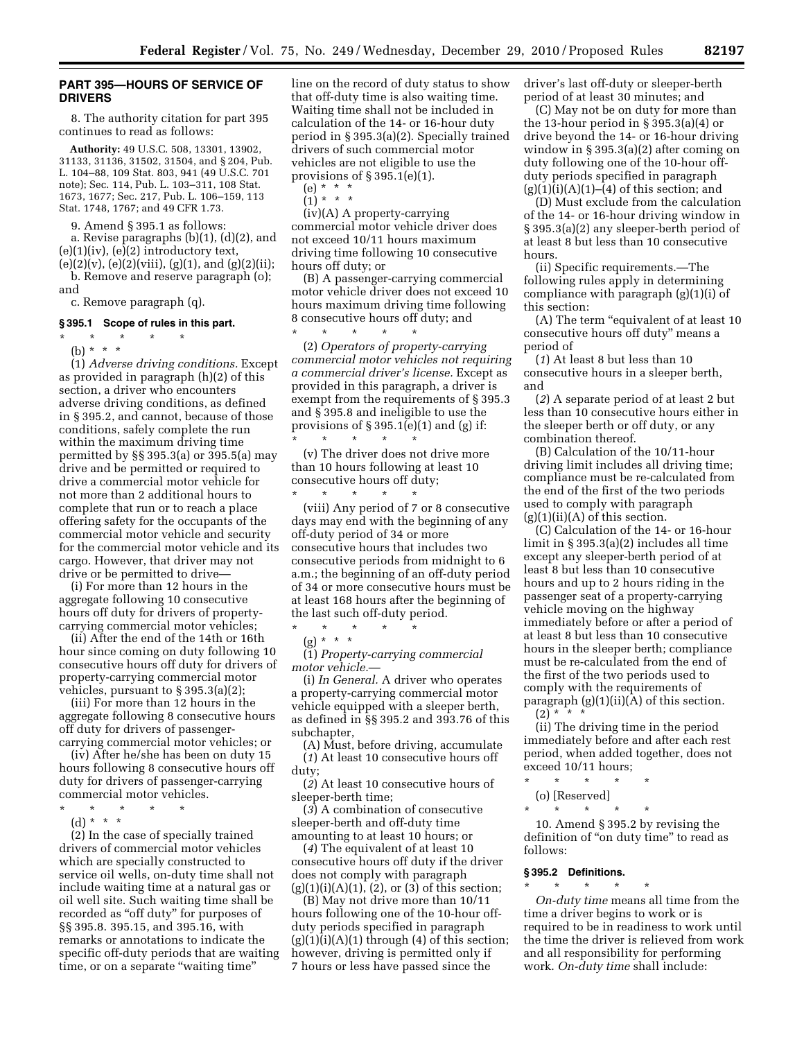## **PART 395—HOURS OF SERVICE OF DRIVERS**

8. The authority citation for part 395 continues to read as follows:

**Authority:** 49 U.S.C. 508, 13301, 13902, 31133, 31136, 31502, 31504, and § 204, Pub. L. 104–88, 109 Stat. 803, 941 (49 U.S.C. 701 note); Sec. 114, Pub. L. 103–311, 108 Stat. 1673, 1677; Sec. 217, Pub. L. 106–159, 113 Stat. 1748, 1767; and 49 CFR 1.73.

9. Amend § 395.1 as follows:

a. Revise paragraphs (b)(1), (d)(2), and  $(e)(1)(iv)$ ,  $(e)(2)$  introductory text,

 $(e)(2)(v)$ ,  $(e)(2)(viii)$ ,  $(g)(1)$ , and  $(g)(2)(ii)$ ; b. Remove and reserve paragraph (o); and

c. Remove paragraph (q).

# **§ 395.1 Scope of rules in this part.**

\* \* \* \* \*

(b) \* \* \*

(1) *Adverse driving conditions.* Except as provided in paragraph (h)(2) of this section, a driver who encounters adverse driving conditions, as defined in § 395.2, and cannot, because of those conditions, safely complete the run within the maximum driving time permitted by §§ 395.3(a) or 395.5(a) may drive and be permitted or required to drive a commercial motor vehicle for not more than 2 additional hours to complete that run or to reach a place offering safety for the occupants of the commercial motor vehicle and security for the commercial motor vehicle and its cargo. However, that driver may not drive or be permitted to drive—

(i) For more than 12 hours in the aggregate following 10 consecutive hours off duty for drivers of propertycarrying commercial motor vehicles;

(ii) After the end of the 14th or 16th hour since coming on duty following 10 consecutive hours off duty for drivers of property-carrying commercial motor vehicles, pursuant to § 395.3(a)(2);

(iii) For more than 12 hours in the aggregate following 8 consecutive hours off duty for drivers of passengercarrying commercial motor vehicles; or

(iv) After he/she has been on duty 15 hours following 8 consecutive hours off duty for drivers of passenger-carrying commercial motor vehicles.

- \* \* \* \* \*
	- (d) \* \* \*

(2) In the case of specially trained drivers of commercial motor vehicles which are specially constructed to service oil wells, on-duty time shall not include waiting time at a natural gas or oil well site. Such waiting time shall be recorded as ''off duty'' for purposes of §§ 395.8. 395.15, and 395.16, with remarks or annotations to indicate the specific off-duty periods that are waiting time, or on a separate "waiting time"

line on the record of duty status to show that off-duty time is also waiting time. Waiting time shall not be included in calculation of the 14- or 16-hour duty period in § 395.3(a)(2). Specially trained drivers of such commercial motor vehicles are not eligible to use the provisions of  $\S 395.1(e)(1)$ .

(e) \* \* \*  $\binom{1}{1}$  \* \* \*

(iv)(A) A property-carrying commercial motor vehicle driver does not exceed 10/11 hours maximum driving time following 10 consecutive hours off duty; or

(B) A passenger-carrying commercial motor vehicle driver does not exceed 10 hours maximum driving time following 8 consecutive hours off duty; and

\* \* \* \* \* (2) *Operators of property-carrying commercial motor vehicles not requiring a commercial driver's license.* Except as provided in this paragraph, a driver is exempt from the requirements of § 395.3 and § 395.8 and ineligible to use the provisions of  $\S 395.1(e)(1)$  and (g) if: \* \* \* \* \*

(v) The driver does not drive more than 10 hours following at least 10 consecutive hours off duty;

\* \* \* \* \* (viii) Any period of 7 or 8 consecutive days may end with the beginning of any off-duty period of 34 or more consecutive hours that includes two consecutive periods from midnight to 6 a.m.; the beginning of an off-duty period of 34 or more consecutive hours must be at least 168 hours after the beginning of the last such off-duty period.

\* \* \* \* \* (g) \* \* \*

(1) *Property-carrying commercial motor vehicle.*—

(i) *In General.* A driver who operates a property-carrying commercial motor vehicle equipped with a sleeper berth, as defined in §§ 395.2 and 393.76 of this subchapter,

(A) Must, before driving, accumulate (*1*) At least 10 consecutive hours off duty;

(*2*) At least 10 consecutive hours of sleeper-berth time;

(*3*) A combination of consecutive sleeper-berth and off-duty time amounting to at least 10 hours; or

(*4*) The equivalent of at least 10 consecutive hours off duty if the driver does not comply with paragraph  $(g)(1)(i)(A)(1)$ ,  $(2)$ , or  $(3)$  of this section;

(B) May not drive more than 10/11 hours following one of the 10-hour offduty periods specified in paragraph  $(g)(1)(i)(A)(1)$  through  $(4)$  of this section; however, driving is permitted only if 7 hours or less have passed since the

driver's last off-duty or sleeper-berth period of at least 30 minutes; and

(C) May not be on duty for more than the 13-hour period in § 395.3(a)(4) or drive beyond the 14- or 16-hour driving window in § 395.3(a)(2) after coming on duty following one of the 10-hour offduty periods specified in paragraph  $(g)(1)(i)(A)(1)–(4)$  of this section; and

(D) Must exclude from the calculation of the 14- or 16-hour driving window in § 395.3(a)(2) any sleeper-berth period of at least 8 but less than 10 consecutive hours.

(ii) Specific requirements.—The following rules apply in determining compliance with paragraph (g)(1)(i) of this section:

(A) The term "equivalent of at least 10 consecutive hours off duty'' means a period of

(*1*) At least 8 but less than 10 consecutive hours in a sleeper berth, and

(*2*) A separate period of at least 2 but less than 10 consecutive hours either in the sleeper berth or off duty, or any combination thereof.

(B) Calculation of the 10/11-hour driving limit includes all driving time; compliance must be re-calculated from the end of the first of the two periods used to comply with paragraph  $(g)(1)(ii)(A)$  of this section.

(C) Calculation of the 14- or 16-hour limit in § 395.3(a)(2) includes all time except any sleeper-berth period of at least 8 but less than 10 consecutive hours and up to 2 hours riding in the passenger seat of a property-carrying vehicle moving on the highway immediately before or after a period of at least 8 but less than 10 consecutive hours in the sleeper berth; compliance must be re-calculated from the end of the first of the two periods used to comply with the requirements of paragraph  $(g)(1)(ii)(A)$  of this section.

 $(2) * * * *$ 

(ii) The driving time in the period immediately before and after each rest period, when added together, does not exceed 10/11 hours;

\* \* \* \* \*

(o) [Reserved]  $\star$   $\star$   $\star$ 

10. Amend § 395.2 by revising the definition of "on duty time" to read as follows:

# **§ 395.2 Definitions.**

 $\star$   $\star$   $\star$ 

*On-duty time* means all time from the time a driver begins to work or is required to be in readiness to work until the time the driver is relieved from work and all responsibility for performing work. *On-duty time* shall include: